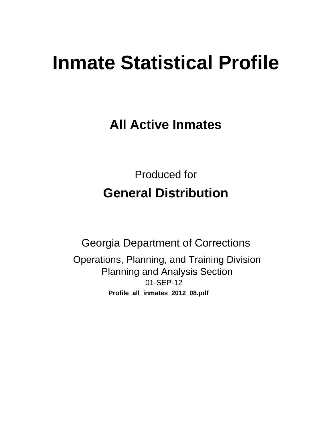# **Inmate Statistical Profile**

**All Active Inmates** 

**Produced for General Distribution** 

**Georgia Department of Corrections** Operations, Planning, and Training Division **Planning and Analysis Section** 01-SEP-12 Profile\_all\_inmates\_2012\_08.pdf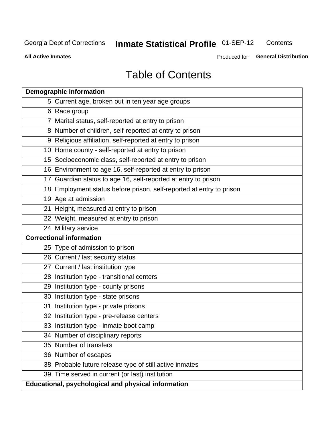#### **Inmate Statistical Profile 01-SEP-12** Contents

**All Active Inmates** 

Produced for General Distribution

### **Table of Contents**

| <b>Demographic information</b>                                       |
|----------------------------------------------------------------------|
| 5 Current age, broken out in ten year age groups                     |
| 6 Race group                                                         |
| 7 Marital status, self-reported at entry to prison                   |
| 8 Number of children, self-reported at entry to prison               |
| 9 Religious affiliation, self-reported at entry to prison            |
| 10 Home county - self-reported at entry to prison                    |
| 15 Socioeconomic class, self-reported at entry to prison             |
| 16 Environment to age 16, self-reported at entry to prison           |
| 17 Guardian status to age 16, self-reported at entry to prison       |
| 18 Employment status before prison, self-reported at entry to prison |
| 19 Age at admission                                                  |
| 21 Height, measured at entry to prison                               |
| 22 Weight, measured at entry to prison                               |
| 24 Military service                                                  |
| <b>Correctional information</b>                                      |
| 25 Type of admission to prison                                       |
| 26 Current / last security status                                    |
| 27 Current / last institution type                                   |
| 28 Institution type - transitional centers                           |
| 29 Institution type - county prisons                                 |
| 30 Institution type - state prisons                                  |
| 31 Institution type - private prisons                                |
| 32 Institution type - pre-release centers                            |
| 33 Institution type - inmate boot camp                               |
| 34 Number of disciplinary reports                                    |
| 35 Number of transfers                                               |
| 36 Number of escapes                                                 |
| 38 Probable future release type of still active inmates              |
| 39 Time served in current (or last) institution                      |
| Educational, psychological and physical information                  |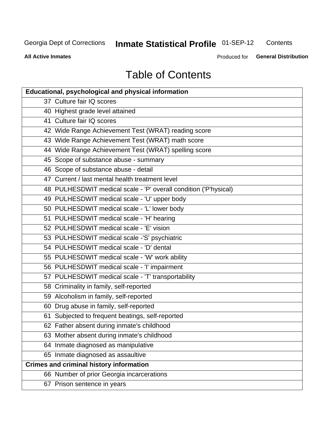#### **Inmate Statistical Profile 01-SEP-12** Contents

**All Active Inmates** 

Produced for General Distribution

## **Table of Contents**

| <b>Educational, psychological and physical information</b>       |
|------------------------------------------------------------------|
| 37 Culture fair IQ scores                                        |
| 40 Highest grade level attained                                  |
| 41 Culture fair IQ scores                                        |
| 42 Wide Range Achievement Test (WRAT) reading score              |
| 43 Wide Range Achievement Test (WRAT) math score                 |
| 44 Wide Range Achievement Test (WRAT) spelling score             |
| 45 Scope of substance abuse - summary                            |
| 46 Scope of substance abuse - detail                             |
| 47 Current / last mental health treatment level                  |
| 48 PULHESDWIT medical scale - 'P' overall condition ('P'hysical) |
| 49 PULHESDWIT medical scale - 'U' upper body                     |
| 50 PULHESDWIT medical scale - 'L' lower body                     |
| 51 PULHESDWIT medical scale - 'H' hearing                        |
| 52 PULHESDWIT medical scale - 'E' vision                         |
| 53 PULHESDWIT medical scale -'S' psychiatric                     |
| 54 PULHESDWIT medical scale - 'D' dental                         |
| 55 PULHESDWIT medical scale - 'W' work ability                   |
| 56 PULHESDWIT medical scale - 'I' impairment                     |
| 57 PULHESDWIT medical scale - 'T' transportability               |
| 58 Criminality in family, self-reported                          |
| 59 Alcoholism in family, self-reported                           |
| 60 Drug abuse in family, self-reported                           |
| 61 Subjected to frequent beatings, self-reported                 |
| 62 Father absent during inmate's childhood                       |
| 63 Mother absent during inmate's childhood                       |
| 64 Inmate diagnosed as manipulative                              |
| 65 Inmate diagnosed as assaultive                                |
| <b>Crimes and criminal history information</b>                   |
| 66 Number of prior Georgia incarcerations                        |
| 67 Prison sentence in years                                      |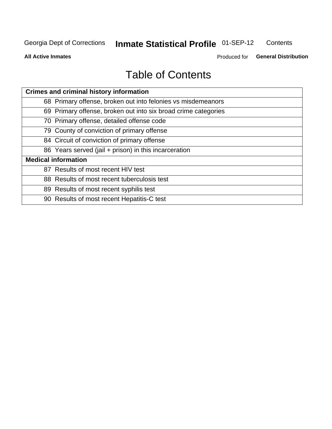#### **Inmate Statistical Profile 01-SEP-12** Contents

**All Active Inmates** 

Produced for General Distribution

### **Table of Contents**

| <b>Crimes and criminal history information</b>                 |
|----------------------------------------------------------------|
| 68 Primary offense, broken out into felonies vs misdemeanors   |
| 69 Primary offense, broken out into six broad crime categories |
| 70 Primary offense, detailed offense code                      |
| 79 County of conviction of primary offense                     |
| 84 Circuit of conviction of primary offense                    |
| 86 Years served (jail + prison) in this incarceration          |
| <b>Medical information</b>                                     |
| 87 Results of most recent HIV test                             |
| 88 Results of most recent tuberculosis test                    |
| 89 Results of most recent syphilis test                        |
| 90 Results of most recent Hepatitis-C test                     |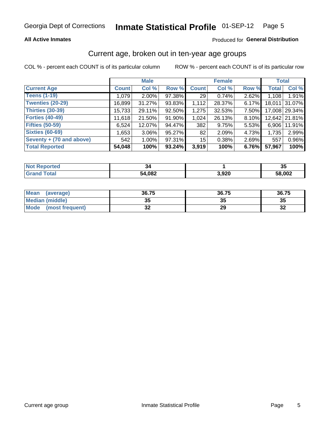#### **All Active Inmates**

#### Produced for General Distribution

#### Current age, broken out in ten-year age groups

COL % - percent each COUNT is of its particular column

|                          |              | <b>Male</b> |        |                 | <b>Female</b> |       |              | <b>Total</b>  |
|--------------------------|--------------|-------------|--------|-----------------|---------------|-------|--------------|---------------|
| <b>Current Age</b>       | <b>Count</b> | Col %       | Row %  | <b>Count</b>    | Col %         | Row % | <b>Total</b> | Col %         |
| <b>Teens (1-19)</b>      | 1,079        | $2.00\%$    | 97.38% | 29              | 0.74%         | 2.62% | 1,108        | 1.91%         |
| <b>Twenties (20-29)</b>  | 16,899       | 31.27%      | 93.83% | 1,112           | 28.37%        | 6.17% | 18,011       | 31.07%        |
| <b>Thirties (30-39)</b>  | 15,733       | 29.11%      | 92.50% | 1,275           | 32.53%        | 7.50% |              | 17,008 29.34% |
| <b>Forties (40-49)</b>   | 11,618       | 21.50%      | 91.90% | 1,024           | 26.13%        | 8.10% |              | 12,642 21.81% |
| <b>Fifties (50-59)</b>   | 6,524        | 12.07%      | 94.47% | 382             | 9.75%         | 5.53% | 6.906        | 11.91%        |
| <b>Sixties (60-69)</b>   | 1,653        | $3.06\%$    | 95.27% | 82              | 2.09%         | 4.73% | 1,735        | 2.99%         |
| Seventy + (70 and above) | 542          | $1.00\%$    | 97.31% | 15 <sub>1</sub> | 0.38%         | 2.69% | 557          | 0.96%         |
| <b>Total Reported</b>    | 54,048       | 100%        | 93.24% | 3,919           | 100%          | 6.76% | 57,967       | 100%          |

| <b>Not Repo</b><br><b>ported</b> |        |                | 24<br>◡ |
|----------------------------------|--------|----------------|---------|
| Total                            | 54,082 | חכם כ<br>J,JZU | 58,002  |

| <b>Mean</b><br>(average)       | 36.75     | 36.75 | 36.75    |
|--------------------------------|-----------|-------|----------|
| Median (middle)                | 2F<br>vu  | JJ    | 35       |
| <b>Mode</b><br>(most frequent) | ne.<br>◡▵ | 29    | 21<br>⊾ت |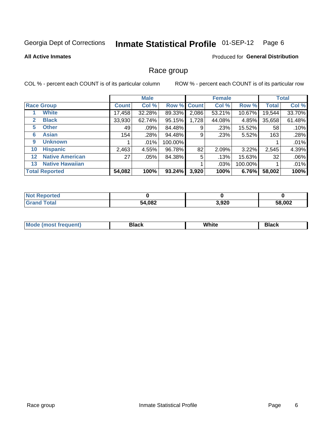#### Inmate Statistical Profile 01-SEP-12 Page 6

#### **All Active Inmates**

#### **Produced for General Distribution**

#### Race group

COL % - percent each COUNT is of its particular column

|                   |                        |              | <b>Male</b> |         |             | <b>Female</b> |         |              | <b>Total</b> |
|-------------------|------------------------|--------------|-------------|---------|-------------|---------------|---------|--------------|--------------|
|                   | <b>Race Group</b>      | <b>Count</b> | Col %       |         | Row % Count | Col %         | Row %   | <b>Total</b> | Col %        |
|                   | <b>White</b>           | 17,458       | 32.28%      | 89.33%  | 2,086       | 53.21%        | 10.67%  | 19,544       | 33.70%       |
| 2                 | <b>Black</b>           | 33,930       | 62.74%      | 95.15%  | 1,728       | 44.08%        | 4.85%   | 35,658       | 61.48%       |
| 5                 | <b>Other</b>           | 49           | .09%        | 84.48%  | 9           | .23%          | 15.52%  | 58           | .10%         |
| 6                 | <b>Asian</b>           | 154          | .28%        | 94.48%  | 9           | .23%          | 5.52%   | 163          | .28%         |
| 9                 | <b>Unknown</b>         |              | $.01\%$     | 100.00% |             |               |         |              | .01%         |
| 10                | <b>Hispanic</b>        | 2,463        | 4.55%       | 96.78%  | 82          | 2.09%         | 3.22%   | 2,545        | 4.39%        |
| $12 \overline{ }$ | <b>Native American</b> | 27           | .05%        | 84.38%  | 5           | .13%          | 15.63%  | 32           | .06%         |
| 13                | <b>Native Hawaiian</b> |              |             |         |             | .03%          | 100.00% |              | .01%         |
|                   | <b>Total Reported</b>  | 54,082       | 100%        | 93.24%  | 3,920       | 100%          | 6.76%   | 58,002       | 100%         |

| <b>Not Reported</b>         |        |       |        |
|-----------------------------|--------|-------|--------|
| <b>Total</b><br><b>Cron</b> | 54,082 | 3,920 | 58,002 |

| Mode (<br>most freduent) | ⊃lack | White | ا تا 1 |
|--------------------------|-------|-------|--------|
|                          |       |       |        |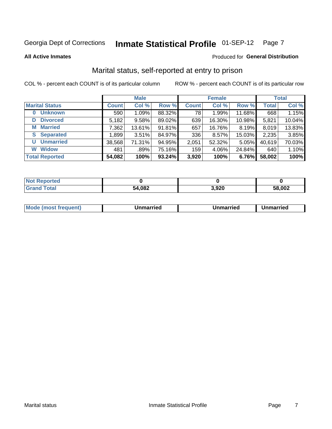#### **Inmate Statistical Profile 01-SEP-12** Page 7

**All Active Inmates** 

#### Produced for General Distribution

#### Marital status, self-reported at entry to prison

COL % - percent each COUNT is of its particular column

|                            |              | <b>Male</b> |        |              | <b>Female</b> |        |              | <b>Total</b> |
|----------------------------|--------------|-------------|--------|--------------|---------------|--------|--------------|--------------|
| <b>Marital Status</b>      | <b>Count</b> | Col %       | Row %  | <b>Count</b> | Col %         | Row %  | <b>Total</b> | Col %        |
| <b>Unknown</b><br>$\bf{0}$ | 590          | 1.09%       | 88.32% | 78           | 1.99%         | 11.68% | 668          | 1.15%        |
| <b>Divorced</b><br>D       | 5,182        | 9.58%       | 89.02% | 639          | 16.30%        | 10.98% | 5,821        | 10.04%       |
| <b>Married</b><br>М        | 7,362        | 13.61%      | 91.81% | 657          | 16.76%        | 8.19%  | 8,019        | 13.83%       |
| <b>Separated</b><br>S.     | 1,899        | 3.51%       | 84.97% | 336          | 8.57%         | 15.03% | 2,235        | 3.85%        |
| <b>Unmarried</b><br>U      | 38,568       | 71.31%      | 94.95% | 2,051        | 52.32%        | 5.05%  | 40,619       | 70.03%       |
| <b>Widow</b><br>W          | 481          | .89%        | 75.16% | 159          | 4.06%         | 24.84% | 640          | 1.10%        |
| <b>Total Reported</b>      | 54,082       | 100%        | 93.24% | 3,920        | 100%          | 6.76%  | 58,002       | 100%         |

| <b>Not Reported</b>  |        |       |        |
|----------------------|--------|-------|--------|
| <b>c</b> otal<br>Grr | 54,082 | 3,920 | 58,002 |

| <b>Mode</b><br>(most frequent)<br>Jnmarried | <b>Unmarried</b> | Unmarried |
|---------------------------------------------|------------------|-----------|
|---------------------------------------------|------------------|-----------|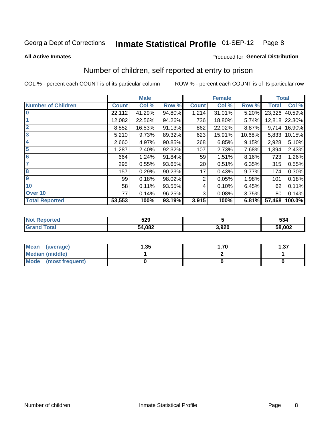#### **Inmate Statistical Profile 01-SEP-12** Page 8

#### **All Active Inmates**

#### Produced for General Distribution

### Number of children, self reported at entry to prison

COL % - percent each COUNT is of its particular column

ROW % - percent each COUNT is of its particular row

|                           |              | <b>Male</b> |        |              | <b>Female</b> |        | <b>Total</b> |               |
|---------------------------|--------------|-------------|--------|--------------|---------------|--------|--------------|---------------|
| <b>Number of Children</b> | <b>Count</b> | Col %       | Row %  | <b>Count</b> | Col %         | Row %  | <b>Total</b> | Col %         |
| $\overline{0}$            | 22,112       | 41.29%      | 94.80% | 1,214        | 31.01%        | 5.20%  | 23,326       | 40.59%        |
|                           | 12,082       | 22.56%      | 94.26% | 736          | 18.80%        | 5.74%  |              | 12,818 22.30% |
| $\overline{2}$            | 8,852        | 16.53%      | 91.13% | 862          | 22.02%        | 8.87%  | 9,714        | 16.90%        |
| $\overline{3}$            | 5,210        | 9.73%       | 89.32% | 623          | 15.91%        | 10.68% | 5,833        | 10.15%        |
| 4                         | 2,660        | 4.97%       | 90.85% | 268          | 6.85%         | 9.15%  | 2,928        | 5.10%         |
| 5                         | 1,287        | 2.40%       | 92.32% | 107          | 2.73%         | 7.68%  | 1,394        | 2.43%         |
| $\overline{6}$            | 664          | 1.24%       | 91.84% | 59           | 1.51%         | 8.16%  | 723          | 1.26%         |
| 7                         | 295          | 0.55%       | 93.65% | 20           | 0.51%         | 6.35%  | 315          | 0.55%         |
| 8                         | 157          | 0.29%       | 90.23% | 17           | 0.43%         | 9.77%  | 174          | 0.30%         |
| $\boldsymbol{9}$          | 99           | 0.18%       | 98.02% | 2            | 0.05%         | 1.98%  | 101          | 0.18%         |
| 10                        | 58           | 0.11%       | 93.55% | 4            | 0.10%         | 6.45%  | 62           | 0.11%         |
| Over 10                   | 77           | 0.14%       | 96.25% | 3            | 0.08%         | 3.75%  | 80           | 0.14%         |
| <b>Total Reported</b>     | 53,553       | 100%        | 93.19% | 3,915        | 100%          | 6.81%  | 57,468       | 100.0%        |

| N | 520<br>ง∠ฮ |                | 534    |
|---|------------|----------------|--------|
|   | ,082<br>54 | חרח כ<br>J.JZU | 58,002 |

| <b>Mean</b><br>(average)       | l.35 | .70. | l.37 |
|--------------------------------|------|------|------|
| Median (middle)                |      |      |      |
| <b>Mode</b><br>(most frequent) |      |      |      |

Number of children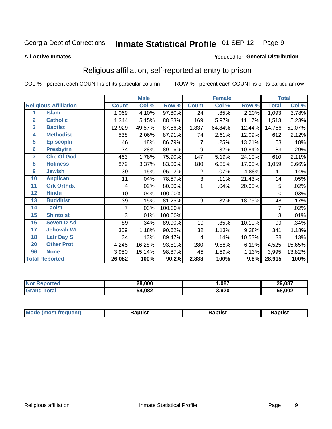#### **Inmate Statistical Profile 01-SEP-12** Page 9

#### **All Active Inmates**

#### Produced for General Distribution

#### Religious affiliation, self-reported at entry to prison

COL % - percent each COUNT is of its particular column

|                         |                              |              | <b>Male</b> |         |              | <b>Female</b> |        |              | <b>Total</b> |
|-------------------------|------------------------------|--------------|-------------|---------|--------------|---------------|--------|--------------|--------------|
|                         | <b>Religious Affiliation</b> | <b>Count</b> | Col %       | Row %   | <b>Count</b> | Col %         | Row %  | <b>Total</b> | Col %        |
| 1                       | <b>Islam</b>                 | 1,069        | 4.10%       | 97.80%  | 24           | .85%          | 2.20%  | 1,093        | 3.78%        |
| $\overline{2}$          | <b>Catholic</b>              | 1,344        | 5.15%       | 88.83%  | 169          | 5.97%         | 11.17% | 1,513        | 5.23%        |
| $\mathbf{3}$            | <b>Baptist</b>               | 12,929       | 49.57%      | 87.56%  | 1,837        | 64.84%        | 12.44% | 14,766       | 51.07%       |
| 4                       | <b>Methodist</b>             | 538          | 2.06%       | 87.91%  | 74           | 2.61%         | 12.09% | 612          | 2.12%        |
| $\overline{\mathbf{5}}$ | <b>EpiscopIn</b>             | 46           | .18%        | 86.79%  | 7            | .25%          | 13.21% | 53           | .18%         |
| $6\overline{6}$         | <b>Presbytrn</b>             | 74           | .28%        | 89.16%  | 9            | .32%          | 10.84% | 83           | .29%         |
| 7                       | <b>Chc Of God</b>            | 463          | 1.78%       | 75.90%  | 147          | 5.19%         | 24.10% | 610          | 2.11%        |
| 8                       | <b>Holiness</b>              | 879          | 3.37%       | 83.00%  | 180          | 6.35%         | 17.00% | 1,059        | 3.66%        |
| 9                       | <b>Jewish</b>                | 39           | .15%        | 95.12%  | 2            | .07%          | 4.88%  | 41           | .14%         |
| 10                      | <b>Anglican</b>              | 11           | .04%        | 78.57%  | 3            | .11%          | 21.43% | 14           | .05%         |
| 11                      | <b>Grk Orthdx</b>            | 4            | .02%        | 80.00%  | 1            | .04%          | 20.00% | 5            | .02%         |
| 12                      | <b>Hindu</b>                 | 10           | .04%        | 100.00% |              |               |        | 10           | .03%         |
| 13                      | <b>Buddhist</b>              | 39           | .15%        | 81.25%  | 9            | .32%          | 18.75% | 48           | .17%         |
| 14                      | <b>Taoist</b>                | 7            | .03%        | 100.00% |              |               |        | 7            | .02%         |
| 15                      | <b>Shintoist</b>             | 3            | .01%        | 100.00% |              |               |        | 3            | .01%         |
| 16                      | <b>Seven D Ad</b>            | 89           | .34%        | 89.90%  | 10           | .35%          | 10.10% | 99           | .34%         |
| $\overline{17}$         | <b>Jehovah Wt</b>            | 309          | 1.18%       | 90.62%  | 32           | 1.13%         | 9.38%  | 341          | 1.18%        |
| 18                      | <b>Latr Day S</b>            | 34           | .13%        | 89.47%  | 4            | .14%          | 10.53% | 38           | .13%         |
| 20                      | <b>Other Prot</b>            | 4,245        | 16.28%      | 93.81%  | 280          | 9.88%         | 6.19%  | 4,525        | 15.65%       |
| 96                      | <b>None</b>                  | 3,950        | 15.14%      | 98.87%  | 45           | 1.59%         | 1.13%  | 3,995        | 13.82%       |
|                         | <b>Total Reported</b>        | 26,082       | 100%        | 90.2%   | 2,833        | 100%          | 9.8%   | 28,915       | 100%         |

|                 | 28.000<br>__ | ,087  | 29.087 |
|-----------------|--------------|-------|--------|
| $\sim$ 4 $\sim$ | 54,082       | 3,920 | 58,002 |

|  | Mode (most frequent) | Baptist | Baptist | <b>Baptist</b> |
|--|----------------------|---------|---------|----------------|
|--|----------------------|---------|---------|----------------|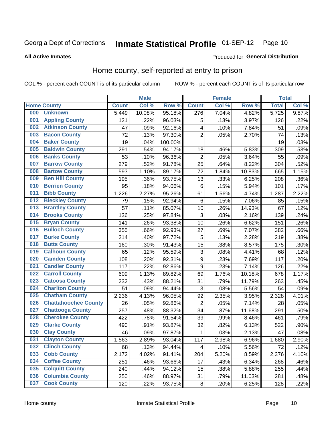#### **Inmate Statistical Profile 01-SEP-12** Page 10

**Produced for General Distribution** 

#### **All Active Inmates**

#### Home county, self-reported at entry to prison

COL % - percent each COUNT is of its particular column

|     |                             |              | <b>Male</b> |         |                  | <b>Female</b> |        | <b>Total</b> |       |
|-----|-----------------------------|--------------|-------------|---------|------------------|---------------|--------|--------------|-------|
|     | <b>Home County</b>          | <b>Count</b> | Col %       | Row %   | <b>Count</b>     | Col %         | Row %  | <b>Total</b> | Col % |
| 000 | <b>Unknown</b>              | 5,449        | 10.08%      | 95.18%  | 276              | 7.04%         | 4.82%  | 5,725        | 9.87% |
| 001 | <b>Appling County</b>       | 121          | .22%        | 96.03%  | 5                | .13%          | 3.97%  | 126          | .22%  |
| 002 | <b>Atkinson County</b>      | 47           | .09%        | 92.16%  | 4                | .10%          | 7.84%  | 51           | .09%  |
| 003 | <b>Bacon County</b>         | 72           | .13%        | 97.30%  | $\overline{2}$   | .05%          | 2.70%  | 74           | .13%  |
| 004 | <b>Baker County</b>         | 19           | .04%        | 100.00% |                  |               |        | 19           | .03%  |
| 005 | <b>Baldwin County</b>       | 291          | .54%        | 94.17%  | 18               | .46%          | 5.83%  | 309          | .53%  |
| 006 | <b>Banks County</b>         | 53           | .10%        | 96.36%  | $\overline{2}$   | .05%          | 3.64%  | 55           | .09%  |
| 007 | <b>Barrow County</b>        | 279          | .52%        | 91.78%  | 25               | .64%          | 8.22%  | 304          | .52%  |
| 008 | <b>Bartow County</b>        | 593          | 1.10%       | 89.17%  | 72               | 1.84%         | 10.83% | 665          | 1.15% |
| 009 | <b>Ben Hill County</b>      | 195          | .36%        | 93.75%  | 13               | .33%          | 6.25%  | 208          | .36%  |
| 010 | <b>Berrien County</b>       | 95           | .18%        | 94.06%  | $\,6$            | .15%          | 5.94%  | 101          | .17%  |
| 011 | <b>Bibb County</b>          | 1,226        | 2.27%       | 95.26%  | 61               | 1.56%         | 4.74%  | 1,287        | 2.22% |
| 012 | <b>Bleckley County</b>      | 79           | .15%        | 92.94%  | $\,6$            | .15%          | 7.06%  | 85           | .15%  |
| 013 | <b>Brantley County</b>      | 57           | .11%        | 85.07%  | 10               | .26%          | 14.93% | 67           | .12%  |
| 014 | <b>Brooks County</b>        | 136          | .25%        | 97.84%  | $\mathbf{3}$     | .08%          | 2.16%  | 139          | .24%  |
| 015 | <b>Bryan County</b>         | 141          | .26%        | 93.38%  | 10               | .26%          | 6.62%  | 151          | .26%  |
| 016 | <b>Bulloch County</b>       | 355          | .66%        | 92.93%  | 27               | .69%          | 7.07%  | 382          | .66%  |
| 017 | <b>Burke County</b>         | 214          | .40%        | 97.72%  | 5                | .13%          | 2.28%  | 219          | .38%  |
| 018 | <b>Butts County</b>         | 160          | .30%        | 91.43%  | 15               | .38%          | 8.57%  | 175          | .30%  |
| 019 | <b>Calhoun County</b>       | 65           | .12%        | 95.59%  | 3                | .08%          | 4.41%  | 68           | .12%  |
| 020 | <b>Camden County</b>        | 108          | .20%        | 92.31%  | $\boldsymbol{9}$ | .23%          | 7.69%  | 117          | .20%  |
| 021 | <b>Candler County</b>       | 117          | .22%        | 92.86%  | $\boldsymbol{9}$ | .23%          | 7.14%  | 126          | .22%  |
| 022 | <b>Carroll County</b>       | 609          | 1.13%       | 89.82%  | 69               | 1.76%         | 10.18% | 678          | 1.17% |
| 023 | <b>Catoosa County</b>       | 232          | .43%        | 88.21%  | 31               | .79%          | 11.79% | 263          | .45%  |
| 024 | <b>Charlton County</b>      | 51           | .09%        | 94.44%  | 3                | .08%          | 5.56%  | 54           | .09%  |
| 025 | <b>Chatham County</b>       | 2,236        | 4.13%       | 96.05%  | 92               | 2.35%         | 3.95%  | 2,328        | 4.01% |
| 026 | <b>Chattahoochee County</b> | 26           | .05%        | 92.86%  | $\overline{2}$   | .05%          | 7.14%  | 28           | .05%  |
| 027 | <b>Chattooga County</b>     | 257          | .48%        | 88.32%  | 34               | .87%          | 11.68% | 291          | .50%  |
| 028 | <b>Cherokee County</b>      | 422          | .78%        | 91.54%  | 39               | .99%          | 8.46%  | 461          | .79%  |
| 029 | <b>Clarke County</b>        | 490          | .91%        | 93.87%  | 32               | .82%          | 6.13%  | 522          | .90%  |
| 030 | <b>Clay County</b>          | 46           | .09%        | 97.87%  | $\mathbf{1}$     | .03%          | 2.13%  | 47           | .08%  |
| 031 | <b>Clayton County</b>       | 1,563        | 2.89%       | 93.04%  | 117              | 2.98%         | 6.96%  | 1,680        | 2.90% |
| 032 | <b>Clinch County</b>        | 68           | .13%        | 94.44%  | 4                | .10%          | 5.56%  | 72           | .12%  |
| 033 | <b>Cobb County</b>          | 2,172        | 4.02%       | 91.41%  | 204              | 5.20%         | 8.59%  | 2,376        | 4.10% |
| 034 | <b>Coffee County</b>        | 251          | .46%        | 93.66%  | 17               | .43%          | 6.34%  | 268          | .46%  |
| 035 | <b>Colquitt County</b>      | 240          | .44%        | 94.12%  | 15               | .38%          | 5.88%  | 255          | .44%  |
| 036 | <b>Columbia County</b>      | 250          | .46%        | 88.97%  | 31               | .79%          | 11.03% | 281          | .48%  |
| 037 | <b>Cook County</b>          | 120          | .22%        | 93.75%  | $\bf 8$          | .20%          | 6.25%  | 128          | .22%  |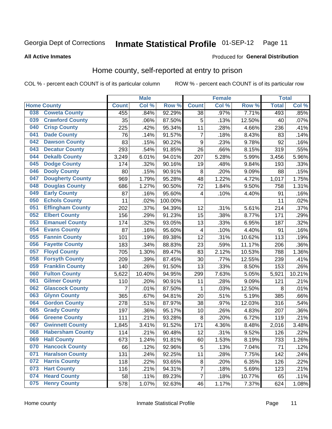### Inmate Statistical Profile 01-SEP-12 Page 11

**All Active Inmates** 

#### Produced for General Distribution

#### Home county, self-reported at entry to prison

COL % - percent each COUNT is of its particular column

|     |                         |              | <b>Male</b> |         |                 | <b>Female</b> |        | <b>Total</b> |        |
|-----|-------------------------|--------------|-------------|---------|-----------------|---------------|--------|--------------|--------|
|     | <b>Home County</b>      | <b>Count</b> | Col %       | Row %   | <b>Count</b>    | Col %         | Row %  | <b>Total</b> | Col %  |
| 038 | <b>Coweta County</b>    | 455          | .84%        | 92.29%  | $\overline{38}$ | .97%          | 7.71%  | 493          | .85%   |
| 039 | <b>Crawford County</b>  | 35           | .06%        | 87.50%  | 5               | .13%          | 12.50% | 40           | .07%   |
| 040 | <b>Crisp County</b>     | 225          | .42%        | 95.34%  | 11              | .28%          | 4.66%  | 236          | .41%   |
| 041 | <b>Dade County</b>      | 76           | .14%        | 91.57%  | $\overline{7}$  | .18%          | 8.43%  | 83           | .14%   |
| 042 | <b>Dawson County</b>    | 83           | .15%        | 90.22%  | 9               | .23%          | 9.78%  | 92           | .16%   |
| 043 | <b>Decatur County</b>   | 293          | .54%        | 91.85%  | 26              | .66%          | 8.15%  | 319          | .55%   |
| 044 | <b>Dekalb County</b>    | 3,249        | 6.01%       | 94.01%  | 207             | 5.28%         | 5.99%  | 3,456        | 5.96%  |
| 045 | <b>Dodge County</b>     | 174          | .32%        | 90.16%  | 19              | .48%          | 9.84%  | 193          | .33%   |
| 046 | <b>Dooly County</b>     | 80           | .15%        | 90.91%  | 8               | .20%          | 9.09%  | 88           | .15%   |
| 047 | <b>Dougherty County</b> | 969          | 1.79%       | 95.28%  | 48              | 1.22%         | 4.72%  | 1,017        | 1.75%  |
| 048 | <b>Douglas County</b>   | 686          | 1.27%       | 90.50%  | 72              | 1.84%         | 9.50%  | 758          | 1.31%  |
| 049 | <b>Early County</b>     | 87           | .16%        | 95.60%  | 4               | .10%          | 4.40%  | 91           | .16%   |
| 050 | <b>Echols County</b>    | 11           | .02%        | 100.00% |                 |               |        | 11           | .02%   |
| 051 | <b>Effingham County</b> | 202          | .37%        | 94.39%  | 12              | .31%          | 5.61%  | 214          | .37%   |
| 052 | <b>Elbert County</b>    | 156          | .29%        | 91.23%  | 15              | .38%          | 8.77%  | 171          | .29%   |
| 053 | <b>Emanuel County</b>   | 174          | .32%        | 93.05%  | 13              | .33%          | 6.95%  | 187          | .32%   |
| 054 | <b>Evans County</b>     | 87           | .16%        | 95.60%  | 4               | .10%          | 4.40%  | 91           | .16%   |
| 055 | <b>Fannin County</b>    | 101          | .19%        | 89.38%  | 12              | .31%          | 10.62% | 113          | .19%   |
| 056 | <b>Fayette County</b>   | 183          | .34%        | 88.83%  | 23              | .59%          | 11.17% | 206          | .36%   |
| 057 | <b>Floyd County</b>     | 705          | 1.30%       | 89.47%  | 83              | 2.12%         | 10.53% | 788          | 1.36%  |
| 058 | <b>Forsyth County</b>   | 209          | .39%        | 87.45%  | 30              | .77%          | 12.55% | 239          | .41%   |
| 059 | <b>Franklin County</b>  | 140          | .26%        | 91.50%  | 13              | .33%          | 8.50%  | 153          | .26%   |
| 060 | <b>Fulton County</b>    | 5,622        | 10.40%      | 94.95%  | 299             | 7.63%         | 5.05%  | 5,921        | 10.21% |
| 061 | <b>Gilmer County</b>    | 110          | .20%        | 90.91%  | 11              | .28%          | 9.09%  | 121          | .21%   |
| 062 | <b>Glascock County</b>  | 7            | .01%        | 87.50%  | 1               | .03%          | 12.50% | 8            | .01%   |
| 063 | <b>Glynn County</b>     | 365          | .67%        | 94.81%  | 20              | .51%          | 5.19%  | 385          | .66%   |
| 064 | <b>Gordon County</b>    | 278          | .51%        | 87.97%  | 38              | .97%          | 12.03% | 316          | .54%   |
| 065 | <b>Grady County</b>     | 197          | .36%        | 95.17%  | 10              | .26%          | 4.83%  | 207          | .36%   |
| 066 | <b>Greene County</b>    | 111          | .21%        | 93.28%  | 8               | .20%          | 6.72%  | 119          | .21%   |
| 067 | <b>Gwinnett County</b>  | 1,845        | 3.41%       | 91.52%  | 171             | 4.36%         | 8.48%  | 2,016        | 3.48%  |
| 068 | <b>Habersham County</b> | 114          | .21%        | 90.48%  | 12              | .31%          | 9.52%  | 126          | .22%   |
| 069 | <b>Hall County</b>      | 673          | 1.24%       | 91.81%  | 60              | 1.53%         | 8.19%  | 733          | 1.26%  |
| 070 | <b>Hancock County</b>   | 66           | .12%        | 92.96%  | 5               | .13%          | 7.04%  | 71           | .12%   |
| 071 | <b>Haralson County</b>  | 131          | .24%        | 92.25%  | 11              | .28%          | 7.75%  | 142          | .24%   |
| 072 | <b>Harris County</b>    | 118          | .22%        | 93.65%  | 8               | .20%          | 6.35%  | 126          | .22%   |
| 073 | <b>Hart County</b>      | 116          | .21%        | 94.31%  | 7               | .18%          | 5.69%  | 123          | .21%   |
| 074 | <b>Heard County</b>     | 58           | .11%        | 89.23%  | $\overline{7}$  | .18%          | 10.77% | 65           | .11%   |
| 075 | <b>Henry County</b>     | 578          | 1.07%       | 92.63%  | 46              | 1.17%         | 7.37%  | 624          | 1.08%  |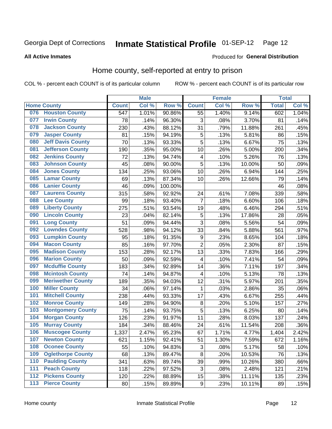### Inmate Statistical Profile 01-SEP-12 Page 12

**All Active Inmates** 

#### Produced for General Distribution

#### Home county, self-reported at entry to prison

COL % - percent each COUNT is of its particular column

|     |                          |              | <b>Male</b> |                  |                         | <b>Female</b> |        | <b>Total</b> |       |
|-----|--------------------------|--------------|-------------|------------------|-------------------------|---------------|--------|--------------|-------|
|     | <b>Home County</b>       | <b>Count</b> | Col %       | Row <sup>%</sup> | <b>Count</b>            | Col %         | Row %  | <b>Total</b> | Col % |
|     | 076 Houston County       | 547          | 1.01%       | 90.86%           | 55                      | 1.40%         | 9.14%  | 602          | 1.04% |
| 077 | <b>Irwin County</b>      | 78           | .14%        | 96.30%           | 3                       | .08%          | 3.70%  | 81           | .14%  |
| 078 | <b>Jackson County</b>    | 230          | .43%        | 88.12%           | 31                      | .79%          | 11.88% | 261          | .45%  |
| 079 | <b>Jasper County</b>     | 81           | .15%        | 94.19%           | 5                       | .13%          | 5.81%  | 86           | .15%  |
| 080 | <b>Jeff Davis County</b> | 70           | .13%        | 93.33%           | 5                       | .13%          | 6.67%  | 75           | .13%  |
| 081 | <b>Jefferson County</b>  | 190          | .35%        | 95.00%           | 10                      | .26%          | 5.00%  | 200          | .34%  |
| 082 | <b>Jenkins County</b>    | 72           | .13%        | 94.74%           | $\overline{4}$          | .10%          | 5.26%  | 76           | .13%  |
| 083 | <b>Johnson County</b>    | 45           | .08%        | 90.00%           | 5                       | .13%          | 10.00% | 50           | .09%  |
| 084 | <b>Jones County</b>      | 134          | .25%        | 93.06%           | 10                      | .26%          | 6.94%  | 144          | .25%  |
| 085 | <b>Lamar County</b>      | 69           | .13%        | 87.34%           | 10                      | .26%          | 12.66% | 79           | .14%  |
| 086 | <b>Lanier County</b>     | 46           | .09%        | 100.00%          |                         |               |        | 46           | .08%  |
| 087 | <b>Laurens County</b>    | 315          | .58%        | 92.92%           | 24                      | .61%          | 7.08%  | 339          | .58%  |
| 088 | <b>Lee County</b>        | 99           | .18%        | 93.40%           | $\overline{7}$          | .18%          | 6.60%  | 106          | .18%  |
| 089 | <b>Liberty County</b>    | 275          | .51%        | 93.54%           | 19                      | .48%          | 6.46%  | 294          | .51%  |
| 090 | <b>Lincoln County</b>    | 23           | .04%        | 82.14%           | 5                       | .13%          | 17.86% | 28           | .05%  |
| 091 | <b>Long County</b>       | 51           | .09%        | 94.44%           | 3                       | .08%          | 5.56%  | 54           | .09%  |
| 092 | <b>Lowndes County</b>    | 528          | .98%        | 94.12%           | 33                      | .84%          | 5.88%  | 561          | .97%  |
| 093 | <b>Lumpkin County</b>    | 95           | .18%        | 91.35%           | $\boldsymbol{9}$        | .23%          | 8.65%  | 104          | .18%  |
| 094 | <b>Macon County</b>      | 85           | .16%        | 97.70%           | $\overline{2}$          | .05%          | 2.30%  | 87           | .15%  |
| 095 | <b>Madison County</b>    | 153          | .28%        | 92.17%           | 13                      | .33%          | 7.83%  | 166          | .29%  |
| 096 | <b>Marion County</b>     | 50           | .09%        | 92.59%           | $\overline{\mathbf{4}}$ | .10%          | 7.41%  | 54           | .09%  |
| 097 | <b>Mcduffie County</b>   | 183          | .34%        | 92.89%           | 14                      | .36%          | 7.11%  | 197          | .34%  |
| 098 | <b>Mcintosh County</b>   | 74           | .14%        | 94.87%           | 4                       | .10%          | 5.13%  | 78           | .13%  |
| 099 | <b>Meriwether County</b> | 189          | .35%        | 94.03%           | 12                      | .31%          | 5.97%  | 201          | .35%  |
| 100 | <b>Miller County</b>     | 34           | .06%        | 97.14%           | 1                       | .03%          | 2.86%  | 35           | .06%  |
| 101 | <b>Mitchell County</b>   | 238          | .44%        | 93.33%           | 17                      | .43%          | 6.67%  | 255          | .44%  |
| 102 | <b>Monroe County</b>     | 149          | .28%        | 94.90%           | 8                       | .20%          | 5.10%  | 157          | .27%  |
| 103 | <b>Montgomery County</b> | 75           | .14%        | 93.75%           | 5                       | .13%          | 6.25%  | 80           | .14%  |
| 104 | <b>Morgan County</b>     | 126          | .23%        | 91.97%           | 11                      | .28%          | 8.03%  | 137          | .24%  |
| 105 | <b>Murray County</b>     | 184          | .34%        | 88.46%           | 24                      | .61%          | 11.54% | 208          | .36%  |
| 106 | <b>Muscogee County</b>   | 1,337        | 2.47%       | 95.23%           | 67                      | 1.71%         | 4.77%  | 1,404        | 2.42% |
| 107 | <b>Newton County</b>     | 621          | 1.15%       | 92.41%           | 51                      | 1.30%         | 7.59%  | 672          | 1.16% |
| 108 | <b>Oconee County</b>     | 55           | .10%        | 94.83%           | 3                       | .08%          | 5.17%  | 58           | .10%  |
| 109 | <b>Oglethorpe County</b> | 68           | .13%        | 89.47%           | 8                       | .20%          | 10.53% | 76           | .13%  |
| 110 | <b>Paulding County</b>   | 341          | .63%        | 89.74%           | 39                      | .99%          | 10.26% | 380          | .66%  |
| 111 | <b>Peach County</b>      | 118          | .22%        | 97.52%           | 3                       | .08%          | 2.48%  | 121          | .21%  |
| 112 | <b>Pickens County</b>    | 120          | .22%        | 88.89%           | 15                      | .38%          | 11.11% | 135          | .23%  |
| 113 | <b>Pierce County</b>     | 80           | .15%        | 89.89%           | $\boldsymbol{9}$        | .23%          | 10.11% | 89           | .15%  |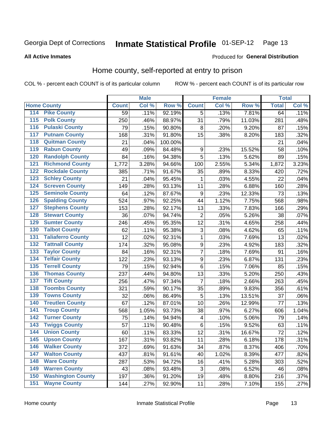### Inmate Statistical Profile 01-SEP-12 Page 13

#### **All Active Inmates**

#### **Produced for General Distribution**

#### Home county, self-reported at entry to prison

COL % - percent each COUNT is of its particular column

|                  |                          |              | <b>Male</b> |         |                  | <b>Female</b> |        | <b>Total</b> |       |
|------------------|--------------------------|--------------|-------------|---------|------------------|---------------|--------|--------------|-------|
|                  | <b>Home County</b>       | <b>Count</b> | Col %       | Row %   | <b>Count</b>     | Col %         | Row %  | <b>Total</b> | Col % |
| 114              | <b>Pike County</b>       | 59           | .11%        | 92.19%  | 5                | .13%          | 7.81%  | 64           | .11%  |
| 115              | <b>Polk County</b>       | 250          | .46%        | 88.97%  | 31               | .79%          | 11.03% | 281          | .48%  |
| 116              | <b>Pulaski County</b>    | 79           | .15%        | 90.80%  | 8                | .20%          | 9.20%  | 87           | .15%  |
| 117              | <b>Putnam County</b>     | 168          | .31%        | 91.80%  | 15               | .38%          | 8.20%  | 183          | .32%  |
| 118              | <b>Quitman County</b>    | 21           | .04%        | 100.00% |                  |               |        | 21           | .04%  |
| 119              | <b>Rabun County</b>      | 49           | .09%        | 84.48%  | $\boldsymbol{9}$ | .23%          | 15.52% | 58           | .10%  |
| 120              | <b>Randolph County</b>   | 84           | .16%        | 94.38%  | 5                | .13%          | 5.62%  | 89           | .15%  |
| 121              | <b>Richmond County</b>   | 1,772        | 3.28%       | 94.66%  | 100              | 2.55%         | 5.34%  | 1,872        | 3.23% |
| 122              | <b>Rockdale County</b>   | 385          | .71%        | 91.67%  | 35               | .89%          | 8.33%  | 420          | .72%  |
| 123              | <b>Schley County</b>     | 21           | .04%        | 95.45%  | 1                | .03%          | 4.55%  | 22           | .04%  |
| 124              | <b>Screven County</b>    | 149          | .28%        | 93.13%  | 11               | .28%          | 6.88%  | 160          | .28%  |
| 125              | <b>Seminole County</b>   | 64           | .12%        | 87.67%  | 9                | .23%          | 12.33% | 73           | .13%  |
| 126              | <b>Spalding County</b>   | 524          | .97%        | 92.25%  | 44               | 1.12%         | 7.75%  | 568          | .98%  |
| 127              | <b>Stephens County</b>   | 153          | .28%        | 92.17%  | 13               | .33%          | 7.83%  | 166          | .29%  |
| 128              | <b>Stewart County</b>    | 36           | .07%        | 94.74%  | $\mathbf 2$      | .05%          | 5.26%  | 38           | .07%  |
| 129              | <b>Sumter County</b>     | 246          | .45%        | 95.35%  | 12               | .31%          | 4.65%  | 258          | .44%  |
| 130              | <b>Talbot County</b>     | 62           | .11%        | 95.38%  | $\sqrt{3}$       | .08%          | 4.62%  | 65           | .11%  |
| 131              | <b>Taliaferro County</b> | 12           | .02%        | 92.31%  | $\mathbf 1$      | .03%          | 7.69%  | 13           | .02%  |
| 132              | <b>Tattnall County</b>   | 174          | .32%        | 95.08%  | $\overline{9}$   | .23%          | 4.92%  | 183          | .32%  |
| 133              | <b>Taylor County</b>     | 84           | .16%        | 92.31%  | $\overline{7}$   | .18%          | 7.69%  | 91           | .16%  |
| 134              | <b>Telfair County</b>    | 122          | .23%        | 93.13%  | $\boldsymbol{9}$ | .23%          | 6.87%  | 131          | .23%  |
| 135              | <b>Terrell County</b>    | 79           | .15%        | 92.94%  | $\,6$            | .15%          | 7.06%  | 85           | .15%  |
| 136              | <b>Thomas County</b>     | 237          | .44%        | 94.80%  | 13               | .33%          | 5.20%  | 250          | .43%  |
| 137              | <b>Tift County</b>       | 256          | .47%        | 97.34%  | $\overline{7}$   | .18%          | 2.66%  | 263          | .45%  |
| 138              | <b>Toombs County</b>     | 321          | .59%        | 90.17%  | 35               | .89%          | 9.83%  | 356          | .61%  |
| 139              | <b>Towns County</b>      | 32           | .06%        | 86.49%  | 5                | .13%          | 13.51% | 37           | .06%  |
| 140              | <b>Treutlen County</b>   | 67           | .12%        | 87.01%  | 10               | .26%          | 12.99% | 77           | .13%  |
| 141              | <b>Troup County</b>      | 568          | 1.05%       | 93.73%  | 38               | .97%          | 6.27%  | 606          | 1.04% |
| $\overline{142}$ | <b>Turner County</b>     | 75           | .14%        | 94.94%  | 4                | .10%          | 5.06%  | 79           | .14%  |
| 143              | <b>Twiggs County</b>     | 57           | .11%        | 90.48%  | $\overline{6}$   | .15%          | 9.52%  | 63           | .11%  |
| 144              | <b>Union County</b>      | 60           | .11%        | 83.33%  | 12               | .31%          | 16.67% | 72           | .12%  |
| 145              | <b>Upson County</b>      | 167          | .31%        | 93.82%  | 11               | .28%          | 6.18%  | 178          | .31%  |
| 146              | <b>Walker County</b>     | 372          | .69%        | 91.63%  | 34               | .87%          | 8.37%  | 406          | .70%  |
| 147              | <b>Walton County</b>     | 437          | .81%        | 91.61%  | 40               | 1.02%         | 8.39%  | 477          | .82%  |
| 148              | <b>Ware County</b>       | 287          | .53%        | 94.72%  | 16               | .41%          | 5.28%  | 303          | .52%  |
| 149              | <b>Warren County</b>     | 43           | .08%        | 93.48%  | 3                | .08%          | 6.52%  | 46           | .08%  |
| 150              | <b>Washington County</b> | 197          | .36%        | 91.20%  | 19               | .48%          | 8.80%  | 216          | .37%  |
| 151              | <b>Wayne County</b>      | 144          | .27%        | 92.90%  | 11               | .28%          | 7.10%  | 155          | .27%  |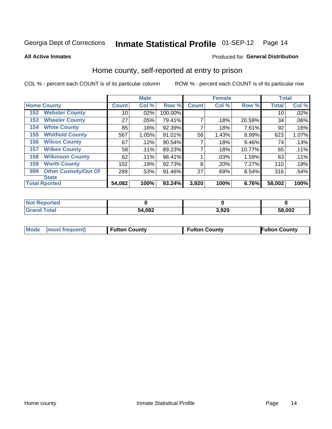### Inmate Statistical Profile 01-SEP-12 Page 14

**All Active Inmates** 

#### Produced for General Distribution

#### Home county, self-reported at entry to prison

COL % - percent each COUNT is of its particular column

|     |                             |              | <b>Male</b> |         |              | <b>Female</b> |          | <b>Total</b> |       |
|-----|-----------------------------|--------------|-------------|---------|--------------|---------------|----------|--------------|-------|
|     | <b>Home County</b>          | <b>Count</b> | Col %       | Row %   | <b>Count</b> | Col %         | Row %    | <b>Total</b> | Col % |
| 152 | <b>Webster County</b>       | 10           | .02%        | 100.00% |              |               |          | 10           | .02%  |
| 153 | <b>Wheeler County</b>       | 27           | .05%        | 79.41%  | 7            | .18%          | 20.59%   | 34           | .06%  |
| 154 | <b>White County</b>         | 85           | .16%        | 92.39%  | 7            | .18%          | 7.61%    | 92           | .16%  |
| 155 | <b>Whitfield County</b>     | 567          | 1.05%       | 91.01%  | 56           | 1.43%         | $8.99\%$ | 623          | 1.07% |
| 156 | <b>Wilcox County</b>        | 67           | .12%        | 90.54%  |              | .18%          | 9.46%    | 74           | .13%  |
| 157 | <b>Wilkes County</b>        | 58           | .11%        | 89.23%  | 7            | .18%          | 10.77%   | 65           | .11%  |
| 158 | <b>Wilkinson County</b>     | 62           | .11%        | 98.41%  |              | .03%          | 1.59%    | 63           | .11%  |
| 159 | <b>Worth County</b>         | 102          | .19%        | 92.73%  | 8            | .20%          | 7.27%    | 110          | .19%  |
| 999 | <b>Other Custody/Out Of</b> | 289          | .53%        | 91.46%  | 27           | .69%          | 8.54%    | 316          | .54%  |
|     | <b>State</b>                |              |             |         |              |               |          |              |       |
|     | <b>Total Rported</b>        | 54,082       | 100%        | 93.24%  | 3,920        | 100%          | 6.76%    | 58,002       | 100%  |

| NO<br>ueo |        |       |        |
|-----------|--------|-------|--------|
|           | 54,082 | l 920 | 58,002 |

|  | Mode (most frequent) | <b>Fulton County</b> | <b>Fulton County</b> | <b>Fulton County</b> |
|--|----------------------|----------------------|----------------------|----------------------|
|--|----------------------|----------------------|----------------------|----------------------|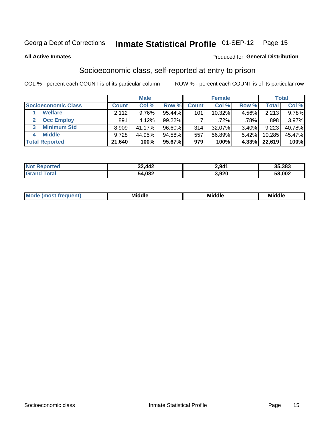### Inmate Statistical Profile 01-SEP-12 Page 15

**All Active Inmates** 

#### **Produced for General Distribution**

#### Socioeconomic class, self-reported at entry to prison

COL % - percent each COUNT is of its particular column

|                       |        | <b>Male</b> |           |              | <b>Female</b> |          |        | <b>Total</b> |
|-----------------------|--------|-------------|-----------|--------------|---------------|----------|--------|--------------|
| Socioeconomic Class   | Count  | Col %       | Row %     | <b>Count</b> | Col %         | Row %    | Total  | Col %        |
| <b>Welfare</b>        | 2,112  | 9.76%       | 95.44%    | 101          | 10.32%        | 4.56%    | 2,213  | 9.78%        |
| <b>Occ Employ</b>     | 891    | 4.12%       | $99.22\%$ |              | $.72\%$       | .78%     | 898    | 3.97%        |
| <b>Minimum Std</b>    | 8,909  | 41.17%      | $96.60\%$ | 314          | 32.07%        | $3.40\%$ | 9,223  | 40.78%       |
| <b>Middle</b><br>4    | 9,728  | 44.95%      | 94.58%    | 557          | 56.89%        | $5.42\%$ | 10,285 | 45.47%       |
| <b>Total Reported</b> | 21,640 | 100%        | 95.67%    | 979          | 100%          | $4.33\%$ | 22.619 | 100%         |

| Not Reported | 32,442 | 2,941 | 35,383 |
|--------------|--------|-------|--------|
| Total        | 54,082 | 3,920 | 58,002 |

| ____<br>_____<br>____ |
|-----------------------|
|-----------------------|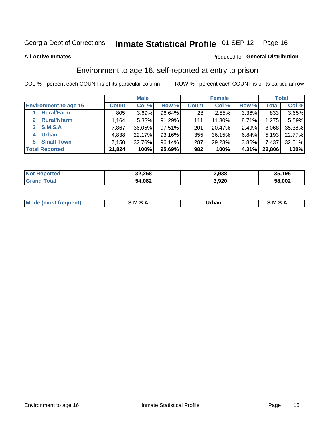### Inmate Statistical Profile 01-SEP-12 Page 16

**All Active Inmates** 

#### Produced for General Distribution

### Environment to age 16, self-reported at entry to prison

COL % - percent each COUNT is of its particular column

|                              |                     | <b>Male</b> |        |              | <b>Female</b> |       |              | <b>Total</b> |
|------------------------------|---------------------|-------------|--------|--------------|---------------|-------|--------------|--------------|
| <b>Environment to age 16</b> | <b>Count</b>        | Col %       | Row %  | <b>Count</b> | Col %         | Row % | <b>Total</b> | Col %        |
| <b>Rural/Farm</b>            | 805                 | 3.69%       | 96.64% | 28           | 2.85%         | 3.36% | 833          | $3.65\%$     |
| <b>Rural/Nfarm</b>           | $.164$ <sup>1</sup> | 5.33%       | 91.29% | 111          | 11.30%        | 8.71% | 1,275        | 5.59%        |
| S.M.S.A<br>3                 | 7,867               | 36.05%      | 97.51% | 201          | 20.47%        | 2.49% | 8,068        | 35.38%       |
| <b>Urban</b><br>4            | 4,838               | 22.17%      | 93.16% | 355          | 36.15%        | 6.84% | 5,193        | 22.77%       |
| <b>Small Town</b><br>5.      | 7,150               | 32.76%      | 96.14% | 287          | 29.23%        | 3.86% | 7,437        | 32.61%       |
| <b>Total Reported</b>        | 21,824              | 100%        | 95.69% | 982          | 100%          | 4.31% | 22,806       | 100%         |

| <b>Not Reported</b> | 32,258 | 2.938 | 35,196 |
|---------------------|--------|-------|--------|
|                     | 54,082 | 3,920 | 58,002 |

| Mou.<br>uent)<br> | . M S | Jrban<br>_____ | M<br>_____ |
|-------------------|-------|----------------|------------|
|                   |       |                |            |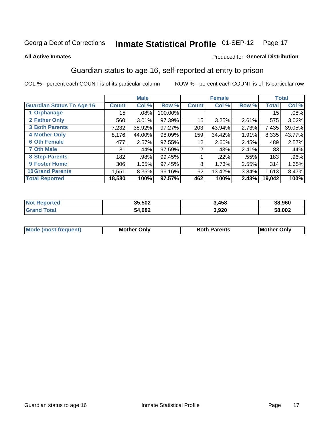### Inmate Statistical Profile 01-SEP-12 Page 17

#### **All Active Inmates**

#### **Produced for General Distribution**

#### Guardian status to age 16, self-reported at entry to prison

COL % - percent each COUNT is of its particular column

|                                  |              | <b>Male</b> |           |              | <b>Female</b> |       |              | <b>Total</b> |
|----------------------------------|--------------|-------------|-----------|--------------|---------------|-------|--------------|--------------|
| <b>Guardian Status To Age 16</b> | <b>Count</b> | Col %       | Row %     | <b>Count</b> | Col %         | Row % | <b>Total</b> | Col %        |
| 1 Orphanage                      | 15           | $.08\%$     | 100.00%   |              |               |       | 15           | .08%         |
| 2 Father Only                    | 560          | $3.01\%$    | 97.39%    | 15           | 3.25%         | 2.61% | 575          | 3.02%        |
| <b>3 Both Parents</b>            | 7,232        | 38.92%      | $97.27\%$ | 203          | 43.94%        | 2.73% | 7,435        | 39.05%       |
| <b>4 Mother Only</b>             | 8,176        | 44.00%      | 98.09%    | 159          | 34.42%        | 1.91% | 8,335        | 43.77%       |
| <b>6 Oth Female</b>              | 477          | 2.57%       | $97.55\%$ | 12           | 2.60%         | 2.45% | 489          | 2.57%        |
| <b>7 Oth Male</b>                | 81           | .44%        | 97.59%    | 2            | .43%          | 2.41% | 83           | .44%         |
| 8 Step-Parents                   | 182          | .98%        | 99.45%    |              | .22%          | .55%  | 183          | $.96\%$      |
| 9 Foster Home                    | 306          | 1.65%       | 97.45%    | 8            | 1.73%         | 2.55% | 314          | 1.65%        |
| <b>10 Grand Parents</b>          | 1,551        | 8.35%       | 96.16%    | 62           | 13.42%        | 3.84% | 1,613        | 8.47%        |
| <b>Total Reported</b>            | 18,580       | 100%        | 97.57%    | 462          | 100%          | 2.43% | 19,042       | 100%         |

| <b>prted</b><br>NOT | 35,502 | 3,458 | 38,960 |
|---------------------|--------|-------|--------|
| .Gr                 | 54,082 | 3,920 | 58,002 |

| Mode | วทIv<br>Mot | <b>Both Parents</b><br>Parents | lM.<br>Only<br>. |
|------|-------------|--------------------------------|------------------|
|      |             |                                |                  |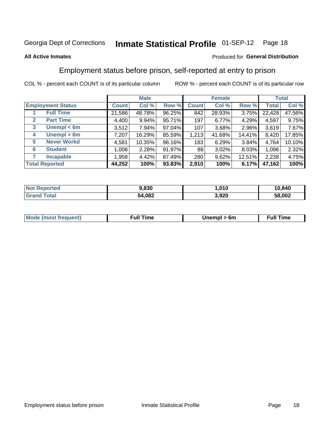#### **Inmate Statistical Profile 01-SEP-12** Page 18

#### **All Active Inmates**

#### Produced for General Distribution

#### Employment status before prison, self-reported at entry to prison

COL % - percent each COUNT is of its particular column

|                                  |              | <b>Male</b> |        |              | <b>Female</b> |        |        | <b>Total</b> |
|----------------------------------|--------------|-------------|--------|--------------|---------------|--------|--------|--------------|
| <b>Employment Status</b>         | <b>Count</b> | Col %       | Row %  | <b>Count</b> | Col %         | Row %  | Total  | Col %        |
| <b>Full Time</b>                 | 21,586       | 48.78%      | 96.25% | 842          | 28.93%        | 3.75%  | 22,428 | 47.56%       |
| <b>Part Time</b><br>$\mathbf{2}$ | 4,400        | $9.94\%$    | 95.71% | 197          | 6.77%         | 4.29%  | 4,597  | 9.75%        |
| Unempl $<$ 6m<br>3               | 3,512        | 7.94%       | 97.04% | 107          | 3.68%         | 2.96%  | 3,619  | 7.67%        |
| Unempl > 6m<br>4                 | 7,207        | 16.29%      | 85.59% | 1,213        | 41.68%        | 14.41% | 8,420  | 17.85%       |
| <b>Never Workd</b><br>5          | 4,581        | 10.35%      | 96.16% | 183          | 6.29%         | 3.84%  | 4,764  | 10.10%       |
| <b>Student</b><br>6              | 1,008        | 2.28%       | 91.97% | 88           | 3.02%         | 8.03%  | 1,096  | 2.32%        |
| <b>Incapable</b>                 | 1,958        | 4.42%       | 87.49% | 280          | 9.62%         | 12.51% | 2,238  | 4.75%        |
| <b>Total Reported</b>            | 44,252       | 100%        | 93.83% | 2,910        | 100%          | 6.17%  | 47,162 | 100%         |

| <b>Not</b><br>Reported | 9,830  | .010  | 10,840 |
|------------------------|--------|-------|--------|
| <b>ota</b>             | 54,082 | 3,920 | 58,002 |

| <b>Moo.</b><br><b>THOST</b> | the contract of the contract of the contract of the contract of the contract of the contract of the contract of | 6m | ıme |
|-----------------------------|-----------------------------------------------------------------------------------------------------------------|----|-----|
|                             |                                                                                                                 |    |     |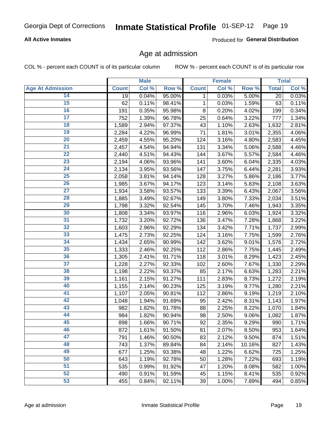#### **All Active Inmates**

Produced for General Distribution

#### Age at admission

COL % - percent each COUNT is of its particular column

|                         |              | <b>Male</b> |        |              | <b>Female</b> |        |              | <b>Total</b> |
|-------------------------|--------------|-------------|--------|--------------|---------------|--------|--------------|--------------|
| <b>Age At Admission</b> | <b>Count</b> | Col %       | Row %  | <b>Count</b> | Col %         | Row %  | <b>Total</b> | Col %        |
| 14                      | 19           | 0.04%       | 95.00% | 1            | 0.03%         | 5.00%  | 20           | 0.03%        |
| 15                      | 62           | 0.11%       | 98.41% | 1            | 0.03%         | 1.59%  | 63           | 0.11%        |
| 16                      | 191          | 0.35%       | 95.98% | 8            | 0.20%         | 4.02%  | 199          | 0.34%        |
| $\overline{17}$         | 752          | 1.39%       | 96.78% | 25           | 0.64%         | 3.22%  | 777          | 1.34%        |
| $\overline{18}$         | 1,589        | 2.94%       | 97.37% | 43           | 1.10%         | 2.63%  | 1,632        | 2.81%        |
| 19                      | 2,284        | 4.22%       | 96.99% | 71           | 1.81%         | 3.01%  | 2,355        | 4.06%        |
| 20                      | 2,459        | 4.55%       | 95.20% | 124          | 3.16%         | 4.80%  | 2,583        | 4.45%        |
| $\overline{21}$         | 2,457        | 4.54%       | 94.94% | 131          | 3.34%         | 5.06%  | 2,588        | 4.46%        |
| $\overline{22}$         | 2,440        | 4.51%       | 94.43% | 144          | 3.67%         | 5.57%  | 2,584        | 4.46%        |
| 23                      | 2,194        | 4.06%       | 93.96% | 141          | 3.60%         | 6.04%  | 2,335        | 4.03%        |
| 24                      | 2,134        | 3.95%       | 93.56% | 147          | 3.75%         | 6.44%  | 2,281        | 3.93%        |
| $\overline{25}$         | 2,058        | 3.81%       | 94.14% | 128          | 3.27%         | 5.86%  | 2,186        | 3.77%        |
| 26                      | 1,985        | 3.67%       | 94.17% | 123          | 3.14%         | 5.83%  | 2,108        | 3.63%        |
| $\overline{27}$         | 1,934        | 3.58%       | 93.57% | 133          | 3.39%         | 6.43%  | 2,067        | 3.56%        |
| 28                      | 1,885        | 3.49%       | 92.67% | 149          | 3.80%         | 7.33%  | 2,034        | 3.51%        |
| 29                      | 1,798        | 3.32%       | 92.54% | 145          | 3.70%         | 7.46%  | 1,943        | 3.35%        |
| 30                      | 1,808        | 3.34%       | 93.97% | 116          | 2.96%         | 6.03%  | 1,924        | 3.32%        |
| 31                      | 1,732        | 3.20%       | 92.72% | 136          | 3.47%         | 7.28%  | 1,868        | 3.22%        |
| 32                      | 1,603        | 2.96%       | 92.29% | 134          | 3.42%         | 7.71%  | 1,737        | 2.99%        |
| 33                      | 1,475        | 2.73%       | 92.25% | 124          | 3.16%         | 7.75%  | 1,599        | 2.76%        |
| 34                      | 1,434        | 2.65%       | 90.99% | 142          | 3.62%         | 9.01%  | 1,576        | 2.72%        |
| 35                      | 1,333        | 2.46%       | 92.25% | 112          | 2.86%         | 7.75%  | 1,445        | 2.49%        |
| 36                      | 1,305        | 2.41%       | 91.71% | 118          | 3.01%         | 8.29%  | 1,423        | 2.45%        |
| $\overline{37}$         | 1,228        | 2.27%       | 92.33% | 102          | 2.60%         | 7.67%  | 1,330        | 2.29%        |
| 38                      | 1,198        | 2.22%       | 93.37% | 85           | 2.17%         | 6.63%  | 1,283        | 2.21%        |
| 39                      | 1,161        | 2.15%       | 91.27% | 111          | 2.83%         | 8.73%  | 1,272        | 2.19%        |
| 40                      | 1,155        | 2.14%       | 90.23% | 125          | 3.19%         | 9.77%  | 1,280        | 2.21%        |
| 41                      | 1,107        | 2.05%       | 90.81% | 112          | 2.86%         | 9.19%  | 1,219        | 2.10%        |
| 42                      | 1,048        | 1.94%       | 91.69% | 95           | 2.42%         | 8.31%  | 1,143        | 1.97%        |
| 43                      | 982          | 1.82%       | 91.78% | 88           | 2.25%         | 8.22%  | 1,070        | 1.84%        |
| 44                      | 984          | 1.82%       | 90.94% | 98           | 2.50%         | 9.06%  | 1,082        | 1.87%        |
| 45                      | 898          | 1.66%       | 90.71% | 92           | 2.35%         | 9.29%  | 990          | 1.71%        |
| 46                      | 872          | 1.61%       | 91.50% | 81           | 2.07%         | 8.50%  | 953          | 1.64%        |
| 47                      | 791          | 1.46%       | 90.50% | 83           | 2.12%         | 9.50%  | 874          | 1.51%        |
| 48                      | 743          | 1.37%       | 89.84% | 84           | 2.14%         | 10.16% | 827          | 1.43%        |
| 49                      | 677          | 1.25%       | 93.38% | 48           | 1.22%         | 6.62%  | 725          | 1.25%        |
| 50                      | 643          | 1.19%       | 92.78% | 50           | 1.28%         | 7.22%  | 693          | 1.19%        |
| 51                      | 535          | 0.99%       | 91.92% | 47           | 1.20%         | 8.08%  | 582          | 1.00%        |
| 52                      | 490          | 0.91%       | 91.59% | 45           | 1.15%         | 8.41%  | 535          | 0.92%        |
| 53                      | 455          | 0.84%       | 92.11% | 39           | 1.00%         | 7.89%  | 494          | 0.85%        |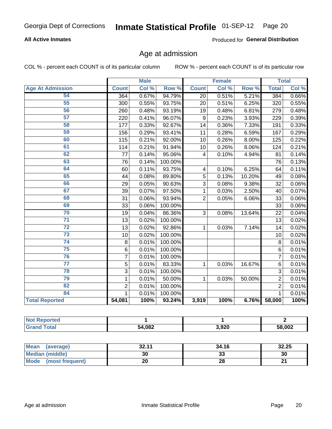#### **All Active Inmates**

Produced for General Distribution

### Age at admission

COL % - percent each COUNT is of its particular column

|                         |                 | <b>Male</b> |         |                | <b>Female</b> |                  |                | <b>Total</b> |
|-------------------------|-----------------|-------------|---------|----------------|---------------|------------------|----------------|--------------|
| <b>Age At Admission</b> | <b>Count</b>    | Col %       | Row %   | <b>Count</b>   | Col %         | Row <sup>%</sup> | <b>Total</b>   | Col %        |
| 54                      | 364             | 0.67%       | 94.79%  | 20             | 0.51%         | 5.21%            | 384            | 0.66%        |
| 55                      | 300             | 0.55%       | 93.75%  | 20             | 0.51%         | 6.25%            | 320            | 0.55%        |
| 56                      | 260             | 0.48%       | 93.19%  | 19             | 0.48%         | 6.81%            | 279            | 0.48%        |
| 57                      | 220             | 0.41%       | 96.07%  | 9              | 0.23%         | 3.93%            | 229            | 0.39%        |
| 58                      | 177             | 0.33%       | 92.67%  | 14             | 0.36%         | 7.33%            | 191            | 0.33%        |
| 59                      | 156             | 0.29%       | 93.41%  | 11             | 0.28%         | 6.59%            | 167            | 0.29%        |
| 60                      | 115             | 0.21%       | 92.00%  | 10             | 0.26%         | 8.00%            | 125            | 0.22%        |
| 61                      | 114             | 0.21%       | 91.94%  | 10             | 0.26%         | 8.06%            | 124            | 0.21%        |
| 62                      | 77              | 0.14%       | 95.06%  | 4              | 0.10%         | 4.94%            | 81             | 0.14%        |
| 63                      | 76              | 0.14%       | 100.00% |                |               |                  | 76             | 0.13%        |
| 64                      | 60              | 0.11%       | 93.75%  | 4              | 0.10%         | 6.25%            | 64             | 0.11%        |
| 65                      | 44              | 0.08%       | 89.80%  | 5              | 0.13%         | 10.20%           | 49             | 0.08%        |
| 66                      | 29              | 0.05%       | 90.63%  | 3              | 0.08%         | 9.38%            | 32             | 0.06%        |
| 67                      | 39              | 0.07%       | 97.50%  | 1              | 0.03%         | 2.50%            | 40             | 0.07%        |
| 68                      | 31              | 0.06%       | 93.94%  | $\overline{2}$ | 0.05%         | 6.06%            | 33             | 0.06%        |
| 69                      | 33              | 0.06%       | 100.00% |                |               |                  | 33             | 0.06%        |
| 70                      | 19              | 0.04%       | 86.36%  | 3              | 0.08%         | 13.64%           | 22             | 0.04%        |
| $\overline{71}$         | 13              | 0.02%       | 100.00% |                |               |                  | 13             | 0.02%        |
| $\overline{72}$         | 13              | 0.02%       | 92.86%  | 1              | 0.03%         | 7.14%            | 14             | 0.02%        |
| $\overline{73}$         | 10              | 0.02%       | 100.00% |                |               |                  | 10             | 0.02%        |
| 74                      | 8               | 0.01%       | 100.00% |                |               |                  | 8              | 0.01%        |
| $\overline{75}$         | $6\phantom{1}6$ | 0.01%       | 100.00% |                |               |                  | 6              | 0.01%        |
| 76                      | 7               | 0.01%       | 100.00% |                |               |                  | $\overline{7}$ | 0.01%        |
| 77                      | 5               | 0.01%       | 83.33%  | 1              | 0.03%         | 16.67%           | 6              | 0.01%        |
| 78                      | $\overline{3}$  | 0.01%       | 100.00% |                |               |                  | 3              | 0.01%        |
| 79                      | 1               | 0.01%       | 50.00%  | 1              | 0.03%         | 50.00%           | $\overline{2}$ | 0.01%        |
| 82                      | $\overline{2}$  | 0.01%       | 100.00% |                |               |                  | $\overline{2}$ | 0.01%        |
| 84                      | 1               | 0.01%       | 100.00% |                |               |                  | $\mathbf{1}$   | 0.01%        |
| <b>Total Reported</b>   | 54,081          | 100%        | 93.24%  | 3,919          | 100%          | 6.76%            | 58,000         | 100%         |

| тес<br>'N (  |        |       |        |
|--------------|--------|-------|--------|
| <b>cotal</b> | 54,082 | 3,920 | 58,002 |

| Mean (average)         | 32.11 | 34.16   | 32.25 |
|------------------------|-------|---------|-------|
| <b>Median (middle)</b> | 30    | ົ<br>აა | 30    |
| Mode (most frequent)   | 20    | 28      | ົ     |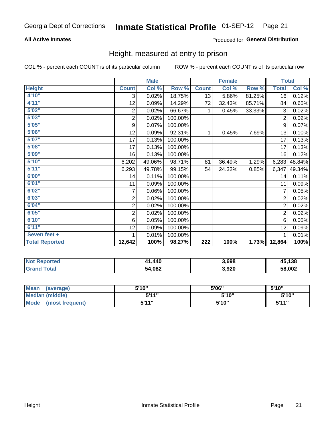#### **All Active Inmates**

#### Produced for General Distribution

#### Height, measured at entry to prison

COL % - percent each COUNT is of its particular column

|                       |                         | <b>Male</b> |         |              | <b>Female</b> |        | <b>Total</b>   |        |
|-----------------------|-------------------------|-------------|---------|--------------|---------------|--------|----------------|--------|
| <b>Height</b>         | <b>Count</b>            | Col %       | Row %   | <b>Count</b> | Col %         | Row %  | <b>Total</b>   | Col %  |
| 4'10"                 | 3                       | 0.02%       | 18.75%  | 13           | 5.86%         | 81.25% | 16             | 0.12%  |
| 4'11''                | 12                      | 0.09%       | 14.29%  | 72           | 32.43%        | 85.71% | 84             | 0.65%  |
| 5'02''                | $\sqrt{2}$              | 0.02%       | 66.67%  | 1            | 0.45%         | 33.33% | 3              | 0.02%  |
| 5'03''                | $\overline{\mathbf{c}}$ | 0.02%       | 100.00% |              |               |        | $\overline{c}$ | 0.02%  |
| 5'05''                | $\boldsymbol{9}$        | 0.07%       | 100.00% |              |               |        | 9              | 0.07%  |
| 5'06''                | 12                      | 0.09%       | 92.31%  | 1            | 0.45%         | 7.69%  | 13             | 0.10%  |
| 5'07''                | 17                      | 0.13%       | 100.00% |              |               |        | 17             | 0.13%  |
| 5'08''                | 17                      | 0.13%       | 100.00% |              |               |        | 17             | 0.13%  |
| 5'09''                | 16                      | 0.13%       | 100.00% |              |               |        | 16             | 0.12%  |
| 5'10''                | 6,202                   | 49.06%      | 98.71%  | 81           | 36.49%        | 1.29%  | 6,283          | 48.84% |
| 5'11''                | 6,293                   | 49.78%      | 99.15%  | 54           | 24.32%        | 0.85%  | 6,347          | 49.34% |
| 6'00''                | 14                      | 0.11%       | 100.00% |              |               |        | 14             | 0.11%  |
| 6'01''                | 11                      | 0.09%       | 100.00% |              |               |        | 11             | 0.09%  |
| 6'02''                | 7                       | 0.06%       | 100.00% |              |               |        | 7              | 0.05%  |
| 6'03''                | 2                       | 0.02%       | 100.00% |              |               |        | $\overline{2}$ | 0.02%  |
| 6'04''                | $\overline{\mathbf{c}}$ | 0.02%       | 100.00% |              |               |        | $\overline{2}$ | 0.02%  |
| 6'05''                | $\overline{c}$          | 0.02%       | 100.00% |              |               |        | $\overline{2}$ | 0.02%  |
| 6'10''                | 6                       | 0.05%       | 100.00% |              |               |        | 6              | 0.05%  |
| 6'11''                | 12                      | 0.09%       | 100.00% |              |               |        | 12             | 0.09%  |
| Seven feet +          | 1                       | 0.01%       | 100.00% |              |               |        |                | 0.01%  |
| <b>Total Reported</b> | 12,642                  | 100%        | 98.27%  | 222          | 100%          | 1.73%  | 12,864         | 100%   |

| <b>Not Reported</b> | 41.440 | 3,698 | 45,138 |
|---------------------|--------|-------|--------|
| Total<br>Grand      | 54,082 | 3,920 | 58,002 |

| Mean<br>(average)              | 5'10" | 5'06" | 5'10'' |
|--------------------------------|-------|-------|--------|
| <b>Median (middle)</b>         | 544"  | 5'10" | 5'10'' |
| <b>Mode</b><br>(most frequent) | 5'11" | 5'10" | 5'11"  |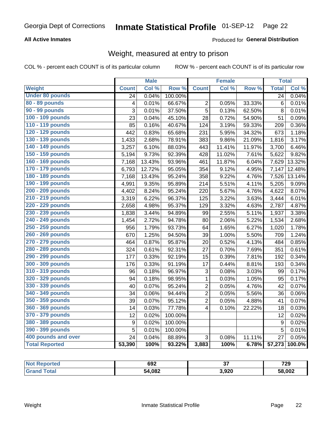#### **All Active Inmates**

#### Produced for General Distribution

### Weight, measured at entry to prison

COL % - percent each COUNT is of its particular column

|                        |                         | <b>Male</b> |                  |                         | <b>Female</b> |        | <b>Total</b>    |        |
|------------------------|-------------------------|-------------|------------------|-------------------------|---------------|--------|-----------------|--------|
| Weight                 | <b>Count</b>            | Col %       | Row <sup>%</sup> | <b>Count</b>            | Col %         | Row %  | <b>Total</b>    | Col %  |
| <b>Under 80 pounds</b> | 24                      | 0.04%       | 100.00%          |                         |               |        | 24              | 0.04%  |
| 80 - 89 pounds         | $\overline{\mathbf{4}}$ | 0.01%       | 66.67%           | $\overline{2}$          | 0.05%         | 33.33% | $6\phantom{1}6$ | 0.01%  |
| 90 - 99 pounds         | 3                       | 0.01%       | 37.50%           | 5                       | 0.13%         | 62.50% | 8               | 0.01%  |
| 100 - 109 pounds       | 23                      | 0.04%       | 45.10%           | 28                      | 0.72%         | 54.90% | 51              | 0.09%  |
| 110 - 119 pounds       | 85                      | 0.16%       | 40.67%           | 124                     | 3.19%         | 59.33% | 209             | 0.36%  |
| 120 - 129 pounds       | 442                     | 0.83%       | 65.68%           | 231                     | 5.95%         | 34.32% | 673             | 1.18%  |
| 130 - 139 pounds       | 1,433                   | 2.68%       | 78.91%           | 383                     | 9.86%         | 21.09% | 1,816           | 3.17%  |
| 140 - 149 pounds       | 3,257                   | 6.10%       | 88.03%           | 443                     | 11.41%        | 11.97% | 3,700           | 6.46%  |
| 150 - 159 pounds       | 5,194                   | 9.73%       | 92.39%           | 428                     | 11.02%        | 7.61%  | 5,622           | 9.82%  |
| 160 - 169 pounds       | 7,168                   | 13.43%      | 93.96%           | 461                     | 11.87%        | 6.04%  | 7,629           | 13.32% |
| 170 - 179 pounds       | 6,793                   | 12.72%      | 95.05%           | 354                     | 9.12%         | 4.95%  | 7,147           | 12.48% |
| 180 - 189 pounds       | 7,168                   | 13.43%      | 95.24%           | 358                     | 9.22%         | 4.76%  | 7,526           | 13.14% |
| 190 - 199 pounds       | 4,991                   | 9.35%       | 95.89%           | 214                     | 5.51%         | 4.11%  | 5,205           | 9.09%  |
| 200 - 209 pounds       | 4,402                   | 8.24%       | 95.24%           | 220                     | 5.67%         | 4.76%  | 4,622           | 8.07%  |
| 210 - 219 pounds       | 3,319                   | 6.22%       | 96.37%           | 125                     | 3.22%         | 3.63%  | 3,444           | 6.01%  |
| 220 - 229 pounds       | 2,658                   | 4.98%       | 95.37%           | 129                     | 3.32%         | 4.63%  | 2,787           | 4.87%  |
| 230 - 239 pounds       | 1,838                   | 3.44%       | 94.89%           | 99                      | 2.55%         | 5.11%  | 1,937           | 3.38%  |
| 240 - 249 pounds       | 1,454                   | 2.72%       | 94.78%           | 80                      | 2.06%         | 5.22%  | 1,534           | 2.68%  |
| 250 - 259 pounds       | 956                     | 1.79%       | 93.73%           | 64                      | 1.65%         | 6.27%  | 1,020           | 1.78%  |
| 260 - 269 pounds       | 670                     | 1.25%       | 94.50%           | 39                      | 1.00%         | 5.50%  | 709             | 1.24%  |
| 270 - 279 pounds       | 464                     | 0.87%       | 95.87%           | 20                      | 0.52%         | 4.13%  | 484             | 0.85%  |
| 280 - 289 pounds       | 324                     | 0.61%       | 92.31%           | 27                      | 0.70%         | 7.69%  | 351             | 0.61%  |
| 290 - 299 pounds       | 177                     | 0.33%       | 92.19%           | 15                      | 0.39%         | 7.81%  | 192             | 0.34%  |
| 300 - 309 pounds       | 176                     | 0.33%       | 91.19%           | 17                      | 0.44%         | 8.81%  | 193             | 0.34%  |
| 310 - 319 pounds       | 96                      | 0.18%       | 96.97%           | 3                       | 0.08%         | 3.03%  | 99              | 0.17%  |
| 320 - 329 pounds       | 94                      | 0.18%       | 98.95%           | $\mathbf{1}$            | 0.03%         | 1.05%  | 95              | 0.17%  |
| 330 - 339 pounds       | 40                      | 0.07%       | 95.24%           | $\overline{c}$          | 0.05%         | 4.76%  | 42              | 0.07%  |
| 340 - 349 pounds       | 34                      | 0.06%       | 94.44%           | $\overline{2}$          | 0.05%         | 5.56%  | 36              | 0.06%  |
| 350 - 359 pounds       | 39                      | 0.07%       | 95.12%           | $\overline{2}$          | 0.05%         | 4.88%  | 41              | 0.07%  |
| 360 - 369 pounds       | 14                      | 0.03%       | 77.78%           | $\overline{\mathbf{4}}$ | 0.10%         | 22.22% | 18              | 0.03%  |
| 370 - 379 pounds       | 12                      | 0.02%       | 100.00%          |                         |               |        | 12              | 0.02%  |
| 380 - 389 pounds       | $\boldsymbol{9}$        | 0.02%       | 100.00%          |                         |               |        | 9               | 0.02%  |
| 390 - 399 pounds       | 5                       | 0.01%       | 100.00%          |                         |               |        | 5               | 0.01%  |
| 400 pounds and over    | 24                      | 0.04%       | 88.89%           | 3                       | 0.08%         | 11.11% | 27              | 0.05%  |
| <b>Total Reported</b>  | 53,390                  | 100%        | 93.22%           | 3,883                   | 100%          | 6.78%  | 57,273          | 100.0% |

| rteo<br>NO1 | 692    | $\sim$<br>v. | 729    |
|-------------|--------|--------------|--------|
|             | 54,082 | 3,920        | 58,002 |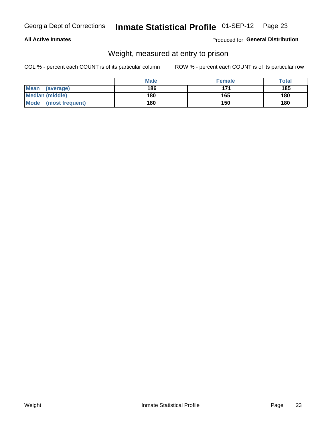#### **All Active Inmates**

#### Produced for General Distribution

### Weight, measured at entry to prison

COL % - percent each COUNT is of its particular column

|                          | <b>Male</b> | <b>Female</b> | Total |
|--------------------------|-------------|---------------|-------|
| <b>Mean</b><br>(average) | 186         | 171           | 185   |
| <b>Median (middle)</b>   | 180         | 165           | 180   |
| Mode<br>(most frequent)  | 180         | 150           | 180   |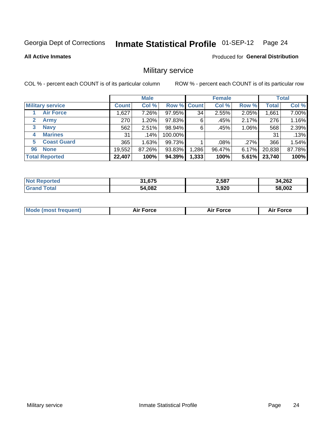#### Inmate Statistical Profile 01-SEP-12 Page 24

**All Active Inmates** 

Produced for General Distribution

#### Military service

COL % - percent each COUNT is of its particular column

|                          | <b>Male</b>  |        |             | <b>Female</b> |        |          | <b>Total</b> |        |
|--------------------------|--------------|--------|-------------|---------------|--------|----------|--------------|--------|
| <b>Military service</b>  | <b>Count</b> | Col %  | Row % Count |               | Col %  | Row %    | <b>Total</b> | Col %  |
| <b>Air Force</b>         | ,627         | 7.26%  | 97.95%      | 34            | 2.55%  | 2.05%    | 1,661        | 7.00%  |
| 2<br>Army                | 270          | 1.20%  | 97.83%      | 6             | .45%   | 2.17%    | 276          | 1.16%  |
| <b>Navy</b><br>3         | 562          | 2.51%  | 98.94%      | 6             | .45%   | 1.06%    | 568          | 2.39%  |
| <b>Marines</b><br>4      | 31           | .14%   | 100.00%     |               |        |          | 31           | .13%   |
| <b>Coast Guard</b><br>5. | 365          | 1.63%  | 99.73%      |               | .08%   | .27%     | 366          | 1.54%  |
| <b>None</b><br>96        | 19,552       | 87.26% | 93.83%      | .286          | 96.47% | $6.17\%$ | 20,838       | 87.78% |
| <b>Total Reported</b>    | 22,407       | 100%   | 94.39%      | 1,333         | 100%   | 5.61%    | 23,740       | 100%   |

| <b>C75</b><br>54 | 2,587 | 34,262 |
|------------------|-------|--------|
| ,082<br>54       | 3,920 | 58,002 |

|  | <b>Mode (most frequent)</b> | Force | <b>Force</b> | Force<br>Air |
|--|-----------------------------|-------|--------------|--------------|
|--|-----------------------------|-------|--------------|--------------|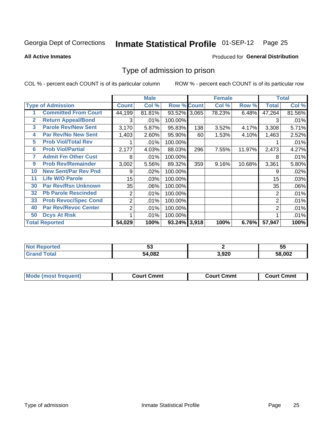#### **Inmate Statistical Profile 01-SEP-12** Page 25

**All Active Inmates** 

#### Produced for General Distribution

#### Type of admission to prison

COL % - percent each COUNT is of its particular column

|    |                             |                  | <b>Male</b> |                    |     | <b>Female</b> |        |        | <b>Total</b> |
|----|-----------------------------|------------------|-------------|--------------------|-----|---------------|--------|--------|--------------|
|    | <b>Type of Admission</b>    | <b>Count</b>     | Col %       | <b>Row % Count</b> |     | Col %         | Row %  | Total  | Col %        |
|    | <b>Committed From Court</b> | 44,199           | 81.81%      | 93.52% 3,065       |     | 78.23%        | 6.48%  | 47,264 | 81.56%       |
| 2  | <b>Return Appeal/Bond</b>   | 3                | .01%        | 100.00%            |     |               |        | 3      | .01%         |
| 3  | <b>Parole Rev/New Sent</b>  | 3,170            | 5.87%       | 95.83%             | 138 | 3.52%         | 4.17%  | 3,308  | 5.71%        |
| 4  | <b>Par Rev/No New Sent</b>  | 1,403            | 2.60%       | 95.90%             | 60  | 1.53%         | 4.10%  | 1,463  | 2.52%        |
| 5  | <b>Prob Viol/Total Rev</b>  |                  | .01%        | 100.00%            |     |               |        |        | .01%         |
| 6  | <b>Prob Viol/Partial</b>    | 2,177            | 4.03%       | 88.03%             | 296 | 7.55%         | 11.97% | 2,473  | 4.27%        |
| 7  | <b>Admit Fm Other Cust</b>  | 8                | .01%        | 100.00%            |     |               |        | 8      | .01%         |
| 9  | <b>Prob Rev/Remainder</b>   | 3,002            | 5.56%       | 89.32%             | 359 | 9.16%         | 10.68% | 3,361  | 5.80%        |
| 10 | <b>New Sent/Par Rev Pnd</b> | 9                | .02%        | 100.00%            |     |               |        | 9      | .02%         |
| 11 | <b>Life W/O Parole</b>      | 15 <sub>15</sub> | .03%        | 100.00%            |     |               |        | 15     | .03%         |
| 30 | <b>Par Rev/Rsn Unknown</b>  | 35               | .06%        | 100.00%            |     |               |        | 35     | .06%         |
| 32 | <b>Pb Parole Rescinded</b>  | 2                | .01%        | 100.00%            |     |               |        | 2      | .01%         |
| 33 | <b>Prob Revoc/Spec Cond</b> | 2                | .01%        | 100.00%            |     |               |        | 2      | .01%         |
| 40 | <b>Par Rev/Revoc Center</b> | 2                | .01%        | 100.00%            |     |               |        | 2      | .01%         |
| 50 | <b>Dcys At Risk</b>         |                  | .01%        | 100.00%            |     |               |        |        | .01%         |
|    | <b>Total Reported</b>       | 54,029           | 100%        | 93.24% 3,918       |     | 100%          | 6.76%  | 57,947 | 100%         |

| N | -0<br>◡◡ |             | --<br><br>◡ |
|---|----------|-------------|-------------|
|   | 54,082   | രാറ<br>,JZU | 58,002      |

| <b>Mode (most frequent)</b> | Court Cmmt | <b>Court Cmmt</b> | <b>Court Cmmt</b> |
|-----------------------------|------------|-------------------|-------------------|
|-----------------------------|------------|-------------------|-------------------|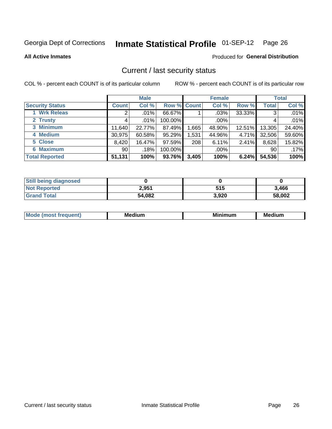### Inmate Statistical Profile 01-SEP-12 Page 26

**All Active Inmates** 

#### Produced for General Distribution

#### Current / last security status

COL % - percent each COUNT is of its particular column

|                        |              | <b>Male</b> |             |       | <b>Female</b> |        |              | <b>Total</b> |
|------------------------|--------------|-------------|-------------|-------|---------------|--------|--------------|--------------|
| <b>Security Status</b> | <b>Count</b> | Col %       | Row % Count |       | Col %         | Row %  | <b>Total</b> | Col %        |
| <b>Wrk Releas</b>      | 2            | .01%        | 66.67%      |       | $.03\%$       | 33.33% | 3            | .01%         |
| 2 Trusty               |              | $.01\%$     | 100.00%     |       | .00%          |        |              | .01%         |
| 3 Minimum              | 11,640       | 22.77%      | 87.49%      | ,665  | 48.90%        | 12.51% | 13,305       | 24.40%       |
| 4 Medium               | 30,975       | 60.58%      | 95.29%      | 1,531 | 44.96%        | 4.71%  | 32,506       | 59.60%       |
| 5 Close                | 8,420        | 16.47%      | 97.59%      | 208   | 6.11%         | 2.41%  | 8,628        | 15.82%       |
| <b>6 Maximum</b>       | 90 l         | .18%        | 100.00%     |       | .00%          |        | 90           | .17%         |
| <b>Total Reported</b>  | 51,131       | 100%        | 93.76%      | 3,405 | 100%          | 6.24%  | 54,536       | 100%         |

| <b>Still being diagnosed</b> |        |       |        |
|------------------------------|--------|-------|--------|
| <b>Not Reported</b>          | 2,951  | 515   | 3,466  |
| <b>Grand Total</b>           | 54,082 | 3,920 | 58,002 |

| M | NЛ<br><br>dilim<br>_____ | ---<br>-- | . .<br>Medium<br>Me |
|---|--------------------------|-----------|---------------------|
|   |                          |           |                     |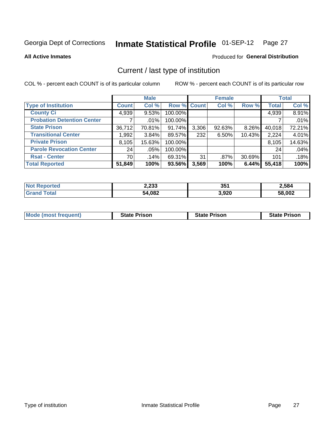#### Inmate Statistical Profile 01-SEP-12 Page 27

**All Active Inmates** 

#### Produced for General Distribution

### Current / last type of institution

COL % - percent each COUNT is of its particular column

|                                   |              | <b>Male</b> |             |       | <b>Female</b> |        |              | <b>Total</b> |
|-----------------------------------|--------------|-------------|-------------|-------|---------------|--------|--------------|--------------|
| <b>Type of Institution</b>        | <b>Count</b> | Col %       | Row % Count |       | Col %         | Row %  | <b>Total</b> | Col %        |
| <b>County Ci</b>                  | 4,939        | 9.53%       | 100.00%     |       |               |        | 4,939        | 8.91%        |
| <b>Probation Detention Center</b> |              | $.01\%$     | 100.00%     |       |               |        |              | .01%         |
| <b>State Prison</b>               | 36,712       | 70.81%      | 91.74%      | 3,306 | 92.63%        | 8.26%  | 40,018       | 72.21%       |
| <b>Transitional Center</b>        | 1,992        | 3.84%       | 89.57%      | 232   | 6.50%         | 10.43% | 2,224        | 4.01%        |
| <b>Private Prison</b>             | 8,105        | 15.63%      | 100.00%     |       |               |        | 8,105        | 14.63%       |
| <b>Parole Revocation Center</b>   | 24           | .05%        | 100.00%     |       |               |        | 24           | .04%         |
| <b>Rsat - Center</b>              | 70           | $.14\%$     | 69.31%      | 31    | $.87\%$       | 30.69% | 101          | .18%         |
| <b>Total Reported</b>             | 51,849       | 100%        | 93.56%      | 3,569 | 100%          | 6.44%  | 55,418       | 100%         |

| פפר ב<br>2,233 | 351   | 2,584  |  |  |
|----------------|-------|--------|--|--|
| 54,082         | 3,920 | 58,002 |  |  |

| <b>Mode (most frequent)</b> | <b>State Prison</b> | <b>State Prison</b> | <b>State Prison</b> |
|-----------------------------|---------------------|---------------------|---------------------|
|                             |                     |                     |                     |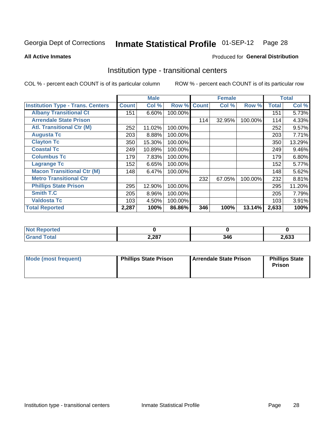#### **Inmate Statistical Profile 01-SEP-12** Page 28

**Produced for General Distribution** 

#### **All Active Inmates**

#### Institution type - transitional centers

COL % - percent each COUNT is of its particular column

|                                          |              | <b>Male</b> |         |              | <b>Female</b> |         |              | <b>Total</b> |
|------------------------------------------|--------------|-------------|---------|--------------|---------------|---------|--------------|--------------|
| <b>Institution Type - Trans. Centers</b> | <b>Count</b> | Col %       | Row %   | <b>Count</b> | Col %         | Row %   | <b>Total</b> | Col %        |
| <b>Albany Transitional Ct</b>            | 151          | 6.60%       | 100.00% |              |               |         | 151          | 5.73%        |
| <b>Arrendale State Prison</b>            |              |             |         | 114          | 32.95%        | 100.00% | 114          | 4.33%        |
| <b>Atl. Transitional Ctr (M)</b>         | 252          | 11.02%      | 100.00% |              |               |         | 252          | 9.57%        |
| <b>Augusta Tc</b>                        | 203          | 8.88%       | 100.00% |              |               |         | 203          | 7.71%        |
| <b>Clayton Tc</b>                        | 350          | 15.30%      | 100.00% |              |               |         | 350          | 13.29%       |
| <b>Coastal Tc</b>                        | 249          | 10.89%      | 100.00% |              |               |         | 249          | 9.46%        |
| <b>Columbus Tc</b>                       | 179          | 7.83%       | 100.00% |              |               |         | 179          | 6.80%        |
| <b>Lagrange Tc</b>                       | 152          | 6.65%       | 100.00% |              |               |         | 152          | 5.77%        |
| <b>Macon Transitional Ctr (M)</b>        | 148          | 6.47%       | 100.00% |              |               |         | 148          | 5.62%        |
| <b>Metro Transitional Ctr</b>            |              |             |         | 232          | 67.05%        | 100.00% | 232          | 8.81%        |
| <b>Phillips State Prison</b>             | 295          | 12.90%      | 100.00% |              |               |         | 295          | 11.20%       |
| <b>Smith T.C</b>                         | 205          | 8.96%       | 100.00% |              |               |         | 205          | 7.79%        |
| <b>Valdosta Tc</b>                       | 103          | 4.50%       | 100.00% |              |               |         | 103          | 3.91%        |
| <b>Total Reported</b>                    | 2,287        | 100%        | 86.86%  | 346          | 100%          | 13.14%  | 2,633        | 100%         |

| <b>orted</b><br>$\cdots$ |       |             |       |
|--------------------------|-------|-------------|-------|
| <b>ota</b>               | 2,287 | 21 G<br>- v | 2,633 |

| Mode (most frequent) | <b>Phillips State Prison</b> | Arrendale State Prison | <b>Phillips State</b><br>Prison |  |
|----------------------|------------------------------|------------------------|---------------------------------|--|
|                      |                              |                        |                                 |  |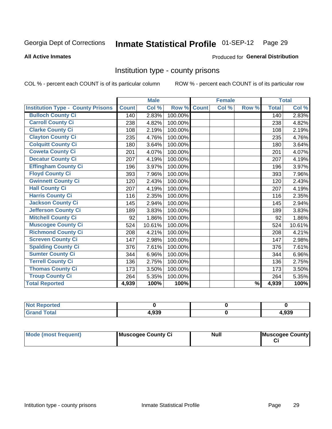### Inmate Statistical Profile 01-SEP-12 Page 29

#### **All Active Inmates**

#### **Produced for General Distribution**

#### Institution type - county prisons

COL % - percent each COUNT is of its particular column

|                                          |              | <b>Male</b> |         |              | <b>Female</b> |               |              | <b>Total</b> |
|------------------------------------------|--------------|-------------|---------|--------------|---------------|---------------|--------------|--------------|
| <b>Institution Type - County Prisons</b> | <b>Count</b> | Col %       | Row %   | <b>Count</b> | Col %         | Row %         | <b>Total</b> | Col %        |
| <b>Bulloch County Ci</b>                 | 140          | 2.83%       | 100.00% |              |               |               | 140          | 2.83%        |
| <b>Carroll County Ci</b>                 | 238          | 4.82%       | 100.00% |              |               |               | 238          | 4.82%        |
| <b>Clarke County Ci</b>                  | 108          | 2.19%       | 100.00% |              |               |               | 108          | 2.19%        |
| <b>Clayton County Ci</b>                 | 235          | 4.76%       | 100.00% |              |               |               | 235          | 4.76%        |
| <b>Colquitt County Ci</b>                | 180          | 3.64%       | 100.00% |              |               |               | 180          | 3.64%        |
| <b>Coweta County Ci</b>                  | 201          | 4.07%       | 100.00% |              |               |               | 201          | 4.07%        |
| <b>Decatur County Ci</b>                 | 207          | 4.19%       | 100.00% |              |               |               | 207          | 4.19%        |
| <b>Effingham County Ci</b>               | 196          | 3.97%       | 100.00% |              |               |               | 196          | 3.97%        |
| <b>Floyd County Ci</b>                   | 393          | 7.96%       | 100.00% |              |               |               | 393          | 7.96%        |
| <b>Gwinnett County Ci</b>                | 120          | 2.43%       | 100.00% |              |               |               | 120          | 2.43%        |
| <b>Hall County Ci</b>                    | 207          | 4.19%       | 100.00% |              |               |               | 207          | 4.19%        |
| <b>Harris County Ci</b>                  | 116          | 2.35%       | 100.00% |              |               |               | 116          | 2.35%        |
| <b>Jackson County Ci</b>                 | 145          | 2.94%       | 100.00% |              |               |               | 145          | 2.94%        |
| <b>Jefferson County Ci</b>               | 189          | 3.83%       | 100.00% |              |               |               | 189          | 3.83%        |
| <b>Mitchell County Ci</b>                | 92           | 1.86%       | 100.00% |              |               |               | 92           | 1.86%        |
| <b>Muscogee County Ci</b>                | 524          | 10.61%      | 100.00% |              |               |               | 524          | 10.61%       |
| <b>Richmond County Ci</b>                | 208          | 4.21%       | 100.00% |              |               |               | 208          | 4.21%        |
| <b>Screven County Ci</b>                 | 147          | 2.98%       | 100.00% |              |               |               | 147          | 2.98%        |
| <b>Spalding County Ci</b>                | 376          | 7.61%       | 100.00% |              |               |               | 376          | 7.61%        |
| <b>Sumter County Ci</b>                  | 344          | 6.96%       | 100.00% |              |               |               | 344          | 6.96%        |
| <b>Terrell County Ci</b>                 | 136          | 2.75%       | 100.00% |              |               |               | 136          | 2.75%        |
| <b>Thomas County Ci</b>                  | 173          | 3.50%       | 100.00% |              |               |               | 173          | 3.50%        |
| <b>Troup County Ci</b>                   | 264          | 5.35%       | 100.00% |              |               |               | 264          | 5.35%        |
| <b>Total Reported</b>                    | 4,939        | 100%        | 100%    |              |               | $\frac{9}{6}$ | 4,939        | 100%         |

| <b>Not</b><br><b>Reported</b> |       |       |
|-------------------------------|-------|-------|
| <b>Grand Total</b>            | .,939 | 4,939 |

| Mode (most frequent) | Muscogee County Ci | <b>Null</b> | Muscogee County |
|----------------------|--------------------|-------------|-----------------|
|                      |                    |             |                 |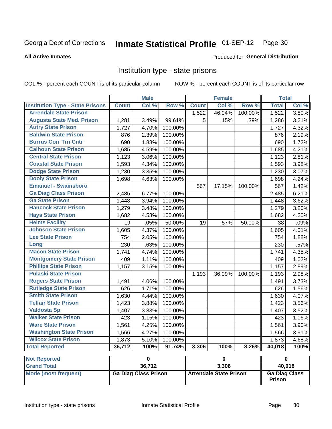#### Inmate Statistical Profile 01-SEP-12 Page 30

#### **All Active Inmates**

#### Produced for General Distribution

#### Institution type - state prisons

COL % - percent each COUNT is of its particular column

|                                         |              | <b>Male</b>                 |         |                               | <b>Female</b>           |         | <b>Total</b>            |       |  |
|-----------------------------------------|--------------|-----------------------------|---------|-------------------------------|-------------------------|---------|-------------------------|-------|--|
| <b>Institution Type - State Prisons</b> | <b>Count</b> | Col %                       | Row %   | <b>Count</b>                  | Col %                   | Row %   | <b>Total</b>            | Col % |  |
| <b>Arrendale State Prison</b>           |              |                             |         | 1,522                         | 46.04%                  | 100.00% | 1,522                   | 3.80% |  |
| <b>Augusta State Med. Prison</b>        | 1,281        | 3.49%                       | 99.61%  | 5                             | .15%                    | .39%    | 1,286                   | 3.21% |  |
| <b>Autry State Prison</b>               | 1,727        | 4.70%                       | 100.00% |                               |                         |         | 1,727                   | 4.32% |  |
| <b>Baldwin State Prison</b>             | 876          | 2.39%                       | 100.00% |                               |                         |         | 876                     | 2.19% |  |
| <b>Burrus Corr Trn Cntr</b>             | 690          | 1.88%                       | 100.00% |                               |                         |         | 690                     | 1.72% |  |
| <b>Calhoun State Prison</b>             | 1,685        | 4.59%                       | 100.00% |                               |                         |         | 1,685                   | 4.21% |  |
| <b>Central State Prison</b>             | 1,123        | 3.06%                       | 100.00% |                               |                         |         | 1,123                   | 2.81% |  |
| <b>Coastal State Prison</b>             | 1,593        | 4.34%                       | 100.00% |                               |                         |         | 1,593                   | 3.98% |  |
| <b>Dodge State Prison</b>               | 1,230        | 3.35%                       | 100.00% |                               |                         |         | 1,230                   | 3.07% |  |
| <b>Dooly State Prison</b>               | 1,698        | 4.63%                       | 100.00% |                               |                         |         | 1,698                   | 4.24% |  |
| <b>Emanuel - Swainsboro</b>             |              |                             |         | 567                           | 17.15%                  | 100.00% | 567                     | 1.42% |  |
| <b>Ga Diag Class Prison</b>             | 2,485        | 6.77%                       | 100.00% |                               |                         |         | 2,485                   | 6.21% |  |
| <b>Ga State Prison</b>                  | 1,448        | 3.94%                       | 100.00% |                               |                         |         | 1,448                   | 3.62% |  |
| <b>Hancock State Prison</b>             | 1,279        | 3.48%                       | 100.00% |                               |                         |         | 1,279                   | 3.20% |  |
| <b>Hays State Prison</b>                | 1,682        | 4.58%                       | 100.00% |                               |                         |         | 1,682                   | 4.20% |  |
| <b>Helms Facility</b>                   | 19           | .05%                        | 50.00%  | 19                            | .57%                    | 50.00%  | 38                      | .09%  |  |
| <b>Johnson State Prison</b>             | 1,605        | 4.37%                       | 100.00% |                               |                         |         | 1,605                   | 4.01% |  |
| <b>Lee State Prison</b>                 | 754          | 2.05%                       | 100.00% |                               |                         |         | 754                     | 1.88% |  |
| Long                                    | 230          | .63%                        | 100.00% |                               |                         |         | 230                     | .57%  |  |
| <b>Macon State Prison</b>               | 1,741        | 4.74%                       | 100.00% |                               |                         |         | 1,741                   | 4.35% |  |
| <b>Montgomery State Prison</b>          | 409          | 1.11%                       | 100.00% |                               |                         |         | 409                     | 1.02% |  |
| <b>Phillips State Prison</b>            | 1,157        | 3.15%                       | 100.00% |                               |                         |         | 1,157                   | 2.89% |  |
| <b>Pulaski State Prison</b>             |              |                             |         | 1,193                         | 36.09%                  | 100.00% | 1,193                   | 2.98% |  |
| <b>Rogers State Prison</b>              | 1,491        | 4.06%                       | 100.00% |                               |                         |         | 1,491                   | 3.73% |  |
| <b>Rutledge State Prison</b>            | 626          | 1.71%                       | 100.00% |                               |                         |         | 626                     | 1.56% |  |
| <b>Smith State Prison</b>               | 1,630        | 4.44%                       | 100.00% |                               |                         |         | 1,630                   | 4.07% |  |
| <b>Telfair State Prison</b>             | 1,423        | 3.88%                       | 100.00% |                               |                         |         | 1,423                   | 3.56% |  |
| <b>Valdosta Sp</b>                      | 1,407        | 3.83%                       | 100.00% |                               |                         |         | 1,407                   | 3.52% |  |
| <b>Walker State Prison</b>              | 423          | 1.15%                       | 100.00% |                               |                         |         | 423                     | 1.06% |  |
| <b>Ware State Prison</b>                | 1,561        | 4.25%                       | 100.00% |                               |                         |         | 1,561                   | 3.90% |  |
| <b>Washington State Prison</b>          | 1,566        | 4.27%                       | 100.00% |                               |                         |         | 1,566                   | 3.91% |  |
| <b>Wilcox State Prison</b>              | 1,873        | 5.10%                       | 100.00% |                               |                         |         | 1,873                   | 4.68% |  |
| <b>Total Reported</b>                   | 36,712       | 100%                        | 91.74%  | 3,306                         | 100%                    | 8.26%   | 40,018                  | 100%  |  |
| <b>Not Reported</b>                     |              | 0                           |         |                               | $\overline{\mathbf{0}}$ |         | $\overline{\mathbf{0}}$ |       |  |
| <b>Grand Total</b>                      |              | 36,712                      |         |                               | 3,306                   |         | 40,018                  |       |  |
| <b>Mode (most frequent)</b>             |              | <b>Ga Diag Class Prison</b> |         | <b>Arrendale State Prison</b> |                         |         | <b>Ga Diag Class</b>    |       |  |

| Mode (most frequent) | ' Ga Diag Class Prison | <b>Arrendale State Prison</b> | <b>Ga Diag</b><br><b>Prison</b> |
|----------------------|------------------------|-------------------------------|---------------------------------|
|                      |                        |                               |                                 |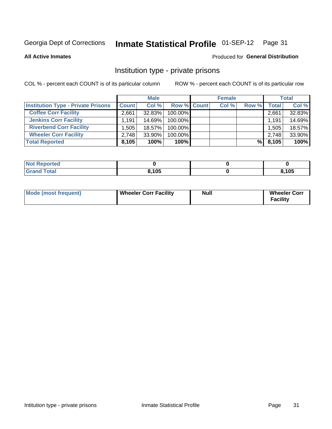### Inmate Statistical Profile 01-SEP-12 Page 31

**All Active Inmates** 

#### Produced for General Distribution

#### Institution type - private prisons

COL % - percent each COUNT is of its particular column

|                                           |              | <b>Male</b> |                    | <b>Female</b> |       |       | <b>Total</b> |
|-------------------------------------------|--------------|-------------|--------------------|---------------|-------|-------|--------------|
| <b>Institution Type - Private Prisons</b> | <b>Count</b> | Col %       | <b>Row % Count</b> | Col %         | Row % | Total | Col %        |
| <b>Coffee Corr Facility</b>               | 2,661        | 32.83%      | 100.00%            |               |       | 2,661 | 32.83%       |
| <b>Jenkins Corr Facility</b>              | 1.191        | $14.69\%$   | $100.00\%$         |               |       | 1.191 | 14.69%       |
| <b>Riverbend Corr Facility</b>            | .505         | 18.57%      | 100.00%            |               |       | 1,505 | 18.57%       |
| <b>Wheeler Corr Facility</b>              | 2.748        | $33.90\%$   | 100.00%            |               |       | 2,748 | 33.90%       |
| <b>Total Reported</b>                     | 8,105        | 100%        | 100%               |               | %l    | 8,105 | 100%         |

| <b>Reported</b> |       |      |
|-----------------|-------|------|
| <b>otal</b>     | 8,105 | ,105 |

| Mode (most frequent) | Wheeler Corr Facility | Null | <b>Wheeler Corr</b><br>Facility |
|----------------------|-----------------------|------|---------------------------------|
|----------------------|-----------------------|------|---------------------------------|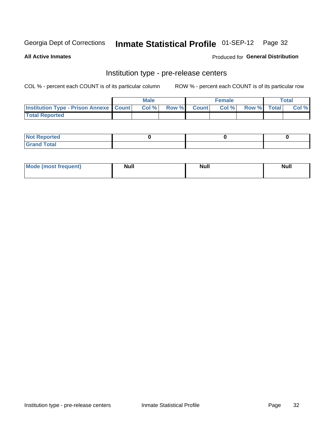### Inmate Statistical Profile 01-SEP-12 Page 32

**All Active Inmates** 

**Produced for General Distribution** 

### Institution type - pre-release centers

COL % - percent each COUNT is of its particular column

|                                                   | <b>Male</b> |             | <b>Female</b> |             | <b>Total</b> |
|---------------------------------------------------|-------------|-------------|---------------|-------------|--------------|
| <b>Institution Type - Prison Annexe   Count  </b> | Col%        | Row % Count | Col%          | Row % Total | Col %        |
| <b>Total Reported</b>                             |             |             |               |             |              |

| <b>Reported</b><br>I NOT |  |  |
|--------------------------|--|--|
| <b>Total</b><br>$C$ ren  |  |  |

| $^{\circ}$ Mo<br>frequent)<br>⊥(most | <b>Null</b> | Noll<br><b>vull</b> | <b>Null</b> |
|--------------------------------------|-------------|---------------------|-------------|
|                                      |             |                     |             |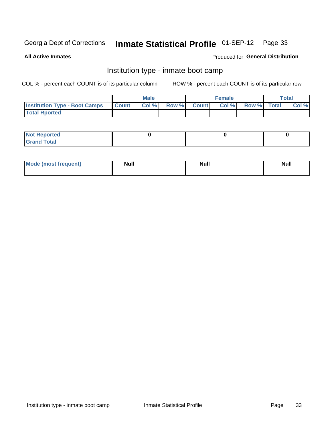### Inmate Statistical Profile 01-SEP-12 Page 33

**All Active Inmates** 

#### Produced for General Distribution

#### Institution type - inmate boot camp

COL % - percent each COUNT is of its particular column

|                                      |                  | <b>Male</b> |              |              | <b>Female</b> |             | <b>Total</b> |
|--------------------------------------|------------------|-------------|--------------|--------------|---------------|-------------|--------------|
| <b>Institution Type - Boot Camps</b> | <b>I</b> Count I | Col %       | <b>Row %</b> | <b>Count</b> | Col %         | Row % Total | Col %        |
| <b>Total Rported</b>                 |                  |             |              |              |               |             |              |

| <b>Not Reported</b>            |  |  |
|--------------------------------|--|--|
| <b>Total</b><br>C <sub>r</sub> |  |  |

| <b>I Mode (most frequent)</b> | <b>Null</b> | <b>Null</b> | <b>Null</b> |
|-------------------------------|-------------|-------------|-------------|
|                               |             |             |             |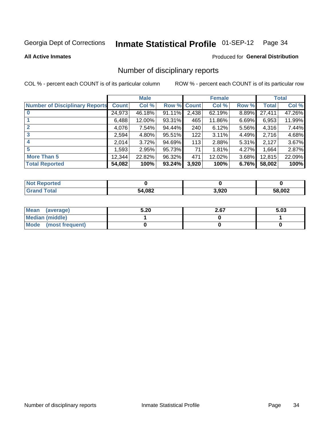### Inmate Statistical Profile 01-SEP-12 Page 34

**All Active Inmates** 

#### **Produced for General Distribution**

#### Number of disciplinary reports

COL % - percent each COUNT is of its particular column

|                                       |              | <b>Male</b> |             |       | <b>Female</b> |          |              | <b>Total</b> |
|---------------------------------------|--------------|-------------|-------------|-------|---------------|----------|--------------|--------------|
| <b>Number of Disciplinary Reports</b> | <b>Count</b> | Col %       | Row % Count |       | Col %         | Row %    | <b>Total</b> | Col %        |
| $\bf{0}$                              | 24,973       | 46.18%      | 91.11%      | 2,438 | 62.19%        | 8.89%    | 27,411       | 47.26%       |
|                                       | 6,488        | 12.00%      | 93.31%      | 465   | 11.86%        | 6.69%    | 6,953        | 11.99%       |
| $\mathbf{2}$                          | 4,076        | 7.54%       | 94.44%      | 240   | 6.12%         | 5.56%    | 4,316        | 7.44%        |
| 3                                     | 2,594        | 4.80%       | 95.51%      | 122   | 3.11%         | 4.49%    | 2,716        | 4.68%        |
|                                       | 2,014        | 3.72%       | 94.69%      | 113   | 2.88%         | $5.31\%$ | 2,127        | 3.67%        |
| 5                                     | ا 593.       | 2.95%       | 95.73%      | 71    | 1.81%         | 4.27%    | 1,664        | 2.87%        |
| <b>More Than 5</b>                    | 12,344       | 22.82%      | 96.32%      | 471   | 12.02%        | 3.68%    | 12,815       | 22.09%       |
| <b>Total Reported</b>                 | 54,082       | 100%        | 93.24%      | 3,920 | 100%          | 6.76%    | 58,002       | 100%         |

| orted<br>Not <b>I</b> |        |       |              |
|-----------------------|--------|-------|--------------|
| Total                 | 54,082 | 3,920 | 58,002<br>אר |

| Mean (average)         | 5.20 | 2.67 | 5.03 |
|------------------------|------|------|------|
| <b>Median (middle)</b> |      |      |      |
| Mode (most frequent)   |      |      |      |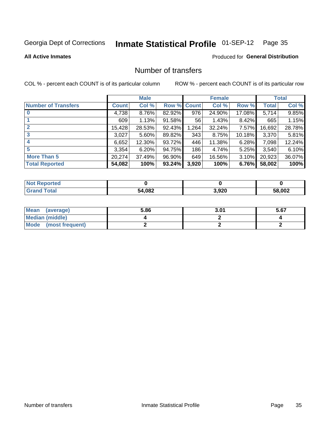### Inmate Statistical Profile 01-SEP-12 Page 35

#### **All Active Inmates**

#### **Produced for General Distribution**

### Number of transfers

COL % - percent each COUNT is of its particular column

|                            |         | <b>Male</b> |        |              | <b>Female</b> |           |              | <b>Total</b> |
|----------------------------|---------|-------------|--------|--------------|---------------|-----------|--------------|--------------|
| <b>Number of Transfers</b> | Count l | Col %       | Row %  | <b>Count</b> | Col %         | Row %     | <b>Total</b> | Col %        |
|                            | 4,738   | 8.76%       | 82.92% | 976          | 24.90%        | 17.08%    | 5,714        | 9.85%        |
|                            | 609     | 1.13%       | 91.58% | 56           | 1.43%         | $8.42\%$  | 665          | 1.15%        |
| $\mathbf{2}$               | 15,428  | 28.53%      | 92.43% | 1,264        | 32.24%        | 7.57%     | 16,692       | 28.78%       |
| 3                          | 3,027   | $5.60\%$    | 89.82% | 343          | 8.75%         | $10.18\%$ | 3,370        | 5.81%        |
| 4                          | 6,652   | 12.30%      | 93.72% | 446          | 11.38%        | 6.28%     | 7,098        | 12.24%       |
| 5                          | 3,354   | 6.20%       | 94.75% | 186          | 4.74%         | $5.25\%$  | 3,540        | 6.10%        |
| <b>More Than 5</b>         | 20,274  | 37.49%      | 96.90% | 649          | 16.56%        | $3.10\%$  | 20,923       | 36.07%       |
| <b>Total Reported</b>      | 54,082  | 100%        | 93.24% | 3,920        | 100%          | 6.76%     | 58,002       | 100%         |

| <b>Not Reported</b> |        |       |              |
|---------------------|--------|-------|--------------|
| <b>Total</b>        | 54,082 | 3,920 | 58,002<br>ካአ |

| Mean (average)         | 5.86 | 3.01 | 5.67 |
|------------------------|------|------|------|
| <b>Median (middle)</b> |      |      |      |
| Mode (most frequent)   |      |      |      |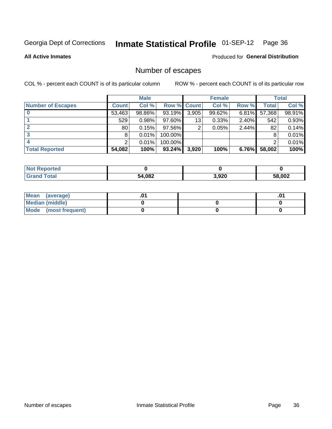### Inmate Statistical Profile 01-SEP-12 Page 36

#### **All Active Inmates**

#### Produced for General Distribution

### Number of escapes

COL % - percent each COUNT is of its particular column

|                          |              | <b>Male</b> |                    |       | <b>Female</b> |          |              | <b>Total</b> |
|--------------------------|--------------|-------------|--------------------|-------|---------------|----------|--------------|--------------|
| <b>Number of Escapes</b> | <b>Count</b> | Col %       | <b>Row % Count</b> |       | Col %         | Row %    | <b>Total</b> | Col %        |
|                          | 53,463       | 98.86%      | 93.19%             | 3,905 | 99.62%        | 6.81%    | 57,368       | 98.91%       |
|                          | 529          | 0.98%       | 97.60%             | 13    | 0.33%         | 2.40%    | 542          | 0.93%        |
|                          | 80           | 0.15%       | 97.56%             | 2     | 0.05%         | 2.44%    | 82           | 0.14%        |
|                          | 8            | 0.01%       | 100.00%            |       |               |          | 8            | 0.01%        |
|                          |              | 0.01%       | 100.00%            |       |               |          | 2            | 0.01%        |
| <b>Total Reported</b>    | 54,082       | 100%        | 93.24%             | 3,920 | 100%          | $6.76\%$ | 58,002       | 100%         |

| <b>orted</b><br>Not. |        |       |        |
|----------------------|--------|-------|--------|
| Total                | 54,082 | 3,920 | 58,002 |

| Mean (average)         |  | .0 <sup>4</sup> |
|------------------------|--|-----------------|
| <b>Median (middle)</b> |  |                 |
| Mode (most frequent)   |  |                 |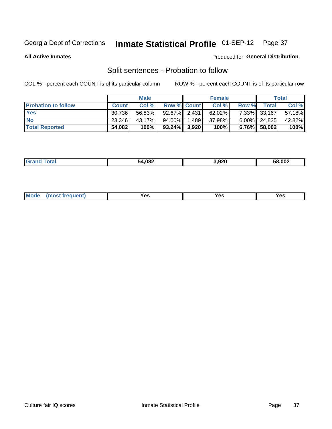### **Inmate Statistical Profile 01-SEP-12** Page 37

**All Active Inmates** 

### Produced for General Distribution

# Split sentences - Probation to follow

COL % - percent each COUNT is of its particular column

|                            |              | <b>Male</b> |                 |       | <b>Female</b> |       |                 | <b>Total</b> |
|----------------------------|--------------|-------------|-----------------|-------|---------------|-------|-----------------|--------------|
| <b>Probation to follow</b> | <b>Count</b> | Col%        | Row % Count     |       | Col %         | Row % | Total           | Col %        |
| <b>Yes</b>                 | 30.736       | 56.83%      | $92.67\%$ 2,431 |       | 62.02%        |       | 7.33% 33,167    | 57.18%       |
| <b>No</b>                  | 23,346       | 43.17%      | 94.00%          | 1.489 | 37.98%        |       | $6.00\%$ 24,835 | 42.82%       |
| <b>Total Reported</b>      | 54,082       | 100%        | $93.24\%$ 3,920 |       | 100%          |       | $6.76\%$ 58,002 | 100%         |

| .       | 54,082 | 920.ا | 58,002 |
|---------|--------|-------|--------|
| _______ | . .    |       | הכרי   |
|         |        |       |        |

| M<br>reauent)<br>/٥<br>$\sim$<br>v.,<br>.<br>w<br>$\cdot$ - $\cdot$ |
|---------------------------------------------------------------------|
|---------------------------------------------------------------------|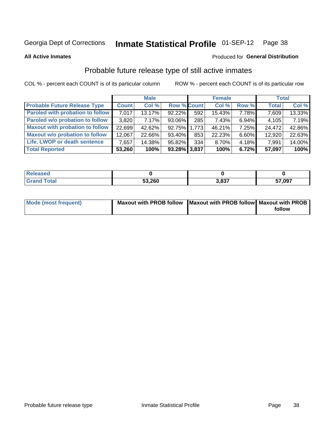### **Inmate Statistical Profile 01-SEP-12** Page 38

**All Active Inmates** 

### Produced for General Distribution

# Probable future release type of still active inmates

COL % - percent each COUNT is of its particular column

|                                         |              | <b>Male</b> |                    |     | <b>Female</b> |          | <b>Total</b> |        |
|-----------------------------------------|--------------|-------------|--------------------|-----|---------------|----------|--------------|--------|
| <b>Probable Future Release Type</b>     | <b>Count</b> | Col%        | <b>Row % Count</b> |     | Col %         | Row %    | <b>Total</b> | Col %  |
| <b>Paroled with probation to follow</b> | 7,017        | 13.17%      | $92.22\%$          | 592 | 15.43%        | 7.78%    | 7,609        | 13.33% |
| Paroled w/o probation to follow         | 3,820        | 7.17%       | 93.06%             | 285 | 7.43%         | 6.94%    | 4,105        | 7.19%  |
| <b>Maxout with probation to follow</b>  | 22,699       | 42.62%      | 92.75% 1.773       |     | 46.21%        | 7.25%    | 24,472       | 42.86% |
| <b>Maxout w/o probation to follow</b>   | 12,067       | 22.66%      | 93.40%             | 853 | 22.23%        | $6.60\%$ | 12,920       | 22.63% |
| Life, LWOP or death sentence            | 7,657        | 14.38%      | 95.82%             | 334 | 8.70%         | 4.18%    | 7,991        | 14.00% |
| <b>Total Reported</b>                   | 53,260       | 100%        | $93.28\%$ 3,837    |     | 100%          | 6.72%    | 57,097       | 100%   |

| екезно |        |              |        |
|--------|--------|--------------|--------|
| otal   | 53,260 | 2027<br>נס.ו | 57,097 |

| <b>Mode (most frequent)</b> | Maxout with PROB follow   Maxout with PROB follow   Maxout with PROB |        |
|-----------------------------|----------------------------------------------------------------------|--------|
|                             |                                                                      | follow |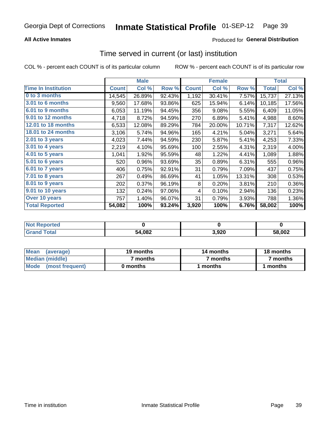## **All Active Inmates**

## **Produced for General Distribution**

# Time served in current (or last) institution

COL % - percent each COUNT is of its particular column

|                            |              | <b>Male</b> |        |              | <b>Female</b> |        |              | <b>Total</b> |
|----------------------------|--------------|-------------|--------|--------------|---------------|--------|--------------|--------------|
| <b>Time In Institution</b> | <b>Count</b> | Col %       | Row %  | <b>Count</b> | Col %         | Row %  | <b>Total</b> | Col %        |
| 0 to 3 months              | 14,545       | 26.89%      | 92.43% | 1,192        | 30.41%        | 7.57%  | 15,737       | 27.13%       |
| 3.01 to 6 months           | 9,560        | 17.68%      | 93.86% | 625          | 15.94%        | 6.14%  | 10,185       | 17.56%       |
| 6.01 to 9 months           | 6,053        | 11.19%      | 94.45% | 356          | 9.08%         | 5.55%  | 6,409        | 11.05%       |
| 9.01 to 12 months          | 4,718        | 8.72%       | 94.59% | 270          | 6.89%         | 5.41%  | 4,988        | 8.60%        |
| <b>12.01 to 18 months</b>  | 6,533        | 12.08%      | 89.29% | 784          | 20.00%        | 10.71% | 7,317        | 12.62%       |
| <b>18.01 to 24 months</b>  | 3,106        | 5.74%       | 94.96% | 165          | 4.21%         | 5.04%  | 3,271        | 5.64%        |
| 2.01 to 3 years            | 4,023        | 7.44%       | 94.59% | 230          | 5.87%         | 5.41%  | 4,253        | 7.33%        |
| $3.01$ to 4 years          | 2,219        | 4.10%       | 95.69% | 100          | 2.55%         | 4.31%  | 2,319        | 4.00%        |
| 4.01 to 5 years            | 1,041        | 1.92%       | 95.59% | 48           | 1.22%         | 4.41%  | 1,089        | 1.88%        |
| 5.01 to 6 years            | 520          | 0.96%       | 93.69% | 35           | 0.89%         | 6.31%  | 555          | 0.96%        |
| 6.01 to 7 years            | 406          | 0.75%       | 92.91% | 31           | 0.79%         | 7.09%  | 437          | 0.75%        |
| 7.01 to 8 years            | 267          | 0.49%       | 86.69% | 41           | 1.05%         | 13.31% | 308          | 0.53%        |
| 8.01 to 9 years            | 202          | 0.37%       | 96.19% | 8            | 0.20%         | 3.81%  | 210          | 0.36%        |
| 9.01 to 10 years           | 132          | 0.24%       | 97.06% | 4            | 0.10%         | 2.94%  | 136          | 0.23%        |
| Over 10 years              | 757          | 1.40%       | 96.07% | 31           | 0.79%         | 3.93%  | 788          | 1.36%        |
| <b>Total Reported</b>      | 54,082       | 100%        | 93.24% | 3,920        | 100%          | 6.76%  | 58,002       | 100%         |

| <b>Not</b><br><b>ported</b> |        |      |        |
|-----------------------------|--------|------|--------|
| <b>ofal</b>                 | 54,082 | ,920 | 58,002 |

| <b>Mean</b><br>(average) | 19 months | 14 months | 18 months |  |
|--------------------------|-----------|-----------|-----------|--|
| Median (middle)          | ' months  | 7 months  | 7 months  |  |
| Mode<br>(most frequent)  | 0 months  | months    | ∖ months  |  |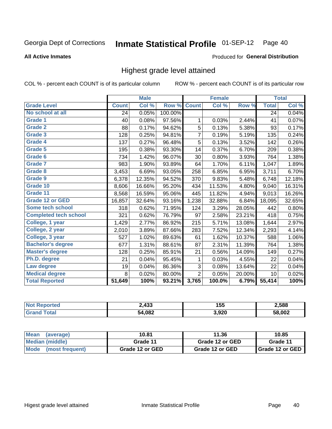### Inmate Statistical Profile 01-SEP-12 Page 40

### **All Active Inmates**

### Produced for General Distribution

# Highest grade level attained

COL % - percent each COUNT is of its particular column

|                              |              | <b>Male</b>                |         |                | <b>Female</b> |        |              | <b>Total</b> |
|------------------------------|--------------|----------------------------|---------|----------------|---------------|--------|--------------|--------------|
| <b>Grade Level</b>           | <b>Count</b> | $\overline{\text{Col }\%}$ | Row %   | <b>Count</b>   | Col %         | Row %  | <b>Total</b> | Col %        |
| No school at all             | 24           | 0.05%                      | 100.00% |                |               |        | 24           | 0.04%        |
| <b>Grade 1</b>               | 40           | 0.08%                      | 97.56%  | 1              | 0.03%         | 2.44%  | 41           | 0.07%        |
| <b>Grade 2</b>               | 88           | 0.17%                      | 94.62%  | 5              | 0.13%         | 5.38%  | 93           | 0.17%        |
| Grade 3                      | 128          | 0.25%                      | 94.81%  | $\overline{7}$ | 0.19%         | 5.19%  | 135          | 0.24%        |
| <b>Grade 4</b>               | 137          | 0.27%                      | 96.48%  | 5              | 0.13%         | 3.52%  | 142          | 0.26%        |
| Grade 5                      | 195          | 0.38%                      | 93.30%  | 14             | 0.37%         | 6.70%  | 209          | 0.38%        |
| Grade 6                      | 734          | 1.42%                      | 96.07%  | 30             | 0.80%         | 3.93%  | 764          | 1.38%        |
| <b>Grade 7</b>               | 983          | 1.90%                      | 93.89%  | 64             | 1.70%         | 6.11%  | 1,047        | 1.89%        |
| <b>Grade 8</b>               | 3,453        | 6.69%                      | 93.05%  | 258            | 6.85%         | 6.95%  | 3,711        | 6.70%        |
| Grade 9                      | 6,378        | 12.35%                     | 94.52%  | 370            | 9.83%         | 5.48%  | 6,748        | 12.18%       |
| Grade 10                     | 8,606        | 16.66%                     | 95.20%  | 434            | 11.53%        | 4.80%  | 9,040        | 16.31%       |
| Grade 11                     | 8,568        | 16.59%                     | 95.06%  | 445            | 11.82%        | 4.94%  | 9,013        | 16.26%       |
| <b>Grade 12 or GED</b>       | 16,857       | 32.64%                     | 93.16%  | 1,238          | 32.88%        | 6.84%  | 18,095       | 32.65%       |
| Some tech school             | 318          | 0.62%                      | 71.95%  | 124            | 3.29%         | 28.05% | 442          | 0.80%        |
| <b>Completed tech school</b> | 321          | 0.62%                      | 76.79%  | 97             | 2.58%         | 23.21% | 418          | 0.75%        |
| College, 1 year              | 1,429        | 2.77%                      | 86.92%  | 215            | 5.71%         | 13.08% | 1,644        | 2.97%        |
| College, 2 year              | 2,010        | 3.89%                      | 87.66%  | 283            | 7.52%         | 12.34% | 2,293        | 4.14%        |
| College, 3 year              | 527          | 1.02%                      | 89.63%  | 61             | 1.62%         | 10.37% | 588          | 1.06%        |
| <b>Bachelor's degree</b>     | 677          | 1.31%                      | 88.61%  | 87             | 2.31%         | 11.39% | 764          | 1.38%        |
| <b>Master's degree</b>       | 128          | 0.25%                      | 85.91%  | 21             | 0.56%         | 14.09% | 149          | 0.27%        |
| Ph.D. degree                 | 21           | 0.04%                      | 95.45%  | 1              | 0.03%         | 4.55%  | 22           | 0.04%        |
| Law degree                   | 19           | 0.04%                      | 86.36%  | 3              | 0.08%         | 13.64% | 22           | 0.04%        |
| <b>Medical degree</b>        | 8            | 0.02%                      | 80.00%  | $\overline{2}$ | 0.05%         | 20.00% | 10           | 0.02%        |
| <b>Total Reported</b>        | 51,649       | 100%                       | 93.21%  | 3,765          | 100.0%        | 6.79%  | 55,414       | 100%         |

| N. | $\sqrt{2}$<br>433 | .<br>155<br>$ -$ | 2,588  |
|----|-------------------|------------------|--------|
|    | 54,082            | 3,920            | 58.002 |

| <b>Mean</b><br>(average)       | 10.81           | 11.36           | 10.85             |
|--------------------------------|-----------------|-----------------|-------------------|
| Median (middle)                | Grade 11        | Grade 12 or GED | Grade 11          |
| <b>Mode</b><br>(most frequent) | Grade 12 or GED | Grade 12 or GED | I Grade 12 or GED |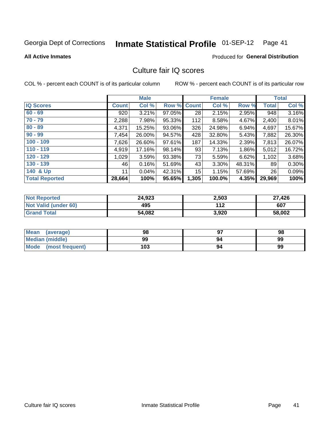# Inmate Statistical Profile 01-SEP-12 Page 41

### **All Active Inmates**

### Produced for General Distribution

# Culture fair IQ scores

COL % - percent each COUNT is of its particular column

|                       |              | <b>Male</b> |        |              | <b>Female</b> |          |              | <b>Total</b> |
|-----------------------|--------------|-------------|--------|--------------|---------------|----------|--------------|--------------|
| <b>IQ Scores</b>      | <b>Count</b> | Col %       | Row %  | <b>Count</b> | Col %         | Row %    | <b>Total</b> | Col %        |
| $60 - 69$             | 920          | 3.21%       | 97.05% | 28           | 2.15%         | 2.95%    | 948          | 3.16%        |
| $70 - 79$             | 2,288        | 7.98%       | 95.33% | 112          | 8.58%         | 4.67%    | 2,400        | 8.01%        |
| $80 - 89$             | 4,371        | 15.25%      | 93.06% | 326          | 24.98%        | 6.94%    | 4,697        | 15.67%       |
| $90 - 99$             | 7,454        | 26.00%      | 94.57% | 428          | 32.80%        | 5.43%    | 7,882        | 26.30%       |
| $100 - 109$           | 7,626        | 26.60%      | 97.61% | 187          | 14.33%        | 2.39%    | 7,813        | 26.07%       |
| $110 - 119$           | 4,919        | 17.16%      | 98.14% | 93           | 7.13%         | $1.86\%$ | 5,012        | 16.72%       |
| $120 - 129$           | 1,029        | 3.59%       | 93.38% | 73           | 5.59%         | 6.62%    | 1,102        | 3.68%        |
| $130 - 139$           | 46           | 0.16%       | 51.69% | 43           | 3.30%         | 48.31%   | 89           | 0.30%        |
| 140 & Up              | 11           | 0.04%       | 42.31% | 15           | 1.15%         | 57.69%   | 26           | 0.09%        |
| <b>Total Reported</b> | 28,664       | 100%        | 95.65% | 1,305        | 100.0%        | 4.35%    | 29,969       | 100%         |

| <b>Not Reported</b>         | 24,923 | 2,503 | 27,426 |
|-----------------------------|--------|-------|--------|
| <b>Not Valid (under 60)</b> | 495    | 112   | 607    |
| <b>Grand Total</b>          | 54,082 | 3,920 | 58,002 |

| <b>Mean</b><br>(average)       | 98  | רח | 98 |
|--------------------------------|-----|----|----|
| Median (middle)                | 99  | 94 | 99 |
| <b>Mode</b><br>(most frequent) | 103 | 94 | 99 |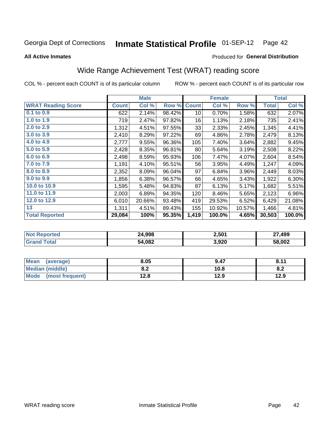### **Inmate Statistical Profile 01-SEP-12** Page 42

**All Active Inmates** 

## Produced for General Distribution

# Wide Range Achievement Test (WRAT) reading score

COL % - percent each COUNT is of its particular column

|                           |              | <b>Male</b> |        |              | <b>Female</b> |        |              | <b>Total</b> |
|---------------------------|--------------|-------------|--------|--------------|---------------|--------|--------------|--------------|
| <b>WRAT Reading Score</b> | <b>Count</b> | Col %       | Row %  | <b>Count</b> | Col %         | Row %  | <b>Total</b> | Col %        |
| 0.1 to 0.9                | 622          | 2.14%       | 98.42% | 10           | 0.70%         | 1.58%  | 632          | 2.07%        |
| 1.0 to 1.9                | 719          | 2.47%       | 97.82% | 16           | 1.13%         | 2.18%  | 735          | 2.41%        |
| 2.0 to 2.9                | 1,312        | 4.51%       | 97.55% | 33           | 2.33%         | 2.45%  | 1,345        | 4.41%        |
| 3.0 to 3.9                | 2,410        | 8.29%       | 97.22% | 69           | 4.86%         | 2.78%  | 2,479        | 8.13%        |
| 4.0 to 4.9                | 2,777        | 9.55%       | 96.36% | 105          | 7.40%         | 3.64%  | 2,882        | 9.45%        |
| 5.0 to 5.9                | 2,428        | 8.35%       | 96.81% | 80           | 5.64%         | 3.19%  | 2,508        | 8.22%        |
| 6.0 to 6.9                | 2,498        | 8.59%       | 95.93% | 106          | 7.47%         | 4.07%  | 2,604        | 8.54%        |
| 7.0 to 7.9                | 1,191        | 4.10%       | 95.51% | 56           | 3.95%         | 4.49%  | 1,247        | 4.09%        |
| 8.0 to 8.9                | 2,352        | 8.09%       | 96.04% | 97           | 6.84%         | 3.96%  | 2,449        | 8.03%        |
| 9.0 to 9.9                | 1,856        | 6.38%       | 96.57% | 66           | 4.65%         | 3.43%  | 1,922        | 6.30%        |
| 10.0 to 10.9              | 1,595        | 5.48%       | 94.83% | 87           | 6.13%         | 5.17%  | 1,682        | 5.51%        |
| 11.0 to 11.9              | 2,003        | 6.89%       | 94.35% | 120          | 8.46%         | 5.65%  | 2,123        | 6.96%        |
| 12.0 to 12.9              | 6,010        | 20.66%      | 93.48% | 419          | 29.53%        | 6.52%  | 6,429        | 21.08%       |
| 13                        | 1,311        | 4.51%       | 89.43% | 155          | 10.92%        | 10.57% | 1,466        | 4.81%        |
| <b>Total Reported</b>     | 29,084       | 100%        | 95.35% | 1,419        | 100.0%        | 4.65%  | 30,503       | 100.0%       |

| <b>orteo</b><br>NO | 24,998 | 2,501 | ,499   |
|--------------------|--------|-------|--------|
| $-$                | 54,082 | 3,920 | 58,002 |

| <b>Mean</b><br>(average) | 8.05       | 9.47 | 8.11 |
|--------------------------|------------|------|------|
| <b>Median (middle)</b>   | י ה<br>o.z | 10.8 | o.z  |
| Mode (most frequent)     | 12.8       | 12.9 | 12.9 |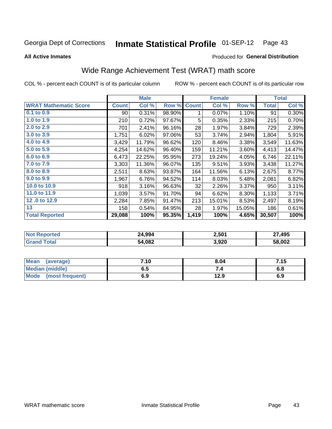### **Inmate Statistical Profile 01-SEP-12** Page 43

**All Active Inmates** 

### Produced for General Distribution

# Wide Range Achievement Test (WRAT) math score

COL % - percent each COUNT is of its particular column

|                              |              | <b>Male</b> |        |              | <b>Female</b> |        |              | <b>Total</b> |
|------------------------------|--------------|-------------|--------|--------------|---------------|--------|--------------|--------------|
| <b>WRAT Mathematic Score</b> | <b>Count</b> | Col %       | Row %  | <b>Count</b> | Col %         | Row %  | <b>Total</b> | Col %        |
| 0.1 to 0.9                   | 90           | 0.31%       | 98.90% | 1            | 0.07%         | 1.10%  | 91           | 0.30%        |
| 1.0 to 1.9                   | 210          | 0.72%       | 97.67% | 5            | 0.35%         | 2.33%  | 215          | 0.70%        |
| 2.0 to 2.9                   | 701          | 2.41%       | 96.16% | 28           | 1.97%         | 3.84%  | 729          | 2.39%        |
| 3.0 to 3.9                   | 1,751        | 6.02%       | 97.06% | 53           | 3.74%         | 2.94%  | 1,804        | 5.91%        |
| 4.0 to 4.9                   | 3,429        | 11.79%      | 96.62% | 120          | 8.46%         | 3.38%  | 3,549        | 11.63%       |
| 5.0 to 5.9                   | 4,254        | 14.62%      | 96.40% | 159          | 11.21%        | 3.60%  | 4,413        | 14.47%       |
| 6.0 to 6.9                   | 6,473        | 22.25%      | 95.95% | 273          | 19.24%        | 4.05%  | 6,746        | 22.11%       |
| 7.0 to 7.9                   | 3,303        | 11.36%      | 96.07% | 135          | 9.51%         | 3.93%  | 3,438        | 11.27%       |
| 8.0 to 8.9                   | 2,511        | 8.63%       | 93.87% | 164          | 11.56%        | 6.13%  | 2,675        | 8.77%        |
| 9.0 to 9.9                   | 1,967        | 6.76%       | 94.52% | 114          | 8.03%         | 5.48%  | 2,081        | 6.82%        |
| 10.0 to 10.9                 | 918          | 3.16%       | 96.63% | 32           | 2.26%         | 3.37%  | 950          | 3.11%        |
| 11.0 to 11.9                 | 1,039        | 3.57%       | 91.70% | 94           | 6.62%         | 8.30%  | 1,133        | 3.71%        |
| 12.0 to 12.9                 | 2,284        | 7.85%       | 91.47% | 213          | 15.01%        | 8.53%  | 2,497        | 8.19%        |
| 13                           | 158          | 0.54%       | 84.95% | 28           | 1.97%         | 15.05% | 186          | 0.61%        |
| <b>Total Reported</b>        | 29,088       | 100%        | 95.35% | 1,419        | 100%          | 4.65%  | 30,507       | 100%         |

| Reported<br>NOT F | 24,994 | 2,501 | ,495<br>$\sim$ |
|-------------------|--------|-------|----------------|
| ™otal             | 54,082 | 3,920 | 58,002         |

| Mean<br>(average)              | 7.10 | 8.04 | 7.15 |
|--------------------------------|------|------|------|
| <b>Median (middle)</b>         | כ.ס  |      | o.o  |
| <b>Mode</b><br>(most frequent) | 6.9  | 12.9 | 6.9  |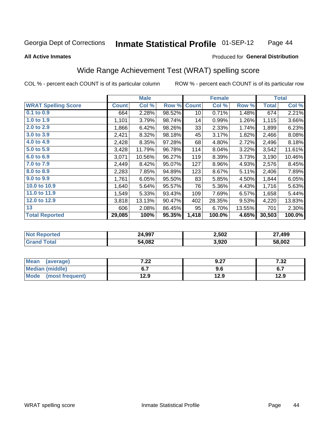### Inmate Statistical Profile 01-SEP-12 Page 44

### **All Active Inmates**

## Produced for General Distribution

# Wide Range Achievement Test (WRAT) spelling score

COL % - percent each COUNT is of its particular column

|                            |              | <b>Male</b> |        |              | <b>Female</b> |        |              | <b>Total</b> |
|----------------------------|--------------|-------------|--------|--------------|---------------|--------|--------------|--------------|
| <b>WRAT Spelling Score</b> | <b>Count</b> | Col %       | Row %  | <b>Count</b> | Col %         | Row %  | <b>Total</b> | Col %        |
| 0.1 to 0.9                 | 664          | 2.28%       | 98.52% | 10           | 0.71%         | 1.48%  | 674          | 2.21%        |
| 1.0 to 1.9                 | 1,101        | 3.79%       | 98.74% | 14           | 0.99%         | 1.26%  | 1,115        | 3.66%        |
| 2.0 to 2.9                 | 1,866        | 6.42%       | 98.26% | 33           | 2.33%         | 1.74%  | 1,899        | 6.23%        |
| 3.0 to 3.9                 | 2,421        | 8.32%       | 98.18% | 45           | 3.17%         | 1.82%  | 2,466        | 8.08%        |
| 4.0 to 4.9                 | 2,428        | 8.35%       | 97.28% | 68           | 4.80%         | 2.72%  | 2,496        | 8.18%        |
| 5.0 to 5.9                 | 3,428        | 11.79%      | 96.78% | 114          | 8.04%         | 3.22%  | 3,542        | 11.61%       |
| 6.0 to 6.9                 | 3,071        | 10.56%      | 96.27% | 119          | 8.39%         | 3.73%  | 3,190        | 10.46%       |
| 7.0 to 7.9                 | 2,449        | 8.42%       | 95.07% | 127          | 8.96%         | 4.93%  | 2,576        | 8.45%        |
| 8.0 to 8.9                 | 2,283        | 7.85%       | 94.89% | 123          | 8.67%         | 5.11%  | 2,406        | 7.89%        |
| 9.0 to 9.9                 | 1,761        | 6.05%       | 95.50% | 83           | 5.85%         | 4.50%  | 1,844        | 6.05%        |
| 10.0 to 10.9               | 1,640        | 5.64%       | 95.57% | 76           | 5.36%         | 4.43%  | 1,716        | 5.63%        |
| 11.0 to 11.9               | 1,549        | 5.33%       | 93.43% | 109          | 7.69%         | 6.57%  | 1,658        | 5.44%        |
| 12.0 to 12.9               | 3,818        | 13.13%      | 90.47% | 402          | 28.35%        | 9.53%  | 4,220        | 13.83%       |
| 13                         | 606          | 2.08%       | 86.45% | 95           | 6.70%         | 13.55% | 701          | 2.30%        |
| <b>Total Reported</b>      | 29,085       | 100%        | 95.35% | 1,418        | 100.0%        | 4.65%  | 30,503       | 100.0%       |

| <b>nted</b><br>NO | 24,997 | 2,502 | 499,   |
|-------------------|--------|-------|--------|
| $+ -$             | 54,082 | 3,920 | 58,002 |

| <b>Mean</b><br>(average) | ר ה<br>.22 | 9.27 | 7 22<br>∠د. ا |
|--------------------------|------------|------|---------------|
| Median (middle)          |            | ง.ง  | <b></b>       |
| Mode<br>(most frequent)  | 12.9       | 12.9 | 12.9          |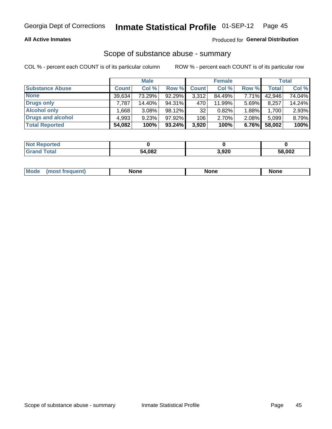### **All Active Inmates**

### Produced for General Distribution

## Scope of substance abuse - summary

COL % - percent each COUNT is of its particular column

|                        |              | <b>Male</b> |           |              | <b>Female</b> |       |              | <b>Total</b> |
|------------------------|--------------|-------------|-----------|--------------|---------------|-------|--------------|--------------|
| <b>Substance Abuse</b> | <b>Count</b> | Col %       | Row %     | <b>Count</b> | Col %         | Row % | <b>Total</b> | Col %        |
| <b>None</b>            | 39,634       | 73.29%      | 92.29%    | 3,312        | 84.49%        | 7.71% | 42,946       | 74.04%       |
| <b>Drugs only</b>      | 7.787        | 14.40%      | 94.31%    | 470          | 11.99%        | 5.69% | 8,257        | 14.24%       |
| <b>Alcohol only</b>    | .668         | $3.08\%$    | 98.12%    | 32           | 0.82%         | 1.88% | 1,700        | 2.93%        |
| Drugs and alcohol      | 4,993        | 9.23%       | 97.92%    | 106          | 2.70%         | 2.08% | 5,099        | 8.79%        |
| <b>Total Reported</b>  | 54,082       | 100%        | $93.24\%$ | 3,920        | 100%          | 6.76% | 58,002       | 100%         |

| <b>Not Reported</b> |        |       |        |
|---------------------|--------|-------|--------|
| <b>Grand Total</b>  | 54,082 | 3,920 | 58,002 |

|  | M<br>nuem | None | <b>IODE</b><br>NIJ | None |
|--|-----------|------|--------------------|------|
|--|-----------|------|--------------------|------|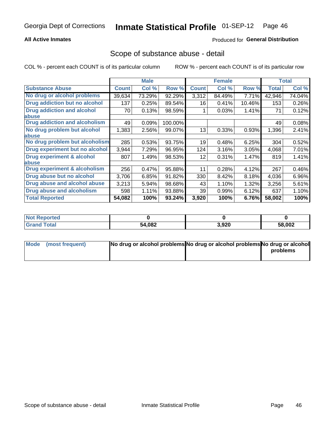### **All Active Inmates**

## **Produced for General Distribution**

## Scope of substance abuse - detail

COL % - percent each COUNT is of its particular column

|                                      |              | <b>Male</b> |         |              | <b>Female</b> |        |              | <b>Total</b> |
|--------------------------------------|--------------|-------------|---------|--------------|---------------|--------|--------------|--------------|
| <b>Substance Abuse</b>               | <b>Count</b> | Col %       | Row %   | <b>Count</b> | Col %         | Row %  | <b>Total</b> | Col %        |
| No drug or alcohol problems          | 39,634       | 73.29%      | 92.29%  | 3,312        | 84.49%        | 7.71%  | 42,946       | 74.04%       |
| Drug addiction but no alcohol        | 137          | 0.25%       | 89.54%  | 16           | 0.41%         | 10.46% | 153          | 0.26%        |
| <b>Drug addiction and alcohol</b>    | 70           | 0.13%       | 98.59%  |              | 0.03%         | 1.41%  | 71           | 0.12%        |
| <b>labuse</b>                        |              |             |         |              |               |        |              |              |
| <b>Drug addiction and alcoholism</b> | 49           | 0.09%       | 100.00% |              |               |        | 49           | 0.08%        |
| No drug problem but alcohol          | 1,383        | 2.56%       | 99.07%  | 13           | 0.33%         | 0.93%  | 1,396        | 2.41%        |
| <b>labuse</b>                        |              |             |         |              |               |        |              |              |
| No drug problem but alcoholism       | 285          | 0.53%       | 93.75%  | 19           | 0.48%         | 6.25%  | 304          | 0.52%        |
| Drug experiment but no alcohol       | 3,944        | 7.29%       | 96.95%  | 124          | 3.16%         | 3.05%  | 4,068        | 7.01%        |
| <b>Drug experiment &amp; alcohol</b> | 807          | 1.49%       | 98.53%  | 12           | 0.31%         | 1.47%  | 819          | 1.41%        |
| <b>labuse</b>                        |              |             |         |              |               |        |              |              |
| Drug experiment & alcoholism         | 256          | 0.47%       | 95.88%  | 11           | 0.28%         | 4.12%  | 267          | 0.46%        |
| Drug abuse but no alcohol            | 3,706        | 6.85%       | 91.82%  | 330          | 8.42%         | 8.18%  | 4,036        | 6.96%        |
| Drug abuse and alcohol abuse         | 3,213        | 5.94%       | 98.68%  | 43           | 1.10%         | 1.32%  | 3,256        | 5.61%        |
| <b>Drug abuse and alcoholism</b>     | 598          | 1.11%       | 93.88%  | 39           | 0.99%         | 6.12%  | 637          | 1.10%        |
| <b>Total Reported</b>                | 54,082       | 100%        | 93.24%  | 3,920        | 100%          | 6.76%  | 58,002       | 100%         |

| ported<br><b>NOT</b> |        |       |        |
|----------------------|--------|-------|--------|
| <b>otal</b>          | 54,082 | 3,920 | 58,002 |

| Mode (most frequent) | No drug or alcohol problems No drug or alcohol problems No drug or alcohol |          |
|----------------------|----------------------------------------------------------------------------|----------|
|                      |                                                                            | problems |
|                      |                                                                            |          |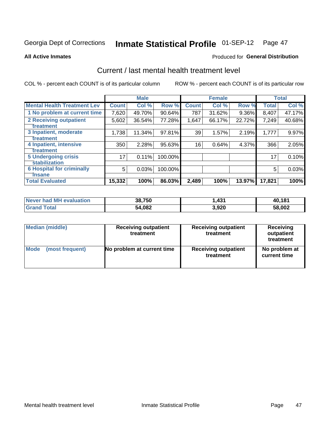### Inmate Statistical Profile 01-SEP-12 Page 47

**All Active Inmates** 

### Produced for General Distribution

# Current / last mental health treatment level

COL % - percent each COUNT is of its particular column

|                                    |              | <b>Male</b> |         |              | <b>Female</b> |          |        | <b>Total</b> |
|------------------------------------|--------------|-------------|---------|--------------|---------------|----------|--------|--------------|
| <b>Mental Health Treatment Lev</b> | <b>Count</b> | Col %       | Row %   | <b>Count</b> | Col %         | Row %    | Total  | Col %        |
| 1 No problem at current time       | 7,620        | 49.70%      | 90.64%  | 787          | 31.62%        | $9.36\%$ | 8,407  | 47.17%       |
| 2 Receiving outpatient             | 5,602        | 36.54%      | 77.28%  | 1,647        | 66.17%        | 22.72%   | 7,249  | 40.68%       |
| <b>Treatment</b>                   |              |             |         |              |               |          |        |              |
| 3 Inpatient, moderate              | 1,738        | 11.34%      | 97.81%  | 39           | 1.57%         | 2.19%    | 1,777  | 9.97%        |
| <b>Treatment</b>                   |              |             |         |              |               |          |        |              |
| 4 Inpatient, intensive             | 350          | 2.28%       | 95.63%  | 16           | 0.64%         | 4.37%    | 366    | 2.05%        |
| <b>Treatment</b>                   |              |             |         |              |               |          |        |              |
| 5 Undergoing crisis                | 17           | 0.11%       | 100.00% |              |               |          | 17     | 0.10%        |
| <b>stabilization</b>               |              |             |         |              |               |          |        |              |
| <b>6 Hospital for criminally</b>   | 5            | 0.03%       | 100.00% |              |               |          | 5      | 0.03%        |
| Tnsane                             |              |             |         |              |               |          |        |              |
| <b>Total Evaluated</b>             | 15,332       | 100%        | 86.03%  | 2,489        | 100%          | 13.97%   | 17,821 | 100%         |

| Never had MH evaluation | 38,750 | 431. ا | 40,181 |
|-------------------------|--------|--------|--------|
| <b>Grand Total</b>      | 54,082 | 3,920  | 58,002 |

| Median (middle) | <b>Receiving outpatient</b><br>treatment | <b>Receiving outpatient</b><br>treatment | <b>Receiving</b><br>outpatient<br>treatment |
|-----------------|------------------------------------------|------------------------------------------|---------------------------------------------|
| <b>Mode</b>     | No problem at current time               | <b>Receiving outpatient</b>              | No problem at                               |
| (most frequent) |                                          | treatment                                | current time                                |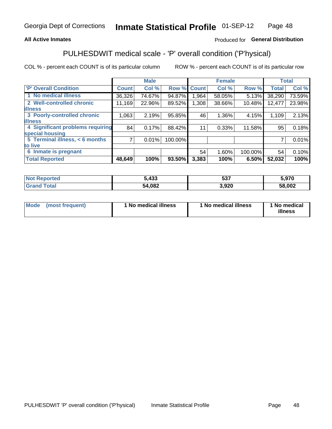### **All Active Inmates**

## Produced for General Distribution

# PULHESDWIT medical scale - 'P' overall condition ('P'hysical)

COL % - percent each COUNT is of its particular column

|                                  |                | <b>Male</b> |         |              | <b>Female</b> |         |              | <b>Total</b> |
|----------------------------------|----------------|-------------|---------|--------------|---------------|---------|--------------|--------------|
| <b>P' Overall Condition</b>      | <b>Count</b>   | Col %       | Row %   | <b>Count</b> | Col %         | Row %   | <b>Total</b> | Col %        |
| 1 No medical illness             | 36,326         | 74.67%      | 94.87%  | 964. ا       | 58.05%        | 5.13%   | 38,290       | 73.59%       |
| 2 Well-controlled chronic        | 11,169         | 22.96%      | 89.52%  | 1,308        | 38.66%        | 10.48%  | 12,477       | 23.98%       |
| <b>lillness</b>                  |                |             |         |              |               |         |              |              |
| 3 Poorly-controlled chronic      | 1,063          | 2.19%       | 95.85%  | 46           | 1.36%         | 4.15%   | 1,109        | 2.13%        |
| <b>illness</b>                   |                |             |         |              |               |         |              |              |
| 4 Significant problems requiring | 84             | 0.17%       | 88.42%  | 11           | 0.33%         | 11.58%  | 95           | 0.18%        |
| special housing                  |                |             |         |              |               |         |              |              |
| 5 Terminal illness, < 6 months   | $\overline{7}$ | 0.01%       | 100.00% |              |               |         | 7            | 0.01%        |
| to live                          |                |             |         |              |               |         |              |              |
| 6 Inmate is pregnant             |                |             |         | 54           | 1.60%         | 100.00% | 54           | 0.10%        |
| <b>Total Reported</b>            | 48,649         | 100%        | 93.50%  | 3,383        | 100%          | 6.50%   | 52,032       | 100%         |

| ueo | 5,433          | -07<br>. აა | 070<br>ว.ง  ข |
|-----|----------------|-------------|---------------|
|     | רמה ג'<br>,voz | .920<br>__  | 58,002        |

| Mode | (most frequent) | 1 No medical illness | 1 No medical illness | 1 No medical<br>illness |
|------|-----------------|----------------------|----------------------|-------------------------|
|------|-----------------|----------------------|----------------------|-------------------------|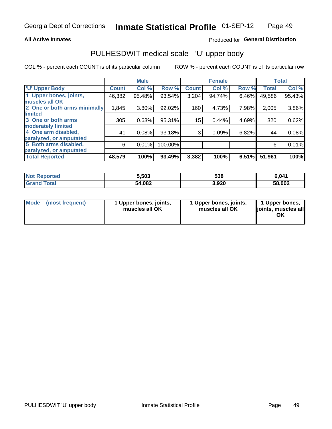### **All Active Inmates**

## Produced for General Distribution

# PULHESDWIT medical scale - 'U' upper body

COL % - percent each COUNT is of its particular column

|                              |              | <b>Male</b> |         |                 | <b>Female</b> |       |              | <b>Total</b> |
|------------------------------|--------------|-------------|---------|-----------------|---------------|-------|--------------|--------------|
| <b>U' Upper Body</b>         | <b>Count</b> | Col %       | Row %   | <b>Count</b>    | Col %         | Row % | <b>Total</b> | Col %        |
| 1 Upper bones, joints,       | 46,382       | 95.48%      | 93.54%  | 3,204           | 94.74%        | 6.46% | 49,586       | 95.43%       |
| muscles all OK               |              |             |         |                 |               |       |              |              |
| 2 One or both arms minimally | 1,845        | 3.80%       | 92.02%  | 160             | 4.73%         | 7.98% | 2,005        | 3.86%        |
| limited                      |              |             |         |                 |               |       |              |              |
| 3 One or both arms           | 305          | 0.63%       | 95.31%  | 15 <sub>1</sub> | 0.44%         | 4.69% | 320          | 0.62%        |
| <b>moderately limited</b>    |              |             |         |                 |               |       |              |              |
| 4 One arm disabled,          | 41           | 0.08%       | 93.18%  | 3               | 0.09%         | 6.82% | 44           | 0.08%        |
| paralyzed, or amputated      |              |             |         |                 |               |       |              |              |
| 5 Both arms disabled,        | 6            | 0.01%       | 100.00% |                 |               |       | 6            | 0.01%        |
| paralyzed, or amputated      |              |             |         |                 |               |       |              |              |
| <b>Total Reported</b>        | 48,579       | 100%        | 93.49%  | 3,382           | 100%          | 6.51% | 51,961       | 100%         |

| <b>Not Reported</b> | 5,503  | 538   | 6.041  |
|---------------------|--------|-------|--------|
| <b>Grand Total</b>  | 54,082 | 3,920 | 58,002 |

|  | Mode (most frequent) | 1 Upper bones, joints,<br>muscles all OK | 1 Upper bones, joints,<br>muscles all OK | 1 Upper bones,<br>ljoints, muscles all<br>ΟK |
|--|----------------------|------------------------------------------|------------------------------------------|----------------------------------------------|
|--|----------------------|------------------------------------------|------------------------------------------|----------------------------------------------|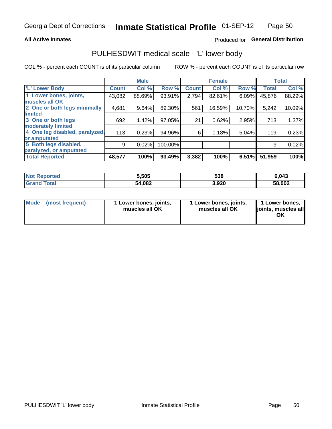### **All Active Inmates**

## Produced for General Distribution

# PULHESDWIT medical scale - 'L' lower body

COL % - percent each COUNT is of its particular column

|                                |              | <b>Male</b> |         |              | <b>Female</b> |        |              | <b>Total</b> |
|--------------------------------|--------------|-------------|---------|--------------|---------------|--------|--------------|--------------|
| 'L' Lower Body                 | <b>Count</b> | Col %       | Row %   | <b>Count</b> | Col %         | Row %  | <b>Total</b> | Col %        |
| 1 Lower bones, joints,         | 43,082       | 88.69%      | 93.91%  | 2,794        | 82.61%        | 6.09%  | 45,876       | 88.29%       |
| muscles all OK                 |              |             |         |              |               |        |              |              |
| 2 One or both legs minimally   | 4,681        | 9.64%       | 89.30%  | 561          | 16.59%        | 10.70% | 5,242        | 10.09%       |
| limited                        |              |             |         |              |               |        |              |              |
| 3 One or both legs             | 692          | 1.42%       | 97.05%  | 21           | 0.62%         | 2.95%  | 713          | 1.37%        |
| moderately limited             |              |             |         |              |               |        |              |              |
| 4 One leg disabled, paralyzed, | 113          | 0.23%       | 94.96%  | 6            | 0.18%         | 5.04%  | 119          | 0.23%        |
| or amputated                   |              |             |         |              |               |        |              |              |
| 5 Both legs disabled,          | 9            | 0.02%       | 100.00% |              |               |        | 9            | 0.02%        |
| paralyzed, or amputated        |              |             |         |              |               |        |              |              |
| <b>Total Reported</b>          | 48,577       | 100%        | 93.49%  | 3,382        | 100%          | 6.51%  | 51,959       | 100%         |

| <b>Not Reported</b> | 5,505  | 538   | 6,043  |
|---------------------|--------|-------|--------|
| <b>Grand Total</b>  | 54,082 | 3,920 | 58,002 |

|  | Mode (most frequent) | 1 Lower bones, joints,<br>muscles all OK | 1 Lower bones, joints,<br>muscles all OK | 1 Lower bones,<br>joints, muscles all<br>ΟK |
|--|----------------------|------------------------------------------|------------------------------------------|---------------------------------------------|
|--|----------------------|------------------------------------------|------------------------------------------|---------------------------------------------|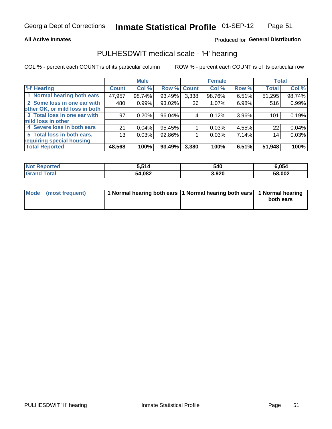### **All Active Inmates**

## Produced for General Distribution

# PULHESDWIT medical scale - 'H' hearing

COL % - percent each COUNT is of its particular column

|                                |                 | <b>Male</b> |                    |       | <b>Female</b> |       | <b>Total</b> |        |
|--------------------------------|-----------------|-------------|--------------------|-------|---------------|-------|--------------|--------|
| <b>'H' Hearing</b>             | <b>Count</b>    | Col %       | <b>Row % Count</b> |       | Col %         | Row % | <b>Total</b> | Col %  |
| 1 Normal hearing both ears     | 47,957          | 98.74%      | 93.49%             | 3,338 | 98.76%        | 6.51% | 51,295       | 98.74% |
| 2 Some loss in one ear with    | 480             | 0.99%       | 93.02%             | 36    | 1.07%         | 6.98% | 516          | 0.99%  |
| other OK, or mild loss in both |                 |             |                    |       |               |       |              |        |
| 3 Total loss in one ear with   | 97              | 0.20%       | 96.04%             | 4     | 0.12%         | 3.96% | 101          | 0.19%  |
| mild loss in other             |                 |             |                    |       |               |       |              |        |
| 4 Severe loss in both ears     | 21              | 0.04%       | 95.45%             |       | 0.03%         | 4.55% | 22           | 0.04%  |
| 5 Total loss in both ears,     | 13 <sub>1</sub> | 0.03%       | 92.86%             |       | 0.03%         | 7.14% | 14           | 0.03%  |
| requiring special housing      |                 |             |                    |       |               |       |              |        |
| <b>Total Reported</b>          | 48,568          | 100%        | 93.49%             | 3,380 | 100%          | 6.51% | 51,948       | 100%   |

| <b>Not Reno</b><br><b>ported</b> | 514<br>ີ່ | 540   | 054,ز  |
|----------------------------------|-----------|-------|--------|
| Total                            | 54,082    | 3,920 | 58,002 |

| Mode (most frequent) | 1 Normal hearing both ears 11 Normal hearing both ears 1 Normal hearing | both ears |
|----------------------|-------------------------------------------------------------------------|-----------|
|                      |                                                                         |           |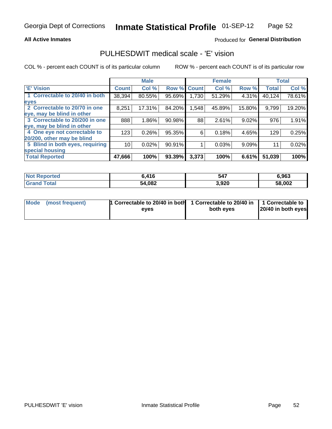### **All Active Inmates**

## Produced for General Distribution

# PULHESDWIT medical scale - 'E' vision

COL % - percent each COUNT is of its particular column

|                                 |                    | <b>Male</b> |        |              | <b>Female</b> |        |              | <b>Total</b> |
|---------------------------------|--------------------|-------------|--------|--------------|---------------|--------|--------------|--------------|
| 'E' Vision                      | Count <sup>'</sup> | Col %       | Row %  | <b>Count</b> | Col %         | Row %  | <b>Total</b> | Col %        |
| 1 Correctable to 20/40 in both  | 38,394             | 80.55%      | 95.69% | ا 730. ا     | 51.29%        | 4.31%  | 40,124       | 78.61%       |
| eyes                            |                    |             |        |              |               |        |              |              |
| 2 Correctable to 20/70 in one   | 8,251              | 17.31%      | 84.20% | 1,548        | 45.89%        | 15.80% | 9,799        | 19.20%       |
| eye, may be blind in other      |                    |             |        |              |               |        |              |              |
| 3 Correctable to 20/200 in one  | 888                | 1.86%       | 90.98% | 88           | 2.61%         | 9.02%  | 976          | 1.91%        |
| eye, may be blind in other      |                    |             |        |              |               |        |              |              |
| 4 One eye not correctable to    | 123                | 0.26%       | 95.35% | 6            | 0.18%         | 4.65%  | 129          | 0.25%        |
| 20/200, other may be blind      |                    |             |        |              |               |        |              |              |
| 5 Blind in both eyes, requiring | 10                 | 0.02%       | 90.91% |              | 0.03%         | 9.09%  | 11           | 0.02%        |
| special housing                 |                    |             |        |              |               |        |              |              |
| <b>Total Reported</b>           | 47,666             | 100%        | 93.39% | 3,373        | 100%          | 6.61%  | 51,039       | 100%         |

| <b>Not Reported</b> | 6,416  | 547   | 6,963  |
|---------------------|--------|-------|--------|
| <b>Total</b>        | 54,082 | 3,920 | 58,002 |

| Mode (most frequent) | 1 Correctable to 20/40 in both<br>eves | 1 Correctable to 20/40 in   1 Correctable to  <br>both eyes | 20/40 in both eyes |
|----------------------|----------------------------------------|-------------------------------------------------------------|--------------------|
|                      |                                        |                                                             |                    |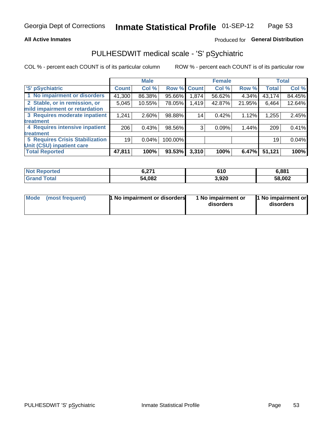### **All Active Inmates**

## Produced for General Distribution

# PULHESDWIT medical scale - 'S' pSychiatric

COL % - percent each COUNT is of its particular column

|                                        |              | <b>Male</b> |         |             | <b>Female</b> |        |              | <b>Total</b> |
|----------------------------------------|--------------|-------------|---------|-------------|---------------|--------|--------------|--------------|
| 'S' pSychiatric                        | <b>Count</b> | Col %       |         | Row % Count | Col %         | Row %  | <b>Total</b> | Col %        |
| 1 No impairment or disorders           | 41,300       | 86.38%      | 95.66%  | 1,874       | 56.62%        | 4.34%  | 43,174       | 84.45%       |
| 2 Stable, or in remission, or          | 5,045        | 10.55%      | 78.05%  | 1,419       | 42.87%        | 21.95% | 6,464        | 12.64%       |
| mild impairment or retardation         |              |             |         |             |               |        |              |              |
| 3 Requires moderate inpatient          | 1,241        | 2.60%       | 98.88%  | 14          | 0.42%         | 1.12%  | 1,255        | 2.45%        |
| treatment                              |              |             |         |             |               |        |              |              |
| 4 Requires intensive inpatient         | 206          | 0.43%       | 98.56%  | 3           | 0.09%         | 1.44%  | 209          | 0.41%        |
| treatment                              |              |             |         |             |               |        |              |              |
| <b>5 Requires Crisis Stabilization</b> | 19           | 0.04%       | 100.00% |             |               |        | 19           | 0.04%        |
| Unit (CSU) inpatient care              |              |             |         |             |               |        |              |              |
| <b>Total Reported</b>                  | 47,811       | 100%        | 93.53%  | 3,310       | 100%          | 6.47%  | 51,121       | 100%         |

| <b>Not Reported</b> | C 774<br>V. <i>l</i> i | 610   | 6,881  |
|---------------------|------------------------|-------|--------|
| Total<br>'Grand     | 54,082                 | 3,920 | 58,002 |

| Mode<br>1 No impairment or disorders<br>(most frequent) | 1 No impairment or<br>disorders | 1 No impairment or<br>disorders |
|---------------------------------------------------------|---------------------------------|---------------------------------|
|---------------------------------------------------------|---------------------------------|---------------------------------|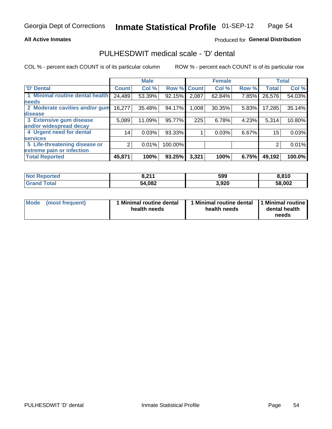### **All Active Inmates**

## Produced for General Distribution

# PULHESDWIT medical scale - 'D' dental

COL % - percent each COUNT is of its particular column

|                                 |              | <b>Male</b> |         |              | <b>Female</b> |       |              | <b>Total</b> |
|---------------------------------|--------------|-------------|---------|--------------|---------------|-------|--------------|--------------|
| <b>D'</b> Dental                | <b>Count</b> | Col %       | Row %   | <b>Count</b> | Col %         | Row % | <b>Total</b> | Col %        |
| 1 Minimal routine dental health | 24,489       | 53.39%      | 92.15%  | 2,087        | 62.84%        | 7.85% | 26,576       | 54.03%       |
| <b>needs</b>                    |              |             |         |              |               |       |              |              |
| 2 Moderate cavities and/or gum  | 16,277       | 35.48%      | 94.17%  | 1,008        | 30.35%        | 5.83% | 17,285       | 35.14%       |
| disease                         |              |             |         |              |               |       |              |              |
| 3 Extensive gum disease         | 5,089        | 11.09%      | 95.77%  | 225          | 6.78%         | 4.23% | 5,314        | 10.80%       |
| and/or widespread decay         |              |             |         |              |               |       |              |              |
| 4 Urgent need for dental        | 14           | 0.03%       | 93.33%  |              | 0.03%         | 6.67% | 15           | 0.03%        |
| <b>services</b>                 |              |             |         |              |               |       |              |              |
| 5 Life-threatening disease or   | 2            | 0.01%       | 100.00% |              |               |       | 2            | 0.01%        |
| extreme pain or infection       |              |             |         |              |               |       |              |              |
| <b>Total Reported</b>           | 45,871       | 100%        | 93.25%  | 3,321        | 100%          | 6.75% | 49,192       | 100.0%       |

| <b>Not Reported</b> | <b>. 644</b><br>0.411 | 599   | 8,810  |
|---------------------|-----------------------|-------|--------|
| <b>Grand Total</b>  | 54,082                | 3,920 | 58,002 |

| 1 Minimal routine dental<br>Mode<br>(most frequent)<br>health needs | 1 Minimal routine dental 1 Minimal routine<br>health needs | dental health<br>needs |
|---------------------------------------------------------------------|------------------------------------------------------------|------------------------|
|---------------------------------------------------------------------|------------------------------------------------------------|------------------------|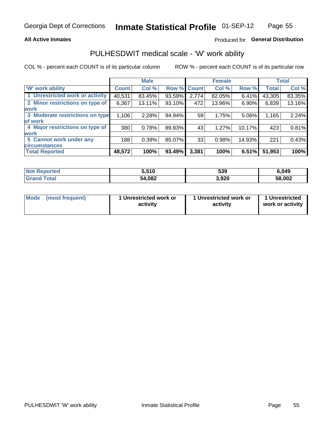### **All Active Inmates**

## Produced for General Distribution

# PULHESDWIT medical scale - 'W' work ability

COL % - percent each COUNT is of its particular column

|                                 |              | <b>Male</b> |        |                    | <b>Female</b> |        |              | <b>Total</b> |
|---------------------------------|--------------|-------------|--------|--------------------|---------------|--------|--------------|--------------|
| <b>W' work ability</b>          | <b>Count</b> | Col %       |        | <b>Row % Count</b> | Col %         | Row %  | <b>Total</b> | Col %        |
| 1 Unrestricted work or activity | 40,531       | 83.45%      | 93.59% | 2,774              | 82.05%        | 6.41%  | 43,305       | 83.35%       |
| 2 Minor restrictions on type of | 6,367        | 13.11%      | 93.10% | 472                | 13.96%        | 6.90%  | 6,839        | 13.16%       |
| <b>work</b>                     |              |             |        |                    |               |        |              |              |
| 3 Moderate restrictions on type | 1,106        | 2.28%       | 94.94% | 59                 | 1.75%         | 5.06%  | 1,165        | 2.24%        |
| of work                         |              |             |        |                    |               |        |              |              |
| 4 Major restrictions on type of | 380          | 0.78%       | 89.83% | 43                 | 1.27%         | 10.17% | 423          | 0.81%        |
| <b>work</b>                     |              |             |        |                    |               |        |              |              |
| 5 Cannot work under any         | 188          | 0.39%       | 85.07% | 33                 | 0.98%         | 14.93% | 221          | 0.43%        |
| <b>circumstances</b>            |              |             |        |                    |               |        |              |              |
| <b>Total Reported</b>           | 48,572       | 100%        | 93.49% | 3,381              | 100%          | 6.51%  | 51,953       | 100%         |

| <b>Not Reported</b> | 5,510  | 539   | 6,049  |
|---------------------|--------|-------|--------|
| Total<br>' Grand    | 54,082 | 3,920 | 58,002 |

| Mode            | 1 Unrestricted work or | 1 Unrestricted work or | 1 Unrestricted   |
|-----------------|------------------------|------------------------|------------------|
| (most frequent) | activity               | activity               | work or activity |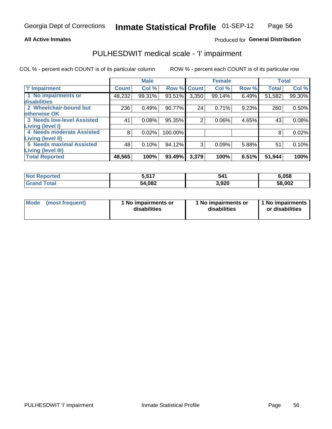### **All Active Inmates**

## Produced for General Distribution

# PULHESDWIT medical scale - 'I' impairment

COL % - percent each COUNT is of its particular column

|                                   |              | <b>Male</b> |             |                | <b>Female</b> |       |              | <b>Total</b> |
|-----------------------------------|--------------|-------------|-------------|----------------|---------------|-------|--------------|--------------|
| <b>T' Impairment</b>              | <b>Count</b> | Col %       | Row % Count |                | Col %         | Row % | <b>Total</b> | Col %        |
| 1 No impairments or               | 48,232       | 99.31%      | 93.51%      | 3,350          | 99.14%        | 6.49% | 51,582       | 99.30%       |
| <b>disabilities</b>               |              |             |             |                |               |       |              |              |
| 2 Wheelchair-bound but            | 236          | 0.49%       | 90.77%      | 24             | 0.71%         | 9.23% | 260          | 0.50%        |
| otherwise OK                      |              |             |             |                |               |       |              |              |
| <b>3 Needs low-level Assisted</b> | 41           | 0.08%       | 95.35%      | $\overline{2}$ | 0.06%         | 4.65% | 43           | 0.08%        |
| Living (level I)                  |              |             |             |                |               |       |              |              |
| 4 Needs moderate Assisted         | 8            | 0.02%       | 100.00%     |                |               |       | 8            | 0.02%        |
| Living (level II)                 |              |             |             |                |               |       |              |              |
| <b>5 Needs maximal Assisted</b>   | 48           | 0.10%       | 94.12%      | 3              | 0.09%         | 5.88% | 51           | 0.10%        |
| <b>Living (level III)</b>         |              |             |             |                |               |       |              |              |
| <b>Total Reported</b>             | 48,565       | 100%        | 93.49%      | 3,379          | 100%          | 6.51% | 51,944       | 100%         |

| <b>Not</b><br>Reported | 5,517  | 541   | 6,058  |
|------------------------|--------|-------|--------|
| Total                  | 54,082 | 3,920 | 58,002 |

| Mode | (most frequent) | 1 No impairments or<br>disabilities | 1 No impairments or<br>disabilities | 1 No impairments<br>or disabilities |
|------|-----------------|-------------------------------------|-------------------------------------|-------------------------------------|
|------|-----------------|-------------------------------------|-------------------------------------|-------------------------------------|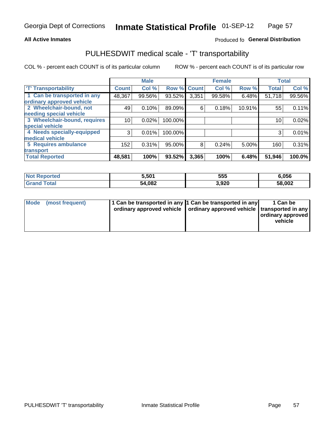### **All Active Inmates**

## Produced fo General Distribution

# PULHESDWIT medical scale - 'T' transportability

COL % - percent each COUNT is of its particular column

|                              |              | <b>Male</b> |         |              | <b>Female</b> |        | <b>Total</b> |        |
|------------------------------|--------------|-------------|---------|--------------|---------------|--------|--------------|--------|
| <b>T' Transportability</b>   | <b>Count</b> | Col %       | Row %   | <b>Count</b> | Col %         | Row %  | <b>Total</b> | Col %  |
| 1 Can be transported in any  | 48,367       | 99.56%      | 93.52%  | 3,351        | 99.58%        | 6.48%  | 51,718       | 99.56% |
| ordinary approved vehicle    |              |             |         |              |               |        |              |        |
| 2 Wheelchair-bound, not      | 49           | 0.10%       | 89.09%  | 6            | 0.18%         | 10.91% | 55           | 0.11%  |
| needing special vehicle      |              |             |         |              |               |        |              |        |
| 3 Wheelchair-bound, requires | 10           | 0.02%       | 100.00% |              |               |        | 10           | 0.02%  |
| special vehicle              |              |             |         |              |               |        |              |        |
| 4 Needs specially-equipped   | 3            | 0.01%       | 100.00% |              |               |        |              | 0.01%  |
| medical vehicle              |              |             |         |              |               |        |              |        |
| <b>5 Requires ambulance</b>  | 152          | 0.31%       | 95.00%  | 8            | 0.24%         | 5.00%  | 160          | 0.31%  |
| transport                    |              |             |         |              |               |        |              |        |
| <b>Total Reported</b>        | 48,581       | 100%        | 93.52%  | 3,365        | 100%          | 6.48%  | 51,946       | 100.0% |

| <b>:ported</b> | 5,501  | 555  | 6,056  |
|----------------|--------|------|--------|
| <b>otal</b>    | 54,082 | 920, | 58,002 |

|  | Mode (most frequent) | 1 Can be transported in any 1 Can be transported in any<br>ordinary approved vehicle   ordinary approved vehicle   transported in any |  | 1 Can be<br>  ordinary approved  <br>vehicle |
|--|----------------------|---------------------------------------------------------------------------------------------------------------------------------------|--|----------------------------------------------|
|--|----------------------|---------------------------------------------------------------------------------------------------------------------------------------|--|----------------------------------------------|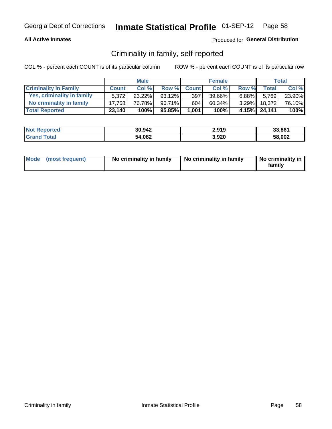### **All Active Inmates**

## Produced for General Distribution

## Criminality in family, self-reported

COL % - percent each COUNT is of its particular column

|                              |              | <b>Male</b> |           |              | <b>Female</b> |          |              | Total  |
|------------------------------|--------------|-------------|-----------|--------------|---------------|----------|--------------|--------|
| <b>Criminality In Family</b> | <b>Count</b> | Col%        | Row %     | <b>Count</b> | Col %         | Row %    | Total        | Col %  |
| Yes, criminality in family   | 5.372        | 23.22%      | $93.12\%$ | 397          | 39.66%        | $6.88\%$ | 5.769        | 23.90% |
| No criminality in family     | 17.768       | 76.78%      | 96.71%    | 604          | 60.34%        | $3.29\%$ | 18,372       | 76.10% |
| <b>Total Reported</b>        | 23,140       | 100%        | 95.85%    | 1,001        | 100%          |          | 4.15% 24,141 | 100%   |

| <b>Not Reported</b> | 30,942 | 2,919 | 33,861 |
|---------------------|--------|-------|--------|
| ⊺ota                | 54,082 | 3,920 | 58,002 |

|  | Mode (most frequent) | No criminality in family | No criminality in family | No criminality in<br>family |
|--|----------------------|--------------------------|--------------------------|-----------------------------|
|--|----------------------|--------------------------|--------------------------|-----------------------------|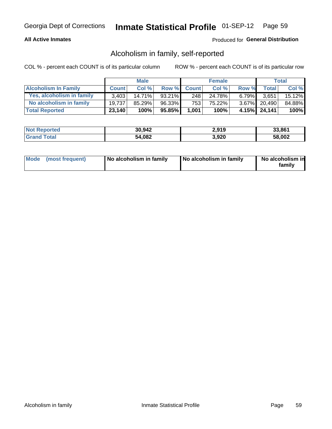## **All Active Inmates**

## Produced for General Distribution

## Alcoholism in family, self-reported

COL % - percent each COUNT is of its particular column

|                             |              | <b>Male</b> |              |              | <b>Female</b> |          |                 | Total   |
|-----------------------------|--------------|-------------|--------------|--------------|---------------|----------|-----------------|---------|
| <b>Alcoholism In Family</b> | <b>Count</b> | Col %       | <b>Row %</b> | <b>Count</b> | Col %         | Row %    | <b>Total</b>    | Col %   |
| Yes, alcoholism in family   | 3.403        | 14.71%      | 93.21%       | 248          | 24.78%        | $6.79\%$ | 3,651           | 15.12%  |
| No alcoholism in family     | 19.737       | $85.29\%$   | 96.33%       | 753          | 75.22%        |          | 3.67% 20,490    | 84.88%  |
| <b>Total Reported</b>       | 23,140       | 100%        | 95.85%       | 1,001        | 100%          |          | $4.15\%$ 24,141 | $100\%$ |

| <b>Not Reported</b> | 30,942 | 2,919 | 33,861 |
|---------------------|--------|-------|--------|
| ⊺otai               | 54,082 | 3,920 | 58,002 |

|  | Mode (most frequent) | No alcoholism in family | No alcoholism in family | No alcoholism in<br>family |
|--|----------------------|-------------------------|-------------------------|----------------------------|
|--|----------------------|-------------------------|-------------------------|----------------------------|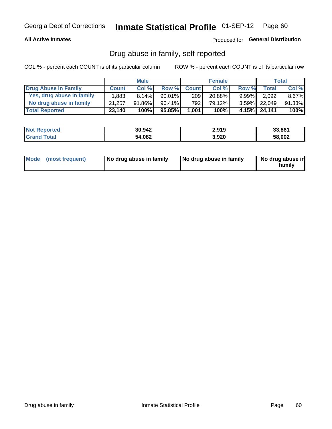### **All Active Inmates**

Produced for General Distribution

## Drug abuse in family, self-reported

COL % - percent each COUNT is of its particular column

|                           |              | <b>Male</b> |           |              | <b>Female</b> |          |              | Total    |
|---------------------------|--------------|-------------|-----------|--------------|---------------|----------|--------------|----------|
| Drug Abuse In Family      | <b>Count</b> | Col%        | Row %     | <b>Count</b> | Col%          | Row %    | Total        | Col %    |
| Yes, drug abuse in family | 1,883        | 8.14%       | $90.01\%$ | 209          | 20.88%        | $9.99\%$ | 2,092        | $8.67\%$ |
| No drug abuse in family   | 21,257       | 91.86%      | 96.41%    | 792          | 79.12%        |          | 3.59% 22,049 | 91.33%   |
| <b>Total Reported</b>     | 23,140       | 100%        | $95.85\%$ | 1,001        | 100%          |          | 4.15% 24,141 | 100%     |

| <b>Not Reported</b> | 30,942 | 2,919 | 33,861 |
|---------------------|--------|-------|--------|
| ⊺ota                | 54,082 | 3,920 | 58,002 |

|  | Mode (most frequent) | No drug abuse in family | No drug abuse in family | No drug abuse in<br>family |
|--|----------------------|-------------------------|-------------------------|----------------------------|
|--|----------------------|-------------------------|-------------------------|----------------------------|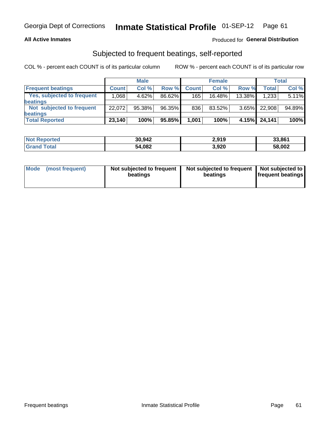### **All Active Inmates**

## Produced for General Distribution

# Subjected to frequent beatings, self-reported

COL % - percent each COUNT is of its particular column

|                            |              | <b>Male</b> |        |              | <b>Female</b> |          |                    | Total  |
|----------------------------|--------------|-------------|--------|--------------|---------------|----------|--------------------|--------|
| <b>Frequent beatings</b>   | <b>Count</b> | Col %       | Row %  | <b>Count</b> | Col %         | Row %    | Total <sub>1</sub> | Col%   |
| Yes, subjected to frequent | .068         | 4.62%       | 86.62% | 165          | $16.48\%$     | 13.38%   | 1,233              | 5.11%  |
| beatings                   |              |             |        |              |               |          |                    |        |
| Not subjected to frequent  | 22.072       | 95.38%      | 96.35% | 836          | 83.52%        | $3.65\%$ | 22,908             | 94.89% |
| beatings                   |              |             |        |              |               |          |                    |        |
| <b>Total Reported</b>      | 23,140       | 100%        | 95.85% | 1,001        | 100%          | 4.15%    | 24,141             | 100%   |

| <b>Not Reported</b> | 30,942 | 2,919 | 33,861 |
|---------------------|--------|-------|--------|
| <b>Grand Total</b>  | 54,082 | 3,920 | 58,002 |

| Mode (most frequent) | Not subjected to frequent<br>beatings | Not subjected to frequent<br>beatings | Not subjected to<br><b>frequent beatings</b> |
|----------------------|---------------------------------------|---------------------------------------|----------------------------------------------|
|                      |                                       |                                       |                                              |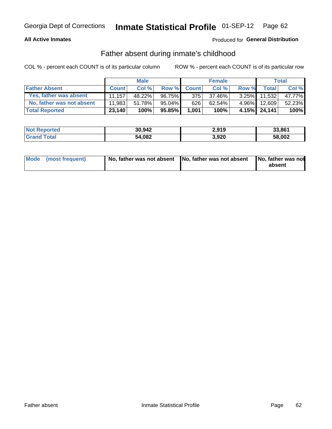### **All Active Inmates**

## Produced for General Distribution

## Father absent during inmate's childhood

COL % - percent each COUNT is of its particular column

|                           |              | <b>Male</b> |        |              | <b>Female</b> |          |              | Total  |
|---------------------------|--------------|-------------|--------|--------------|---------------|----------|--------------|--------|
| <b>Father Absent</b>      | <b>Count</b> | Col%        | Row %  | <b>Count</b> | Col %         | Row %    | <b>Total</b> | Col %  |
| Yes, father was absent    | 11.157'      | 48.22%      | 96.75% | 3751         | 37.46%        | $3.25\%$ | 11,532       | 47.77% |
| No, father was not absent | 11.983       | 51.78%      | 95.04% | 626          | 62.54%        | $4.96\%$ | 12,609       | 52.23% |
| <b>Total Reported</b>     | 23,140       | 100%        | 95.85% | 1,001        | 100%          |          | 4.15% 24,141 | 100%   |

| <b>Not Reported</b> | 30,942 | 2,919 | 33,861 |
|---------------------|--------|-------|--------|
| <b>Srand Total</b>  | 54,082 | 3,920 | 58,002 |

|  | Mode (most frequent) | No, father was not absent No, father was not absent |  | No, father was not<br>absent |
|--|----------------------|-----------------------------------------------------|--|------------------------------|
|--|----------------------|-----------------------------------------------------|--|------------------------------|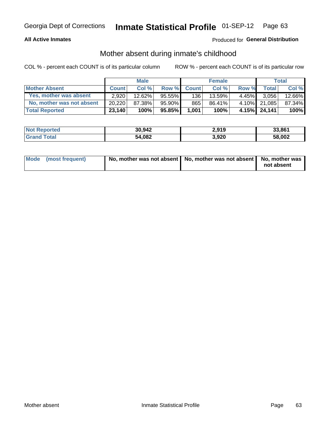### **All Active Inmates**

## Produced for General Distribution

## Mother absent during inmate's childhood

COL % - percent each COUNT is of its particular column

|                           |              | <b>Male</b> |           |              | <b>Female</b> |          |              | Total  |
|---------------------------|--------------|-------------|-----------|--------------|---------------|----------|--------------|--------|
| <b>Mother Absent</b>      | <b>Count</b> | Col%        | Row %     | <b>Count</b> | Col %         | Row %    | <b>Total</b> | Col %  |
| Yes, mother was absent    | 2.920        | 12.62%      | $95.55\%$ | 136          | 13.59%        | $4.45\%$ | 3,056        | 12.66% |
| No, mother was not absent | 20,220       | 87.38%      | $95.90\%$ | 865          | 86.41%        | $4.10\%$ | 21.085       | 87.34% |
| <b>Total Reported</b>     | 23,140       | 100%        | 95.85%    | 1,001        | 100%          |          | 4.15% 24,141 | 100%   |

| <b>Not Reported</b> | 30,942 | 2,919 | 33,861 |
|---------------------|--------|-------|--------|
| ⊺ota                | 54,082 | 3,920 | 58,002 |

| Mode (most frequent) | No, mother was not absent   No, mother was not absent   No, mother was | not absent |
|----------------------|------------------------------------------------------------------------|------------|
|                      |                                                                        |            |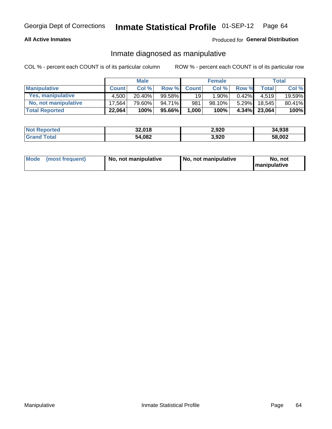### **All Active Inmates**

## Produced for General Distribution

## Inmate diagnosed as manipulative

COL % - percent each COUNT is of its particular column

|                       |              | <b>Male</b> |        |              | <b>Female</b> |          |              | Total  |
|-----------------------|--------------|-------------|--------|--------------|---------------|----------|--------------|--------|
| <b>Manipulative</b>   | <b>Count</b> | Col %       | Row %  | <b>Count</b> | Col%          | Row %    | <b>Total</b> | Col %  |
| Yes, manipulative     | 4.500        | 20.40%      | 99.58% | 19           | $1.90\%$      | $0.42\%$ | 4.519        | 19.59% |
| No, not manipulative  | 17.564       | 79.60%      | 94.71% | 981          | 98.10%        | $5.29\%$ | 18.545       | 80.41% |
| <b>Total Reported</b> | 22,064       | 100%        | 95.66% | 1,000        | 100%          | $4.34\%$ | 23,064       | 100%   |

| <b>Not Reported</b>   | 32,018 | 2,920 | 34,938 |
|-----------------------|--------|-------|--------|
| <b>Grand</b><br>`otal | 54,082 | 3,920 | 58,002 |

|  | Mode (most frequent) | No. not manipulative | No, not manipulative | No. not<br><b>I</b> manipulative |
|--|----------------------|----------------------|----------------------|----------------------------------|
|--|----------------------|----------------------|----------------------|----------------------------------|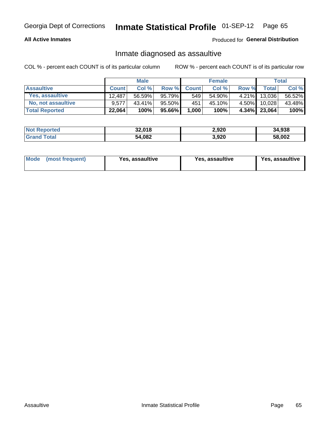### **All Active Inmates**

Produced for General Distribution

## Inmate diagnosed as assaultive

COL % - percent each COUNT is of its particular column

|                       |              | <b>Male</b> |        |              | <b>Female</b> |          |                 | Total  |
|-----------------------|--------------|-------------|--------|--------------|---------------|----------|-----------------|--------|
| <b>Assaultive</b>     | <b>Count</b> | Col%        | Row %  | <b>Count</b> | Col %         | Row %    | <b>Total</b>    | Col %  |
| Yes, assaultive       | 12.487       | 56.59%      | 95.79% | 549          | 54.90%        | $4.21\%$ | 13,036          | 56.52% |
| No, not assaultive    | 9.577        | $43.41\%$   | 95.50% | 451          | 45.10%        | $4.50\%$ | 10,028          | 43.48% |
| <b>Total Reported</b> | 22,064       | 100%        | 95.66% | 1,000        | 100%          |          | $4.34\%$ 23,064 | 100%   |

| <b>Not Reported</b> | 32,018 | 2,920 | 34,938 |
|---------------------|--------|-------|--------|
| Tota                | 54,082 | 3,920 | 58,002 |

| Mode<br>(most frequent) | <b>Yes, assaultive</b> | Yes, assaultive | <b>Yes, assaultive</b> |
|-------------------------|------------------------|-----------------|------------------------|
|-------------------------|------------------------|-----------------|------------------------|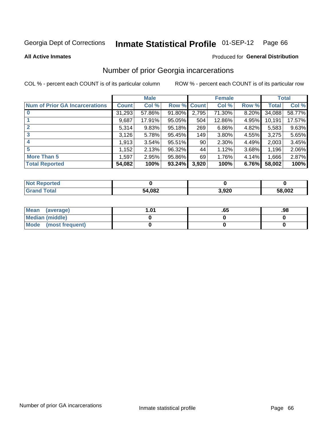### Inmate Statistical Profile 01-SEP-12 Page 66

**All Active Inmates** 

### Produced for General Distribution

# Number of prior Georgia incarcerations

COL % - percent each COUNT is of its particular column

|                                       |        | <b>Male</b> |             |       | <b>Female</b> |       |        | <b>Total</b> |
|---------------------------------------|--------|-------------|-------------|-------|---------------|-------|--------|--------------|
| <b>Num of Prior GA Incarcerations</b> | Count  | Col %       | Row % Count |       | Col %         | Row % | Total  | Col %        |
|                                       | 31,293 | 57.86%      | 91.80%      | 2,795 | 71.30%        | 8.20% | 34,088 | 58.77%       |
|                                       | 9,687  | 17.91%      | 95.05%      | 504   | 12.86%        | 4.95% | 10,191 | 17.57%       |
| $\overline{2}$                        | 5,314  | 9.83%       | 95.18%      | 269   | 6.86%         | 4.82% | 5,583  | 9.63%        |
| 3                                     | 3,126  | 5.78%       | 95.45%      | 149   | 3.80%         | 4.55% | 3,275  | 5.65%        |
| $\boldsymbol{4}$                      | 1,913  | 3.54%       | 95.51%      | 90    | 2.30%         | 4.49% | 2,003  | 3.45%        |
| 5                                     | 1,152  | 2.13%       | 96.32%      | 44    | 1.12%         | 3.68% | 1,196  | 2.06%        |
| <b>More Than 5</b>                    | 1,597  | 2.95%       | 95.86%      | 69    | 1.76%         | 4.14% | 1,666  | 2.87%        |
| <b>Total Reported</b>                 | 54,082 | 100%        | 93.24%      | 3,920 | 100%          | 6.76% | 58,002 | 100%         |

| <b>Not</b><br>Reported |        |       |        |
|------------------------|--------|-------|--------|
| ™otal<br>' Gran⊾       | 54,082 | 3,920 | 58,002 |

| Mean (average)       | l.01 | כס. | .98 |
|----------------------|------|-----|-----|
| Median (middle)      |      |     |     |
| Mode (most frequent) |      |     |     |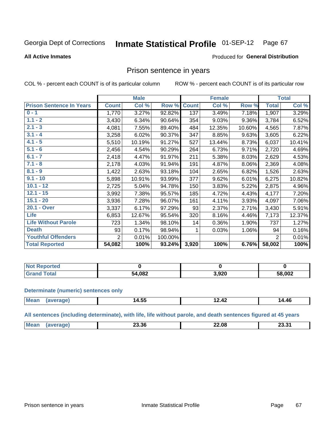### Inmate Statistical Profile 01-SEP-12 Page 67

### **All Active Inmates**

### Produced for General Distribution

## Prison sentence in years

COL % - percent each COUNT is of its particular column

ROW % - percent each COUNT is of its particular row

|                                 |                | <b>Male</b> |         |              | <b>Female</b> |          |                | <b>Total</b> |
|---------------------------------|----------------|-------------|---------|--------------|---------------|----------|----------------|--------------|
| <b>Prison Sentence In Years</b> | <b>Count</b>   | Col %       | Row %   | <b>Count</b> | Col %         | Row %    | <b>Total</b>   | Col %        |
| $0 - 1$                         | 1,770          | 3.27%       | 92.82%  | 137          | 3.49%         | 7.18%    | 1,907          | 3.29%        |
| $1.1 - 2$                       | 3,430          | 6.34%       | 90.64%  | 354          | 9.03%         | $9.36\%$ | 3,784          | 6.52%        |
| $2.1 - 3$                       | 4,081          | 7.55%       | 89.40%  | 484          | 12.35%        | 10.60%   | 4,565          | 7.87%        |
| $3.1 - 4$                       | 3,258          | 6.02%       | 90.37%  | 347          | 8.85%         | 9.63%    | 3,605          | 6.22%        |
| $4.1 - 5$                       | 5,510          | 10.19%      | 91.27%  | 527          | 13.44%        | 8.73%    | 6,037          | 10.41%       |
| $5.1 - 6$                       | 2,456          | 4.54%       | 90.29%  | 264          | 6.73%         | 9.71%    | 2,720          | 4.69%        |
| $6.1 - 7$                       | 2,418          | 4.47%       | 91.97%  | 211          | 5.38%         | 8.03%    | 2,629          | 4.53%        |
| $7.1 - 8$                       | 2,178          | 4.03%       | 91.94%  | 191          | 4.87%         | $8.06\%$ | 2,369          | 4.08%        |
| $8.1 - 9$                       | 1,422          | 2.63%       | 93.18%  | 104          | 2.65%         | 6.82%    | 1,526          | 2.63%        |
| $9.1 - 10$                      | 5,898          | 10.91%      | 93.99%  | 377          | 9.62%         | 6.01%    | 6,275          | 10.82%       |
| $10.1 - 12$                     | 2,725          | 5.04%       | 94.78%  | 150          | 3.83%         | 5.22%    | 2,875          | 4.96%        |
| $12.1 - 15$                     | 3,992          | 7.38%       | 95.57%  | 185          | 4.72%         | 4.43%    | 4,177          | 7.20%        |
| $15.1 - 20$                     | 3,936          | 7.28%       | 96.07%  | 161          | 4.11%         | 3.93%    | 4,097          | 7.06%        |
| 20.1 - Over                     | 3,337          | 6.17%       | 97.29%  | 93           | 2.37%         | 2.71%    | 3,430          | 5.91%        |
| <b>Life</b>                     | 6,853          | 12.67%      | 95.54%  | 320          | 8.16%         | 4.46%    | 7,173          | 12.37%       |
| <b>Life Without Parole</b>      | 723            | 1.34%       | 98.10%  | 14           | 0.36%         | 1.90%    | 737            | 1.27%        |
| <b>Death</b>                    | 93             | 0.17%       | 98.94%  |              | 0.03%         | 1.06%    | 94             | 0.16%        |
| <b>Youthful Offenders</b>       | $\overline{2}$ | 0.01%       | 100.00% |              |               |          | $\overline{2}$ | 0.01%        |
| <b>Total Reported</b>           | 54,082         | 100%        | 93.24%  | 3,920        | 100%          | 6.76%    | 58,002         | 100%         |

| <b>Not Reported</b> |        |       |        |
|---------------------|--------|-------|--------|
| . Caro              | 54,082 | . രാറ | 58,002 |

### **Determinate (numeric) sentences only**

| <b>Me:</b> | - - -<br>$\sim$<br>14.33<br>___ | 14.TA | л.<br>. . u |
|------------|---------------------------------|-------|-------------|
|            |                                 |       |             |

All sentences (including determinate), with life, life without parole, and death sentences figured at 45 years

| $^{\prime}$ Me. | 23.36 | 22.08<br>__ | גה הה<br>____ |
|-----------------|-------|-------------|---------------|
|                 |       |             |               |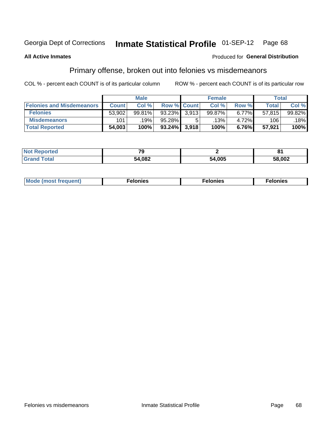#### **Inmate Statistical Profile 01-SEP-12** Page 68

### **All Active Inmates**

### Produced for General Distribution

# Primary offense, broken out into felonies vs misdemeanors

COL % - percent each COUNT is of its particular column

|                                  |              | <b>Male</b> |                    | <b>Female</b> |          | Total  |        |
|----------------------------------|--------------|-------------|--------------------|---------------|----------|--------|--------|
| <b>Felonies and Misdemeanors</b> | <b>Count</b> | Col%        | <b>Row % Count</b> | Col%          | Row %    | Total  | Col %  |
| <b>Felonies</b>                  | 53,902       | 99.81%      | $93.23\%$ 3.913    | 99.87%        | 6.77%    | 57.815 | 99.82% |
| <b>Misdemeanors</b>              | 101          | .19%        | $95.28\%$          | .13% '        | 4.72%    | 106    | 18%    |
| <b>Total Reported</b>            | 54,003       | 100%        | 93.24% 3.918       | 100%          | $6.76\%$ | 57,921 | 100%   |

| <b>Not</b><br><b>eported</b> | $\overline{\phantom{a}}$ |        |        |
|------------------------------|--------------------------|--------|--------|
| Grar<br>™otar                | 54,082                   | 54.005 | 58,002 |

| <b>Mo</b><br>requent)<br>$\sim$ | nıes | າເes | elonies |
|---------------------------------|------|------|---------|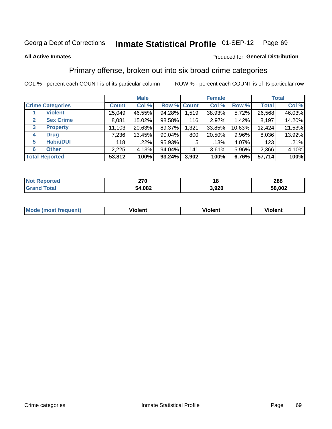### **All Active Inmates**

### Produced for **General Distribution**

# Primary offense, broken out into six broad crime categories

|                                  | <b>Male</b>  |        |           | <b>Female</b> |        |        | <b>Total</b> |        |
|----------------------------------|--------------|--------|-----------|---------------|--------|--------|--------------|--------|
| <b>Crime Categories</b>          | <b>Count</b> | Col %  |           | Row % Count   | Col %  | Row %  | <b>Total</b> | Col %  |
| <b>Violent</b>                   | 25,049       | 46.55% | 94.28%    | 1,519         | 38.93% | 5.72%  | 26,568       | 46.03% |
| <b>Sex Crime</b><br>$\mathbf{2}$ | 8,081        | 15.02% | 98.58%    | 116           | 2.97%  | 1.42%  | 8,197        | 14.20% |
| 3<br><b>Property</b>             | 11,103       | 20.63% | 89.37%    | 1,321         | 33.85% | 10.63% | 12,424       | 21.53% |
| <b>Drug</b><br>4                 | 7,236        | 13.45% | $90.04\%$ | 800           | 20.50% | 9.96%  | 8,036        | 13.92% |
| <b>Habit/DUI</b><br>5            | 118          | .22%   | 95.93%    | 5             | .13%   | 4.07%  | 123          | .21%   |
| <b>Other</b><br>6                | 2,225        | 4.13%  | 94.04%    | 141           | 3.61%  | 5.96%  | 2,366        | 4.10%  |
| <b>Total Reported</b>            | 53,812       | 100%   | $93.24\%$ | 3,902         | 100%   | 6.76%  | 57,714       | 100%   |

| rted<br>NO  | 270    |       | 288    |
|-------------|--------|-------|--------|
| <b>Tata</b> | 54,082 | 3,920 | 58,002 |

| Mc | .<br>$\cdots$ | VIOIEM |
|----|---------------|--------|
|    |               |        |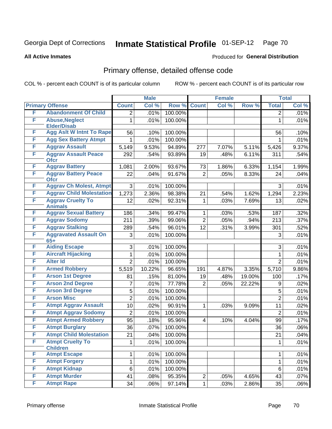**All Active Inmates**

### Produced for **General Distribution**

# Primary offense, detailed offense code

|   |                                             |                | <b>Male</b> |         |                | <b>Female</b> |        |                   | <b>Total</b> |
|---|---------------------------------------------|----------------|-------------|---------|----------------|---------------|--------|-------------------|--------------|
|   | <b>Primary Offense</b>                      | <b>Count</b>   | Col %       | Row %   | <b>Count</b>   | Col %         | Row %  | <b>Total</b>      | Col %        |
| F | <b>Abandonment Of Child</b>                 | $\overline{2}$ | .01%        | 100.00% |                |               |        | $\overline{2}$    | .01%         |
| F | <b>Abuse, Neglect</b><br><b>Elder/Disab</b> | 1              | .01%        | 100.00% |                |               |        | 1                 | .01%         |
| F | <b>Agg Aslt W Intnt To Rape</b>             | 56             | .10%        | 100.00% |                |               |        | 56                | .10%         |
| F | <b>Agg Sex Battery Atmpt</b>                | 1              | .01%        | 100.00% |                |               |        | 1                 | .01%         |
| F | <b>Aggrav Assault</b>                       | 5,149          | 9.53%       | 94.89%  | 277            | 7.07%         | 5.11%  | 5,426             | 9.37%        |
| F | <b>Aggrav Assault Peace</b><br><b>Ofcr</b>  | 292            | .54%        | 93.89%  | 19             | .48%          | 6.11%  | 311               | .54%         |
| F | <b>Aggrav Battery</b>                       | 1,081          | 2.00%       | 93.67%  | 73             | 1.86%         | 6.33%  | 1,154             | 1.99%        |
| F | <b>Aggrav Battery Peace</b><br><b>Ofcr</b>  | 22             | .04%        | 91.67%  | $\overline{2}$ | .05%          | 8.33%  | 24                | .04%         |
| F | <b>Aggrav Ch Molest, Atmpt</b>              | 3              | .01%        | 100.00% |                |               |        | 3                 | .01%         |
| F | <b>Aggrav Child Molestation</b>             | 1,273          | 2.36%       | 98.38%  | 21             | .54%          | 1.62%  | 1,294             | 2.23%        |
| F | <b>Aggrav Cruelty To</b><br><b>Animals</b>  | 12             | .02%        | 92.31%  | $\mathbf 1$    | .03%          | 7.69%  | 13                | .02%         |
| F | <b>Aggrav Sexual Battery</b>                | 186            | .34%        | 99.47%  | $\mathbf 1$    | .03%          | .53%   | 187               | .32%         |
| F | <b>Aggrav Sodomy</b>                        | 211            | .39%        | 99.06%  | $\overline{2}$ | .05%          | .94%   | $\overline{2}$ 13 | .37%         |
| F | <b>Aggrav Stalking</b>                      | 289            | .54%        | 96.01%  | 12             | .31%          | 3.99%  | 301               | .52%         |
| F | <b>Aggravated Assault On</b><br>$65+$       | 3              | .01%        | 100.00% |                |               |        | 3                 | .01%         |
| F | <b>Aiding Escape</b>                        | 3              | .01%        | 100.00% |                |               |        | 3                 | .01%         |
| F | <b>Aircraft Hijacking</b>                   | 1              | .01%        | 100.00% |                |               |        | 1                 | .01%         |
| F | <b>Alter Id</b>                             | $\overline{2}$ | .01%        | 100.00% |                |               |        | $\overline{2}$    | .01%         |
| F | <b>Armed Robbery</b>                        | 5,519          | 10.22%      | 96.65%  | 191            | 4.87%         | 3.35%  | 5,710             | $9.86\%$     |
| F | <b>Arson 1st Degree</b>                     | 81             | .15%        | 81.00%  | 19             | .48%          | 19.00% | 100               | .17%         |
| F | <b>Arson 2nd Degree</b>                     | 7              | .01%        | 77.78%  | $\overline{2}$ | .05%          | 22.22% | 9                 | .02%         |
| F | <b>Arson 3rd Degree</b>                     | 5              | .01%        | 100.00% |                |               |        | 5                 | .01%         |
| F | <b>Arson Misc</b>                           | $\overline{2}$ | .01%        | 100.00% |                |               |        | $\overline{2}$    | .01%         |
| F | <b>Atmpt Aggrav Assault</b>                 | 10             | .02%        | 90.91%  | $\mathbf{1}$   | .03%          | 9.09%  | 11                | .02%         |
| F | <b>Atmpt Aggrav Sodomy</b>                  | $\overline{2}$ | .01%        | 100.00% |                |               |        | $\overline{2}$    | .01%         |
| F | <b>Atmpt Armed Robbery</b>                  | 95             | .18%        | 95.96%  | $\overline{4}$ | .10%          | 4.04%  | 99                | .17%         |
| F | <b>Atmpt Burglary</b>                       | 36             | .07%        | 100.00% |                |               |        | 36                | $.06\%$      |
| F | <b>Atmpt Child Molestation</b>              | 21             | .04%        | 100.00% |                |               |        | 21                | .04%         |
| F | <b>Atmpt Cruelty To</b><br><b>Children</b>  | 1              | .01%        | 100.00% |                |               |        | 1                 | .01%         |
| F | <b>Atmpt Escape</b>                         | $\mathbf{1}$   | .01%        | 100.00% |                |               |        | 1                 | .01%         |
| F | <b>Atmpt Forgery</b>                        | 1              | .01%        | 100.00% |                |               |        | $\mathbf{1}$      | .01%         |
| F | <b>Atmpt Kidnap</b>                         | 6              | .01%        | 100.00% |                |               |        | 6                 | .01%         |
| F | <b>Atmpt Murder</b>                         | 41             | .08%        | 95.35%  | $2\vert$       | .05%          | 4.65%  | 43                | .07%         |
| F | <b>Atmpt Rape</b>                           | 34             | .06%        | 97.14%  | 1              | .03%          | 2.86%  | 35                | .06%         |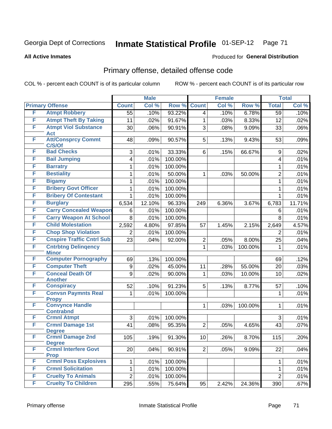### **All Active Inmates**

### Produced for **General Distribution**

# Primary offense, detailed offense code

|   |                                             |                     | <b>Male</b> |         |                | <b>Female</b> |         |                     | <b>Total</b> |
|---|---------------------------------------------|---------------------|-------------|---------|----------------|---------------|---------|---------------------|--------------|
|   | <b>Primary Offense</b>                      | <b>Count</b>        | Col %       | Row %   | <b>Count</b>   | Col %         | Row %   | <b>Total</b>        | Col %        |
| F | <b>Atmpt Robbery</b>                        | $\overline{55}$     | .10%        | 93.22%  | $\overline{4}$ | .10%          | 6.78%   | $\overline{59}$     | .10%         |
| F | <b>Atmpt Theft By Taking</b>                | 11                  | .02%        | 91.67%  | $\mathbf{1}$   | .03%          | 8.33%   | 12                  | .02%         |
| F | <b>Atmpt Viol Substance</b>                 | 30                  | .06%        | 90.91%  | 3              | .08%          | 9.09%   | 33                  | .06%         |
|   | <b>Act</b>                                  |                     |             |         |                |               |         |                     |              |
| F | <b>Att/Consprcy Commt</b><br>C/S/Of         | 48                  | .09%        | 90.57%  | 5              | .13%          | 9.43%   | 53                  | .09%         |
| F | <b>Bad Checks</b>                           | 3                   | .01%        | 33.33%  | 6              | .15%          | 66.67%  | 9                   | .02%         |
| F | <b>Bail Jumping</b>                         | 4                   | .01%        | 100.00% |                |               |         | 4                   | .01%         |
| F | <b>Barratry</b>                             | 1                   | .01%        | 100.00% |                |               |         | 1                   | .01%         |
| F | <b>Bestiality</b>                           | 1                   | .01%        | 50.00%  | $\mathbf 1$    | .03%          | 50.00%  | $\overline{2}$      | .01%         |
| F | <b>Bigamy</b>                               | 1                   | .01%        | 100.00% |                |               |         | $\mathbf{1}$        | .01%         |
| F | <b>Bribery Govt Officer</b>                 | 1                   | .01%        | 100.00% |                |               |         | 1                   | .01%         |
| F | <b>Bribery Of Contestant</b>                | 1                   | .01%        | 100.00% |                |               |         | 1                   | .01%         |
| F | <b>Burglary</b>                             | 6,534               | 12.10%      | 96.33%  | 249            | 6.36%         | 3.67%   | 6,783               | 11.71%       |
| F | <b>Carry Concealed Weapon</b>               | 6                   | .01%        | 100.00% |                |               |         | 6                   | .01%         |
| F | <b>Carry Weapon At School</b>               | 8                   | .01%        | 100.00% |                |               |         | 8                   | .01%         |
| F | <b>Child Molestation</b>                    | 2,592               | 4.80%       | 97.85%  | 57             | 1.45%         | 2.15%   | 2,649               | 4.57%        |
| F | <b>Chop Shop Violation</b>                  | $\overline{2}$      | .01%        | 100.00% |                |               |         | 2                   | .01%         |
| F | <b>Cnspire Traffic Cntrl Sub</b>            | 23                  | .04%        | 92.00%  | $\overline{c}$ | .05%          | 8.00%   | 25                  | .04%         |
| F | <b>Cntrbtng Delingency</b>                  |                     |             |         | $\mathbf{1}$   | .03%          | 100.00% | 1                   | .01%         |
|   | <b>Minor</b>                                |                     |             |         |                |               |         |                     |              |
| F | <b>Computer Pornography</b>                 | 69                  | .13%        | 100.00% |                |               |         | 69                  | .12%         |
| F | <b>Computer Theft</b>                       | $\boldsymbol{9}$    | .02%        | 45.00%  | 11             | .28%          | 55.00%  | 20                  | .03%         |
| F | <b>Conceal Death Of</b><br><b>Another</b>   | 9                   | .02%        | 90.00%  | $\mathbf{1}$   | .03%          | 10.00%  | 10                  | .02%         |
| F | <b>Conspiracy</b>                           | 52                  | .10%        | 91.23%  | 5              | .13%          | 8.77%   | 57                  | .10%         |
| F | <b>Convsn Paymnts Real</b>                  | 1                   | .01%        | 100.00% |                |               |         | 1                   | .01%         |
|   | <b>Propy</b>                                |                     |             |         |                |               |         |                     |              |
| F | <b>Convynce Handle</b>                      |                     |             |         | 1              | .03%          | 100.00% | 1                   | .01%         |
| F | <b>Contrabnd</b><br><b>Crmnl Atmpt</b>      |                     |             |         |                |               |         |                     |              |
| F | <b>Crmnl Damage 1st</b>                     | 3<br>41             | .01%        | 100.00% |                |               |         | 3                   | .01%         |
|   | <b>Degree</b>                               |                     | .08%        | 95.35%  | $\overline{2}$ | .05%          | 4.65%   | 43                  | .07%         |
| F | <b>Crmnl Damage 2nd</b>                     | 105                 | .19%        | 91.30%  | 10             | $.26\%$       | 8.70%   | $115$               | .20%         |
|   | <b>Degree</b>                               |                     |             |         |                |               |         |                     |              |
| F | <b>Crmnl Interfere Govt</b>                 | 20                  | .04%        | 90.91%  | 2              | .05%          | 9.09%   | 22                  | .04%         |
| F | <b>Prop</b><br><b>Crmnl Poss Explosives</b> |                     |             |         |                |               |         |                     |              |
| F | <b>Crmnl Solicitation</b>                   | 1                   | .01%        | 100.00% |                |               |         | 1                   | .01%         |
| F | <b>Cruelty To Animals</b>                   | 1<br>$\overline{2}$ | .01%        | 100.00% |                |               |         | 1<br>$\overline{2}$ | .01%         |
| F | <b>Cruelty To Children</b>                  |                     | .01%        | 100.00% |                |               |         |                     | .01%         |
|   |                                             | 295                 | .55%        | 75.64%  | 95             | 2.42%         | 24.36%  | 390                 | .67%         |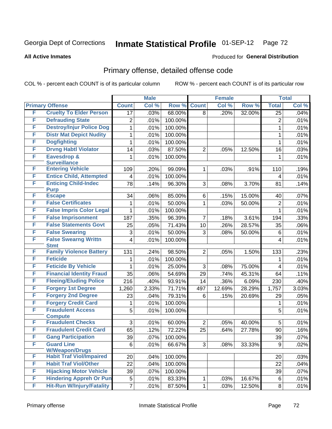### **All Active Inmates**

# Produced for **General Distribution**

# Primary offense, detailed offense code

|   |                                            |                | <b>Male</b> |         |                | <b>Female</b> |        |                 | <b>Total</b> |
|---|--------------------------------------------|----------------|-------------|---------|----------------|---------------|--------|-----------------|--------------|
|   | <b>Primary Offense</b>                     | <b>Count</b>   | Col %       | Row %   | <b>Count</b>   | Col %         | Row %  | <b>Total</b>    | Col %        |
| F | <b>Cruelty To Elder Person</b>             | 17             | .03%        | 68.00%  | 8              | .20%          | 32.00% | $\overline{25}$ | .04%         |
| F | <b>Defrauding State</b>                    | $\overline{2}$ | .01%        | 100.00% |                |               |        | $\overline{2}$  | .01%         |
| F | <b>Destroy/Injur Police Dog</b>            | 1              | .01%        | 100.00% |                |               |        | 1               | .01%         |
| F | <b>Distr Mat Depict Nudity</b>             | 1              | .01%        | 100.00% |                |               |        | 1               | .01%         |
| F | <b>Dogfighting</b>                         | 1              | .01%        | 100.00% |                |               |        | 1               | .01%         |
| F | <b>Drvng Habtl Violator</b>                | 14             | .03%        | 87.50%  | $\overline{2}$ | .05%          | 12.50% | 16              | .03%         |
| F | <b>Eavesdrop &amp;</b>                     | 1              | .01%        | 100.00% |                |               |        | 1               | .01%         |
|   | <b>Surveillance</b>                        |                |             |         |                |               |        |                 |              |
| F | <b>Entering Vehicle</b>                    | 109            | .20%        | 99.09%  | 1              | .03%          | .91%   | 110             | .19%         |
| F | <b>Entice Child, Attempted</b>             | 4              | .01%        | 100.00% |                |               |        | 4               | .01%         |
| F | <b>Enticing Child-Indec</b><br><b>Purp</b> | 78             | .14%        | 96.30%  | 3              | .08%          | 3.70%  | 81              | .14%         |
| F | <b>Escape</b>                              | 34             | .06%        | 85.00%  | 6              | .15%          | 15.00% | 40              | .07%         |
| F | <b>False Certificates</b>                  | 1              | .01%        | 50.00%  | 1              | .03%          | 50.00% | 2               | .01%         |
| F | <b>False Impris Color Legal</b>            | 1              | .01%        | 100.00% |                |               |        | 1               | .01%         |
| F | <b>False Imprisonment</b>                  | 187            | .35%        | 96.39%  | 7              | .18%          | 3.61%  | 194             | .33%         |
| F | <b>False Statements Govt</b>               | 25             | .05%        | 71.43%  | 10             | .26%          | 28.57% | 35              | .06%         |
| F | <b>False Swearing</b>                      | 3              | .01%        | 50.00%  | 3              | .08%          | 50.00% | 6               | .01%         |
| F | <b>False Swearng Writtn</b>                | 4              | .01%        | 100.00% |                |               |        | 4               | .01%         |
|   | <b>Stmt</b>                                |                |             |         |                |               |        |                 |              |
| F | <b>Family Violence Battery</b>             | 131            | .24%        | 98.50%  | $\overline{2}$ | .05%          | 1.50%  | 133             | .23%         |
| F | <b>Feticide</b>                            | 1              | .01%        | 100.00% |                |               |        | 1               | .01%         |
| F | <b>Feticide By Vehicle</b>                 | 1              | .01%        | 25.00%  | 3              | .08%          | 75.00% | 4               | .01%         |
| F | <b>Financial Identity Fraud</b>            | 35             | .06%        | 54.69%  | 29             | .74%          | 45.31% | 64              | .11%         |
| F | <b>Fleeing/Eluding Police</b>              | 216            | .40%        | 93.91%  | 14             | .36%          | 6.09%  | 230             | .40%         |
| F | <b>Forgery 1st Degree</b>                  | 1,260          | 2.33%       | 71.71%  | 497            | 12.69%        | 28.29% | 1,757           | 3.03%        |
| F | <b>Forgery 2nd Degree</b>                  | 23             | .04%        | 79.31%  | 6              | .15%          | 20.69% | 29              | .05%         |
| F | <b>Forgery Credit Card</b>                 | 1              | .01%        | 100.00% |                |               |        | 1               | .01%         |
| F | <b>Fraudulent Access</b>                   | 5              | .01%        | 100.00% |                |               |        | 5               | .01%         |
| F | <b>Compute</b><br><b>Fraudulent Checks</b> | 3              | .01%        | 60.00%  | $\overline{2}$ | .05%          | 40.00% | 5               | .01%         |
| F | <b>Fraudulent Credit Card</b>              | 65             | .12%        | 72.22%  | 25             | .64%          | 27.78% | 90              | .16%         |
| F | <b>Gang Participation</b>                  | 39             | .07%        | 100.00% |                |               |        | 39              | .07%         |
| F | <b>Guard Line</b>                          | 6              | .01%        | 66.67%  | 3              | .08%          | 33.33% | 9               | .02%         |
|   | <b>W/Weapon/Drugs</b>                      |                |             |         |                |               |        |                 |              |
| F | <b>Habit Traf Viol/Impaired</b>            | 20             | .04%        | 100.00% |                |               |        | 20              | .03%         |
| F | <b>Habit Traf Viol/Other</b>               | 22             | .04%        | 100.00% |                |               |        | 22              | .04%         |
| F | <b>Hijacking Motor Vehicle</b>             | 39             | .07%        | 100.00% |                |               |        | 39              | .07%         |
| F | <b>Hindering Appreh Or Pun</b>             | 5              | .01%        | 83.33%  | 1              | .03%          | 16.67% | 6               | .01%         |
| F | <b>Hit-Run W/Injury/Fatality</b>           | $\overline{7}$ | .01%        | 87.50%  | 1              | .03%          | 12.50% | 8               | .01%         |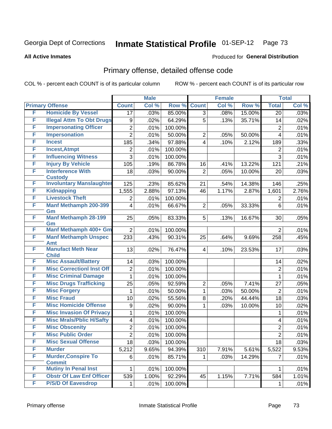Produced for **General Distribution**

#### **All Active Inmates**

### Primary offense, detailed offense code

|   |                                             |                  | <b>Male</b> |         |                | <b>Female</b> |        |                | <b>Total</b> |
|---|---------------------------------------------|------------------|-------------|---------|----------------|---------------|--------|----------------|--------------|
|   | <b>Primary Offense</b>                      | <b>Count</b>     | Col %       | Row %   | <b>Count</b>   | Col %         | Row %  | <b>Total</b>   | Col %        |
| F | <b>Homicide By Vessel</b>                   | 17               | .03%        | 85.00%  | $\overline{3}$ | .08%          | 15.00% | 20             | .03%         |
| F | <b>Illegal Attm To Obt Drugs</b>            | $\boldsymbol{9}$ | .02%        | 64.29%  | 5              | .13%          | 35.71% | 14             | .02%         |
| F | <b>Impersonating Officer</b>                | $\overline{2}$   | .01%        | 100.00% |                |               |        | $\overline{2}$ | .01%         |
| F | <b>Impersonation</b>                        | $\overline{2}$   | .01%        | 50.00%  | 2              | .05%          | 50.00% | 4              | .01%         |
| F | <b>Incest</b>                               | 185              | .34%        | 97.88%  | 4              | .10%          | 2.12%  | 189            | .33%         |
| F | <b>Incest, Atmpt</b>                        | 2                | .01%        | 100.00% |                |               |        | $\overline{2}$ | .01%         |
| F | <b>Influencing Witness</b>                  | 3                | .01%        | 100.00% |                |               |        | $\overline{3}$ | .01%         |
| F | <b>Injury By Vehicle</b>                    | 105              | .19%        | 86.78%  | 16             | .41%          | 13.22% | 121            | .21%         |
| F | <b>Interference With</b><br><b>Custody</b>  | 18               | .03%        | 90.00%  | $\overline{2}$ | .05%          | 10.00% | 20             | .03%         |
| F | <b>Involuntary Manslaughter</b>             | 125              | .23%        | 85.62%  | 21             | .54%          | 14.38% | 146            | .25%         |
| F | <b>Kidnapping</b>                           | 1,555            | 2.88%       | 97.13%  | 46             | 1.17%         | 2.87%  | 1,601          | 2.76%        |
| F | <b>Livestock Theft</b>                      | 2                | .01%        | 100.00% |                |               |        | 2              | .01%         |
| F | <b>Manf Methamph 200-399</b><br>Gm          | 4                | .01%        | 66.67%  | $\overline{2}$ | .05%          | 33.33% | 6              | .01%         |
| F | <b>Manf Methamph 28-199</b><br>Gm           | 25               | .05%        | 83.33%  | 5              | .13%          | 16.67% | 30             | .05%         |
| F | Manf Methamph 400+ Gm                       | $\overline{2}$   | .01%        | 100.00% |                |               |        | $\overline{2}$ | .01%         |
| F | <b>Manf Methamph Unspec</b><br><b>Amt</b>   | 233              | .43%        | 90.31%  | 25             | .64%          | 9.69%  | 258            | .45%         |
| F | <b>Manufact Meth Near</b><br><b>Child</b>   | 13               | .02%        | 76.47%  | 4              | .10%          | 23.53% | 17             | .03%         |
| F | <b>Misc Assault/Battery</b>                 | 14               | .03%        | 100.00% |                |               |        | 14             | .02%         |
| F | <b>Misc CorrectionI Inst Off</b>            | $\overline{c}$   | .01%        | 100.00% |                |               |        | $\overline{2}$ | .01%         |
| F | <b>Misc Criminal Damage</b>                 | $\mathbf{1}$     | .01%        | 100.00% |                |               |        | 1              | .01%         |
| F | <b>Misc Drugs Trafficking</b>               | 25               | .05%        | 92.59%  | 2              | .05%          | 7.41%  | 27             | .05%         |
| F | <b>Misc Forgery</b>                         | $\mathbf{1}$     | .01%        | 50.00%  | $\mathbf{1}$   | .03%          | 50.00% | $\overline{2}$ | .01%         |
| F | <b>Misc Fraud</b>                           | 10               | .02%        | 55.56%  | 8              | .20%          | 44.44% | 18             | .03%         |
| F | <b>Misc Homicide Offense</b>                | 9                | .02%        | 90.00%  | 1              | .03%          | 10.00% | 10             | .02%         |
| F | <b>Misc Invasion Of Privacy</b>             | 1                | .01%        | 100.00% |                |               |        | 1              | .01%         |
| F | <b>Misc Mrals/Pblic H/Safty</b>             | 4                | .01%        | 100.00% |                |               |        | 4              | .01%         |
| F | <b>Misc Obscenity</b>                       | $\overline{2}$   | .01%        | 100.00% |                |               |        | 2              | .01%         |
| F | <b>Misc Public Order</b>                    | $\overline{2}$   | .01%        | 100.00% |                |               |        | $\overline{2}$ | .01%         |
| F | <b>Misc Sexual Offense</b>                  | 18               | .03%        | 100.00% |                |               |        | 18             | .03%         |
| F | <b>Murder</b>                               | 5,212            | 9.65%       | 94.39%  | 310            | 7.91%         | 5.61%  | 5,522          | 9.53%        |
| F | <b>Murder, Conspire To</b><br><b>Commit</b> | 6                | .01%        | 85.71%  | 1.             | .03%          | 14.29% | $\overline{7}$ | .01%         |
| F | <b>Mutiny In Penal Inst</b>                 | 1                | .01%        | 100.00% |                |               |        | 1              | .01%         |
| F | <b>Obstr Of Law Enf Officer</b>             | 539              | 1.00%       | 92.29%  | 45             | 1.15%         | 7.71%  | 584            | 1.01%        |
| F | <b>P/S/D Of Eavesdrop</b>                   | $\mathbf{1}$     | .01%        | 100.00% |                |               |        | 1              | .01%         |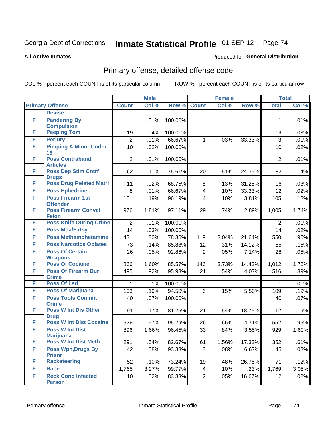Produced for **General Distribution**

#### **All Active Inmates**

# Primary offense, detailed offense code

|   |                                            | <b>Male</b>     |       | <b>Female</b> |                         |       | <b>Total</b> |                |       |
|---|--------------------------------------------|-----------------|-------|---------------|-------------------------|-------|--------------|----------------|-------|
|   | <b>Primary Offense</b>                     | <b>Count</b>    | Col % | Row %         | <b>Count</b>            | Col % | Row %        | <b>Total</b>   | Col%  |
|   | <b>Devise</b>                              |                 |       |               |                         |       |              |                |       |
| F | <b>Pandering By</b>                        | 1               | .01%  | 100.00%       |                         |       |              | 1              | .01%  |
|   | <b>Compulsion</b>                          |                 |       |               |                         |       |              |                |       |
| F | <b>Peeping Tom</b>                         | 19              | .04%  | 100.00%       |                         |       |              | 19             | .03%  |
| F | <b>Perjury</b>                             | $\overline{2}$  | .01%  | 66.67%        | 1                       | .03%  | 33.33%       | 3              | .01%  |
| F | <b>Pimping A Minor Under</b>               | 10              | .02%  | 100.00%       |                         |       |              | 10             | .02%  |
| F | 18<br><b>Poss Contraband</b>               | $\overline{2}$  | .01%  | 100.00%       |                         |       |              | $\overline{2}$ | .01%  |
|   | <b>Articles</b>                            |                 |       |               |                         |       |              |                |       |
| F | <b>Poss Dep Stim Cntrf</b>                 | 62              | .11%  | 75.61%        | 20                      | .51%  | 24.39%       | 82             | .14%  |
|   | <b>Drugs</b>                               |                 |       |               |                         |       |              |                |       |
| F | <b>Poss Drug Related Matri</b>             | 11              | .02%  | 68.75%        | 5                       | .13%  | 31.25%       | 16             | .03%  |
| F | <b>Poss Ephedrine</b>                      | 8               | .01%  | 66.67%        | 4                       | .10%  | 33.33%       | 12             | .02%  |
| F | <b>Poss Firearm 1st</b>                    | 101             | .19%  | 96.19%        | $\overline{\mathbf{4}}$ | .10%  | 3.81%        | 105            | .18%  |
|   | <b>Offender</b>                            |                 |       |               |                         |       |              |                |       |
| F | <b>Poss Firearm Convct</b><br><b>Felon</b> | 976             | 1.81% | 97.11%        | 29                      | .74%  | 2.89%        | 1,005          | 1.74% |
| F | <b>Poss Knife During Crime</b>             | $\overline{2}$  | .01%  | 100.00%       |                         |       |              | $\overline{2}$ | .01%  |
| F | <b>Poss Mda/Extsy</b>                      | 14              | .03%  | 100.00%       |                         |       |              | 14             | .02%  |
| F | <b>Poss Methamphetamine</b>                | 431             | .80%  | 78.36%        | 119                     | 3.04% | 21.64%       | 550            | .95%  |
| F | <b>Poss Narcotics Opiates</b>              | 73              | .14%  | 85.88%        | 12                      | .31%  | 14.12%       | 85             | .15%  |
| F | <b>Poss Of Certain</b>                     | 26              | .05%  | 92.86%        | $\overline{2}$          | .05%  | 7.14%        | 28             | .05%  |
|   | <b>Weapons</b>                             |                 |       |               |                         |       |              |                |       |
| F | <b>Poss Of Cocaine</b>                     | 866             | 1.60% | 85.57%        | 146                     | 3.73% | 14.43%       | 1,012          | 1.75% |
| F | <b>Poss Of Firearm Dur</b>                 | 495             | .92%  | 95.93%        | 21                      | .54%  | 4.07%        | 516            | .89%  |
|   | <b>Crime</b>                               |                 |       |               |                         |       |              |                |       |
| F | <b>Poss Of Lsd</b>                         | 1               | .01%  | 100.00%       |                         |       |              | $\mathbf 1$    | .01%  |
| F | <b>Poss Of Marijuana</b>                   | 103             | .19%  | 94.50%        | 6                       | .15%  | 5.50%        | 109            | .19%  |
| F | <b>Poss Tools Commit</b>                   | 40              | .07%  | 100.00%       |                         |       |              | 40             | .07%  |
|   | <b>Crime</b>                               |                 |       |               |                         |       |              |                |       |
| F | <b>Poss W Int Dis Other</b><br><b>Drug</b> | 91              | .17%  | 81.25%        | 21                      | .54%  | 18.75%       | 112            | .19%  |
| F | <b>Poss W Int Dist Cocaine</b>             | 526             | .97%  | 95.29%        | 26                      | .66%  | 4.71%        | 552            | .95%  |
| F | <b>Poss W Int Dist</b>                     | 896             | 1.66% | 96.45%        | 33                      | .84%  | 3.55%        | 929            | 1.60% |
|   | <b>Marijuana</b>                           |                 |       |               |                         |       |              |                |       |
| F | <b>Poss W Int Dist Meth</b>                | 291             | .54%  | 82.67%        | 61                      | 1.56% | 17.33%       | 352            | .61%  |
| F | <b>Poss Wpn, Drugs By</b>                  | 42              | .08%  | 93.33%        | 3                       | .08%  | 6.67%        | 45             | .08%  |
|   | <b>Prisnr</b>                              |                 |       |               |                         |       |              |                |       |
| F | <b>Racketeering</b>                        | 52              | .10%  | 73.24%        | 19                      | .48%  | 26.76%       | 71             | .12%  |
| F | Rape                                       | 1,765           | 3.27% | 99.77%        | $\overline{4}$          | .10%  | .23%         | 1,769          | 3.05% |
| F | <b>Reck Cond Infected</b>                  | 10 <sup>1</sup> | .02%  | 83.33%        | $\overline{2}$          | .05%  | 16.67%       | 12             | .02%  |
|   | <b>Person</b>                              |                 |       |               |                         |       |              |                |       |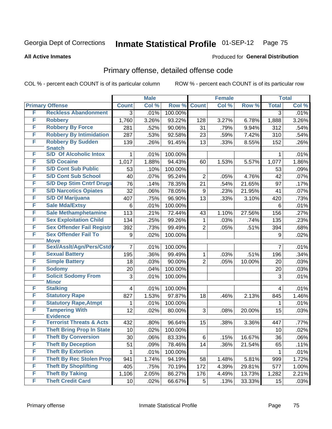Produced for **General Distribution**

#### **All Active Inmates**

### Primary offense, detailed offense code

|        |                                                        |                 | <b>Male</b> |         |                | <b>Female</b> |        |                 | <b>Total</b> |
|--------|--------------------------------------------------------|-----------------|-------------|---------|----------------|---------------|--------|-----------------|--------------|
|        | <b>Primary Offense</b>                                 | <b>Count</b>    | Col %       | Row %   | <b>Count</b>   | Col %         | Row %  | <b>Total</b>    | Col %        |
| F      | <b>Reckless Abandonment</b>                            | 3               | .01%        | 100.00% |                |               |        | 3               | .01%         |
| F      | <b>Robbery</b>                                         | 1,760           | 3.26%       | 93.22%  | 128            | 3.27%         | 6.78%  | 1,888           | 3.26%        |
| F      | <b>Robbery By Force</b>                                | 281             | .52%        | 90.06%  | 31             | .79%          | 9.94%  | 312             | .54%         |
| F      | <b>Robbery By Intimidation</b>                         | 287             | .53%        | 92.58%  | 23             | .59%          | 7.42%  | 310             | .54%         |
| F      | <b>Robbery By Sudden</b>                               | 139             | .26%        | 91.45%  | 13             | .33%          | 8.55%  | 152             | .26%         |
|        | <b>Snatch</b>                                          |                 |             |         |                |               |        |                 |              |
| F<br>F | <b>S/D Of Alcoholic Intox</b><br><b>S/D Cocaine</b>    | 1               | .01%        | 100.00% |                |               |        | 1               | .01%         |
|        |                                                        | 1,017           | 1.88%       | 94.43%  | 60             | 1.53%         | 5.57%  | 1,077           | 1.86%        |
| F      | <b>S/D Cont Sub Public</b>                             | 53              | .10%        | 100.00% |                |               |        | 53              | .09%         |
| F      | <b>S/D Cont Sub School</b>                             | 40              | .07%        | 95.24%  | 2              | .05%          | 4.76%  | 42              | .07%         |
| F      | <b>S/D Dep Stim Cntrf Drugs</b>                        | 76              | .14%        | 78.35%  | 21             | .54%          | 21.65% | 97              | .17%         |
| F      | <b>S/D Narcotics Opiates</b>                           | 32              | .06%        | 78.05%  | 9              | .23%          | 21.95% | 41              | .07%         |
| F      | <b>S/D Of Marijuana</b>                                | 407             | .75%        | 96.90%  | 13             | .33%          | 3.10%  | 420             | .73%         |
| F      | <b>Sale Mda/Extsy</b>                                  | 6               | .01%        | 100.00% |                |               |        | 6               | .01%         |
| F      | <b>Sale Methamphetamine</b>                            | 113             | .21%        | 72.44%  | 43             | 1.10%         | 27.56% | 156             | .27%         |
| F      | <b>Sex Exploitation Child</b>                          | 134             | .25%        | 99.26%  | 1              | .03%          | .74%   | 135             | .23%         |
| F      | <b>Sex Offender Fail Registr</b>                       | 392             | .73%        | 99.49%  | 2              | .05%          | .51%   | 394             | .68%         |
| F      | <b>Sex Offender Fail To</b><br><b>Move</b>             | 9               | .02%        | 100.00% |                |               |        | 9               | .02%         |
| F      | Sexl/Asslt/Agn/Pers/Cstd                               | $\overline{7}$  | .01%        | 100.00% |                |               |        | 7               | .01%         |
| F      | <b>Sexual Battery</b>                                  | 195             | .36%        | 99.49%  | 1              | .03%          | .51%   | 196             | .34%         |
| F      | <b>Simple Battery</b>                                  | 18              | .03%        | 90.00%  | $\overline{2}$ | .05%          | 10.00% | 20              | .03%         |
| F      | <b>Sodomy</b>                                          | 20              | .04%        | 100.00% |                |               |        | 20              | .03%         |
| F      | <b>Solicit Sodomy From</b>                             | 3               | .01%        | 100.00% |                |               |        | 3               | .01%         |
|        | <b>Minor</b>                                           |                 |             |         |                |               |        |                 |              |
| F      | <b>Stalking</b>                                        | $\overline{4}$  | .01%        | 100.00% |                |               |        | 4               | .01%         |
| F      | <b>Statutory Rape</b>                                  | 827             | 1.53%       | 97.87%  | 18             | .46%          | 2.13%  | 845             | 1.46%        |
| F      | <b>Statutory Rape, Atmpt</b>                           | 1               | .01%        | 100.00% |                |               |        | 1               | .01%         |
| F      | <b>Tampering With</b>                                  | 12              | .02%        | 80.00%  | 3              | .08%          | 20.00% | 15              | .03%         |
| F      | <b>Evidence</b><br><b>Terrorist Threats &amp; Acts</b> | 432             | .80%        | 96.64%  | 15             | .38%          | 3.36%  | 447             | .77%         |
| F      | <b>Theft Bring Prop In State</b>                       | 10              | .02%        | 100.00% |                |               |        | 10              | .02%         |
| F      | <b>Theft By Conversion</b>                             | $\overline{30}$ | .06%        | 83.33%  | $\overline{6}$ | .15%          | 16.67% | $\overline{36}$ | .06%         |
| F      | <b>Theft By Deception</b>                              |                 |             |         |                |               |        |                 |              |
| F      | <b>Theft By Extortion</b>                              | 51              | .09%        | 78.46%  | 14             | .36%          | 21.54% | 65              | .11%         |
|        | <b>Theft By Rec Stolen Prop</b>                        | 1               | .01%        | 100.00% |                |               |        | 1               | .01%         |
| F      |                                                        | 941             | 1.74%       | 94.19%  | 58             | 1.48%         | 5.81%  | 999             | 1.72%        |
| F      | <b>Theft By Shoplifting</b>                            | 405             | .75%        | 70.19%  | 172            | 4.39%         | 29.81% | 577             | 1.00%        |
| F      | <b>Theft By Taking</b>                                 | 1,106           | 2.05%       | 86.27%  | 176            | 4.49%         | 13.73% | 1,282           | 2.21%        |
| F      | <b>Theft Credit Card</b>                               | 10 <sub>1</sub> | .02%        | 66.67%  | 5              | .13%          | 33.33% | 15              | .03%         |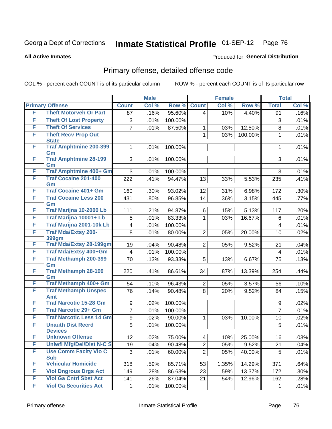Produced for **General Distribution**

#### **All Active Inmates**

### Primary offense, detailed offense code

|   |                                             |                         | <b>Male</b> |         |                 | <b>Female</b>       |         |                         | <b>Total</b> |
|---|---------------------------------------------|-------------------------|-------------|---------|-----------------|---------------------|---------|-------------------------|--------------|
|   | <b>Primary Offense</b>                      | <b>Count</b>            | Col %       | Row %   | <b>Count</b>    | Col %               | Row %   | <b>Total</b>            | Col %        |
| F | <b>Theft Motorveh Or Part</b>               | 87                      | .16%        | 95.60%  | 4               | .10%                | 4.40%   | 91                      | .16%         |
| F | <b>Theft Of Lost Property</b>               | 3                       | .01%        | 100.00% |                 |                     |         | 3                       | .01%         |
| F | <b>Theft Of Services</b>                    | $\overline{7}$          | .01%        | 87.50%  | 1               | .03%                | 12.50%  | 8                       | .01%         |
| F | <b>Theft Recv Prop Out</b>                  |                         |             |         | $\mathbf{1}$    | .03%                | 100.00% | $\mathbf{1}$            | .01%         |
|   | <b>State</b>                                |                         |             |         |                 |                     |         |                         |              |
| F | <b>Traf Amphtmine 200-399</b><br>Gm         | 1                       | .01%        | 100.00% |                 |                     |         | $\mathbf{1}$            | .01%         |
| F | <b>Traf Amphtmine 28-199</b><br>Gm          | 3                       | .01%        | 100.00% |                 |                     |         | 3                       | .01%         |
| F | <b>Traf Amphtmine 400+ Gm</b>               | 3                       | .01%        | 100.00% |                 |                     |         | 3                       | .01%         |
| F | <b>Traf Cocaine 201-400</b>                 | 222                     | .41%        | 94.47%  | 13              | .33%                | 5.53%   | 235                     | .41%         |
|   | Gm                                          |                         |             |         |                 |                     |         |                         |              |
| F | <b>Traf Cocaine 401+ Gm</b>                 | 160                     | .30%        | 93.02%  | 12              | .31%                | 6.98%   | 172                     | .30%         |
| F | <b>Traf Cocaine Less 200</b><br>Gm          | 431                     | .80%        | 96.85%  | 14              | .36%                | 3.15%   | 445                     | .77%         |
| F | Traf Marijna 10-2000 Lb                     | 111                     | .21%        | 94.87%  | 6               | .15%                | 5.13%   | 117                     | .20%         |
| F | Traf Marijna 10001+ Lb                      | 5                       | .01%        | 83.33%  | 1               | .03%                | 16.67%  | 6                       | .01%         |
| F | Traf Marijna 2001-10k Lb                    | $\overline{4}$          | .01%        | 100.00% |                 |                     |         | 4                       | .01%         |
| F | <b>Traf Mda/Extsy 200-</b>                  | 8                       | .01%        | 80.00%  | $\overline{2}$  | .05%                | 20.00%  | 10                      | .02%         |
|   | 399gm                                       |                         |             |         |                 |                     |         |                         |              |
| F | <b>Traf Mda/Extsy 28-199gm</b>              | 19                      | .04%        | 90.48%  | $\overline{2}$  | .05%                | 9.52%   | 21                      | .04%         |
| F | Traf Mda/Extsy 400+Gm                       | $\overline{\mathbf{4}}$ | .01%        | 100.00% |                 |                     |         | $\overline{\mathbf{4}}$ | .01%         |
| F | <b>Traf Methamph 200-399</b><br>Gm          | 70                      | .13%        | 93.33%  | 5               | .13%                | 6.67%   | 75                      | .13%         |
| F | <b>Traf Methamph 28-199</b><br>Gm           | 220                     | .41%        | 86.61%  | 34              | .87%                | 13.39%  | 254                     | .44%         |
| F | Traf Methamph 400+ Gm                       | 54                      | .10%        | 96.43%  | $\overline{c}$  | .05%                | 3.57%   | 56                      | .10%         |
| F | <b>Traf Methamph Unspec</b>                 | 76                      | .14%        | 90.48%  | 8               | .20%                | 9.52%   | 84                      | .15%         |
| F | <b>Amt</b><br><b>Traf Narcotic 15-28 Gm</b> | $\boldsymbol{9}$        | .02%        | 100.00% |                 |                     |         | 9                       | .02%         |
| F | <b>Traf Narcotic 29+ Gm</b>                 | 7                       | .01%        | 100.00% |                 |                     |         | $\overline{7}$          | .01%         |
| F | <b>Traf Narcotic Less 14 Gm</b>             | $\boldsymbol{9}$        | .02%        | 90.00%  | 1               | .03%                | 10.00%  | 10                      | .02%         |
| F | <b>Unauth Dist Recrd</b>                    | 5                       | .01%        | 100.00% |                 |                     |         | 5                       | .01%         |
|   | <b>Devices</b>                              |                         |             |         |                 |                     |         |                         |              |
| F | <b>Unknown Offense</b>                      | $\overline{12}$         | .02%        | 75.00%  | $\vert 4 \vert$ | .10%                | 25.00%  | 16                      | .03%         |
| F | <b>Uniwfl Mfg/Del/Dist N-C S</b>            | 19                      | .04%        | 90.48%  | $\overline{2}$  | .05%                | 9.52%   | 21                      | .04%         |
| F | <b>Use Comm Facity Vio C</b><br><b>Sub</b>  | 3                       | .01%        | 60.00%  | $\overline{2}$  | .05%                | 40.00%  | 5                       | .01%         |
| F | <b>Vehicular Homicide</b>                   | 318                     | .59%        | 85.71%  | 53              | $\overline{1.35\%}$ | 14.29%  | 371                     | .64%         |
| F | <b>Viol Dngrous Drgs Act</b>                | 149                     | .28%        | 86.63%  | 23              | .59%                | 13.37%  | 172                     | .30%         |
| F | <b>Viol Ga Cntrl Sbst Act</b>               | 141                     | .26%        | 87.04%  | 21              | .54%                | 12.96%  | 162                     | .28%         |
| F | <b>Viol Ga Securities Act</b>               | 1                       | .01%        | 100.00% |                 |                     |         | 1                       | .01%         |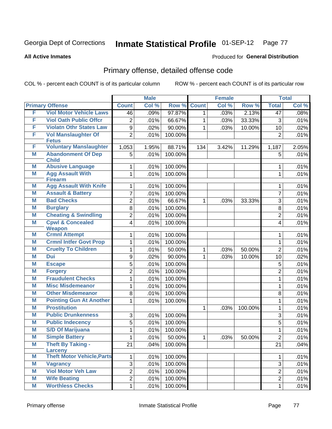Produced for **General Distribution**

#### **All Active Inmates**

### Primary offense, detailed offense code

|   |                                           |                  | <b>Male</b> |         |              | <b>Female</b> |         |                | <b>Total</b> |
|---|-------------------------------------------|------------------|-------------|---------|--------------|---------------|---------|----------------|--------------|
|   | <b>Primary Offense</b>                    | <b>Count</b>     | Col %       | Row %   | <b>Count</b> | Col %         | Row %   | <b>Total</b>   | Col %        |
| F | <b>Viol Motor Vehicle Laws</b>            | 46               | .09%        | 97.87%  | $\mathbf{1}$ | .03%          | 2.13%   | 47             | .08%         |
| F | <b>Viol Oath Public Offcr</b>             | 2                | .01%        | 66.67%  | 1            | .03%          | 33.33%  | 3              | .01%         |
| F | <b>Violatn Othr States Law</b>            | 9                | .02%        | 90.00%  | 1            | .03%          | 10.00%  | 10             | .02%         |
| F | <b>Vol Manslaughter Of</b>                | $\overline{2}$   | .01%        | 100.00% |              |               |         | $\overline{2}$ | .01%         |
|   | <b>Fetus</b>                              |                  |             |         |              |               |         |                |              |
| F | <b>Voluntary Manslaughter</b>             | 1,053            | 1.95%       | 88.71%  | 134          | 3.42%         | 11.29%  | 1,187          | 2.05%        |
| M | <b>Abandonment Of Dep</b><br><b>Child</b> | 5                | .01%        | 100.00% |              |               |         | 5              | .01%         |
| М | <b>Abusive Language</b>                   | 1                | .01%        | 100.00% |              |               |         | 1              | .01%         |
| M | <b>Agg Assault With</b>                   | 1                | .01%        | 100.00% |              |               |         | $\mathbf{1}$   | .01%         |
|   | <b>Firearm</b>                            |                  |             |         |              |               |         |                |              |
| Μ | <b>Agg Assault With Knife</b>             | 1                | .01%        | 100.00% |              |               |         | 1              | .01%         |
| M | <b>Assault &amp; Battery</b>              | 7                | .01%        | 100.00% |              |               |         | $\overline{7}$ | .01%         |
| M | <b>Bad Checks</b>                         | $\overline{2}$   | .01%        | 66.67%  | 1            | .03%          | 33.33%  | 3              | .01%         |
| M | <b>Burglary</b>                           | 8                | .01%        | 100.00% |              |               |         | 8              | .01%         |
| M | <b>Cheating &amp; Swindling</b>           | $\overline{2}$   | .01%        | 100.00% |              |               |         | $\overline{2}$ | .01%         |
| M | <b>Cpwl &amp; Concealed</b>               | 4                | .01%        | 100.00% |              |               |         | 4              | .01%         |
| Μ | <b>Weapon</b><br><b>Crmnl Attempt</b>     | 1                | .01%        | 100.00% |              |               |         | 1              | .01%         |
| M | <b>Crmnl Intfer Govt Prop</b>             | 1                | .01%        | 100.00% |              |               |         | 1              | .01%         |
| M | <b>Cruelty To Children</b>                | 1                | .01%        | 50.00%  | 1            | .03%          | 50.00%  | $\overline{2}$ | .01%         |
| M | <b>Dui</b>                                | $\boldsymbol{9}$ | .02%        | 90.00%  | 1            | .03%          | 10.00%  | 10             | .02%         |
| Μ | <b>Escape</b>                             | 5                | .01%        | 100.00% |              |               |         | $\mathbf 5$    | .01%         |
| M | <b>Forgery</b>                            | $\overline{2}$   | .01%        | 100.00% |              |               |         | $\overline{2}$ | .01%         |
| M | <b>Fraudulent Checks</b>                  | 1                | .01%        | 100.00% |              |               |         | $\mathbf{1}$   | .01%         |
| M | <b>Misc Misdemeanor</b>                   | 1                | .01%        | 100.00% |              |               |         | 1              | .01%         |
| Μ | <b>Other Misdemeanor</b>                  | 8                | .01%        | 100.00% |              |               |         | 8              | .01%         |
| M | <b>Pointing Gun At Another</b>            | 1                | .01%        | 100.00% |              |               |         | 1              | .01%         |
| Μ | <b>Prostitution</b>                       |                  |             |         | 1            | .03%          | 100.00% | 1              | .01%         |
| M | <b>Public Drunkenness</b>                 | 3                | .01%        | 100.00% |              |               |         | $\overline{3}$ | .01%         |
| Μ | <b>Public Indecency</b>                   | 5                | .01%        | 100.00% |              |               |         | 5              | .01%         |
| M | <b>S/D Of Marijuana</b>                   | 1                | .01%        | 100.00% |              |               |         | 1              | .01%         |
| M | <b>Simple Battery</b>                     | 1                | .01%        | 50.00%  | $\mathbf{1}$ | .03%          | 50.00%  | $\overline{2}$ | .01%         |
| M | <b>Theft By Taking -</b>                  | 21               | .04%        | 100.00% |              |               |         | 21             | .04%         |
|   | <b>Larceny</b>                            |                  |             |         |              |               |         |                |              |
| M | <b>Theft Motor Vehicle, Parts</b>         | $\mathbf{1}$     | .01%        | 100.00% |              |               |         | 1              | .01%         |
| M | <b>Vagrancy</b>                           | 3                | .01%        | 100.00% |              |               |         | $\overline{3}$ | .01%         |
| Μ | <b>Viol Motor Veh Law</b>                 | $\overline{2}$   | .01%        | 100.00% |              |               |         | $\overline{2}$ | .01%         |
| M | <b>Wife Beating</b>                       | $\overline{2}$   | .01%        | 100.00% |              |               |         | $\overline{2}$ | .01%         |
| M | <b>Worthless Checks</b>                   | $\mathbf 1$      | .01%        | 100.00% |              |               |         | 1              | .01%         |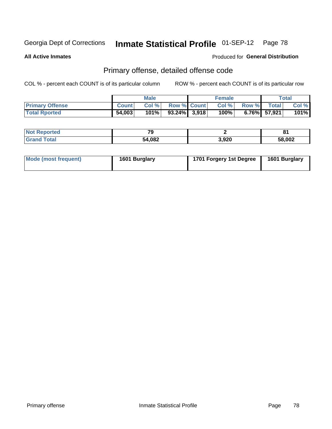**All Active Inmates**

#### Produced for **General Distribution**

#### Primary offense, detailed offense code

|                        |              | <b>Male</b> |                    | <b>Female</b> |             |                 | Total   |
|------------------------|--------------|-------------|--------------------|---------------|-------------|-----------------|---------|
| <b>Primary Offense</b> | <b>Count</b> | Col%        | <b>Row % Count</b> | Col %         | Row % Total |                 | Col %   |
| <b>Total Rported</b>   | 54,003       | 101%        | $93.24\%$ 3,918    | $100\%$       |             | $6.76\%$ 57,921 | $101\%$ |

| rtec<br>m.     | <b>70</b> | -     | o.<br>$\mathbf{o}$ |
|----------------|-----------|-------|--------------------|
| A <sup>2</sup> | 54,082    | 3,920 | 58,002             |

| Mode (most frequent) | 1601 Burglary | 1701 Forgery 1st Degree | 1601 Burglary |
|----------------------|---------------|-------------------------|---------------|
|----------------------|---------------|-------------------------|---------------|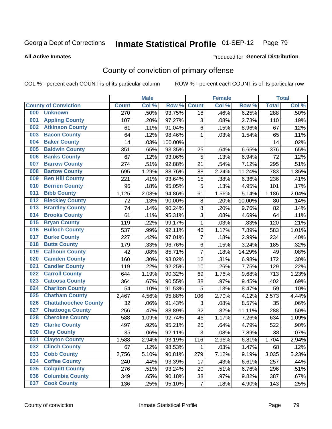Produced for **General Distribution**

#### **All Active Inmates**

### County of conviction of primary offense

|     |                             |              | <b>Male</b> |         |                | <b>Female</b> |        |              | <b>Total</b> |
|-----|-----------------------------|--------------|-------------|---------|----------------|---------------|--------|--------------|--------------|
|     | <b>County of Conviction</b> | <b>Count</b> | Col %       | Row %   | <b>Count</b>   | Col %         | Row %  | <b>Total</b> | Col %        |
| 000 | <b>Unknown</b>              | 270          | .50%        | 93.75%  | 18             | .46%          | 6.25%  | 288          | .50%         |
| 001 | <b>Appling County</b>       | 107          | .20%        | 97.27%  | 3              | .08%          | 2.73%  | 110          | .19%         |
| 002 | <b>Atkinson County</b>      | 61           | .11%        | 91.04%  | 6              | .15%          | 8.96%  | 67           | .12%         |
| 003 | <b>Bacon County</b>         | 64           | .12%        | 98.46%  | 1              | .03%          | 1.54%  | 65           | .11%         |
| 004 | <b>Baker County</b>         | 14           | .03%        | 100.00% |                |               |        | 14           | .02%         |
| 005 | <b>Baldwin County</b>       | 351          | .65%        | 93.35%  | 25             | .64%          | 6.65%  | 376          | .65%         |
| 006 | <b>Banks County</b>         | 67           | .12%        | 93.06%  | $\overline{5}$ | .13%          | 6.94%  | 72           | .12%         |
| 007 | <b>Barrow County</b>        | 274          | .51%        | 92.88%  | 21             | .54%          | 7.12%  | 295          | .51%         |
| 008 | <b>Bartow County</b>        | 695          | 1.29%       | 88.76%  | 88             | 2.24%         | 11.24% | 783          | 1.35%        |
| 009 | <b>Ben Hill County</b>      | 221          | .41%        | 93.64%  | 15             | .38%          | 6.36%  | 236          | .41%         |
| 010 | <b>Berrien County</b>       | 96           | .18%        | 95.05%  | 5              | .13%          | 4.95%  | 101          | .17%         |
| 011 | <b>Bibb County</b>          | 1,125        | 2.08%       | 94.86%  | 61             | 1.56%         | 5.14%  | 1,186        | 2.04%        |
| 012 | <b>Bleckley County</b>      | 72           | .13%        | 90.00%  | $\, 8$         | .20%          | 10.00% | 80           | .14%         |
| 013 | <b>Brantley County</b>      | 74           | .14%        | 90.24%  | 8              | .20%          | 9.76%  | 82           | .14%         |
| 014 | <b>Brooks County</b>        | 61           | .11%        | 95.31%  | 3              | .08%          | 4.69%  | 64           | .11%         |
| 015 | <b>Bryan County</b>         | 119          | .22%        | 99.17%  | $\mathbf{1}$   | .03%          | .83%   | 120          | .21%         |
| 016 | <b>Bulloch County</b>       | 537          | .99%        | 92.11%  | 46             | 1.17%         | 7.89%  | 583          | 1.01%        |
| 017 | <b>Burke County</b>         | 227          | .42%        | 97.01%  | $\overline{7}$ | .18%          | 2.99%  | 234          | .40%         |
| 018 | <b>Butts County</b>         | 179          | .33%        | 96.76%  | 6              | .15%          | 3.24%  | 185          | .32%         |
| 019 | <b>Calhoun County</b>       | 42           | .08%        | 85.71%  | $\overline{7}$ | .18%          | 14.29% | 49           | .08%         |
| 020 | <b>Camden County</b>        | 160          | .30%        | 93.02%  | 12             | .31%          | 6.98%  | 172          | .30%         |
| 021 | <b>Candler County</b>       | 119          | .22%        | 92.25%  | 10             | .26%          | 7.75%  | 129          | .22%         |
| 022 | <b>Carroll County</b>       | 644          | 1.19%       | 90.32%  | 69             | 1.76%         | 9.68%  | 713          | 1.23%        |
| 023 | <b>Catoosa County</b>       | 364          | .67%        | 90.55%  | 38             | .97%          | 9.45%  | 402          | .69%         |
| 024 | <b>Charlton County</b>      | 54           | .10%        | 91.53%  | 5              | .13%          | 8.47%  | 59           | .10%         |
| 025 | <b>Chatham County</b>       | 2,467        | 4.56%       | 95.88%  | 106            | 2.70%         | 4.12%  | 2,573        | 4.44%        |
| 026 | <b>Chattahoochee County</b> | 32           | .06%        | 91.43%  | 3              | .08%          | 8.57%  | 35           | .06%         |
| 027 | <b>Chattooga County</b>     | 256          | .47%        | 88.89%  | 32             | .82%          | 11.11% | 288          | .50%         |
| 028 | <b>Cherokee County</b>      | 588          | 1.09%       | 92.74%  | 46             | 1.17%         | 7.26%  | 634          | 1.09%        |
| 029 | <b>Clarke County</b>        | 497          | .92%        | 95.21%  | 25             | .64%          | 4.79%  | 522          | .90%         |
| 030 | <b>Clay County</b>          | 35           | .06%        | 92.11%  | 3              | .08%          | 7.89%  | 38           | .07%         |
| 031 | <b>Clayton County</b>       | 1,588        | 2.94%       | 93.19%  | 116            | 2.96%         | 6.81%  | 1,704        | 2.94%        |
| 032 | <b>Clinch County</b>        | 67           | .12%        | 98.53%  | 1              | .03%          | 1.47%  | 68           | .12%         |
| 033 | <b>Cobb County</b>          | 2,756        | 5.10%       | 90.81%  | 279            | 7.12%         | 9.19%  | 3,035        | 5.23%        |
| 034 | <b>Coffee County</b>        | 240          | .44%        | 93.39%  | 17             | .43%          | 6.61%  | 257          | .44%         |
| 035 | <b>Colquitt County</b>      | 276          | .51%        | 93.24%  | 20             | .51%          | 6.76%  | 296          | .51%         |
| 036 | <b>Columbia County</b>      | 349          | .65%        | 90.18%  | 38             | .97%          | 9.82%  | 387          | .67%         |
| 037 | <b>Cook County</b>          | 136          | .25%        | 95.10%  | $\overline{7}$ | .18%          | 4.90%  | 143          | .25%         |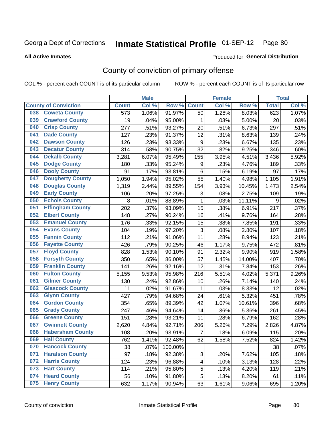#### **All Active Inmates**

### Produced for **General Distribution**

### County of conviction of primary offense

|     |                             |              | <b>Male</b> |         |                         | <b>Female</b> |          |              | <b>Total</b> |
|-----|-----------------------------|--------------|-------------|---------|-------------------------|---------------|----------|--------------|--------------|
|     | <b>County of Conviction</b> | <b>Count</b> | Col %       | Row %   | <b>Count</b>            | Col %         | Row %    | <b>Total</b> | Col %        |
| 038 | <b>Coweta County</b>        | 573          | 1.06%       | 91.97%  | 50                      | 1.28%         | 8.03%    | 623          | 1.07%        |
| 039 | <b>Crawford County</b>      | 19           | .04%        | 95.00%  | 1                       | .03%          | 5.00%    | 20           | .03%         |
| 040 | <b>Crisp County</b>         | 277          | .51%        | 93.27%  | 20                      | .51%          | 6.73%    | 297          | .51%         |
| 041 | <b>Dade County</b>          | 127          | .23%        | 91.37%  | 12                      | .31%          | 8.63%    | 139          | .24%         |
| 042 | <b>Dawson County</b>        | 126          | .23%        | 93.33%  | $\boldsymbol{9}$        | .23%          | 6.67%    | 135          | .23%         |
| 043 | <b>Decatur County</b>       | 314          | .58%        | 90.75%  | 32                      | .82%          | 9.25%    | 346          | .60%         |
| 044 | <b>Dekalb County</b>        | 3,281        | 6.07%       | 95.49%  | 155                     | 3.95%         | 4.51%    | 3,436        | 5.92%        |
| 045 | <b>Dodge County</b>         | 180          | .33%        | 95.24%  | $\boldsymbol{9}$        | .23%          | 4.76%    | 189          | .33%         |
| 046 | <b>Dooly County</b>         | 91           | .17%        | 93.81%  | $\,6$                   | .15%          | 6.19%    | 97           | .17%         |
| 047 | <b>Dougherty County</b>     | 1,050        | 1.94%       | 95.02%  | 55                      | 1.40%         | 4.98%    | 1,105        | 1.91%        |
| 048 | <b>Douglas County</b>       | 1,319        | 2.44%       | 89.55%  | 154                     | 3.93%         | 10.45%   | 1,473        | 2.54%        |
| 049 | <b>Early County</b>         | 106          | .20%        | 97.25%  | 3                       | .08%          | 2.75%    | 109          | .19%         |
| 050 | <b>Echols County</b>        | 8            | .01%        | 88.89%  | $\mathbf{1}$            | .03%          | 11.11%   | 9            | .02%         |
| 051 | <b>Effingham County</b>     | 202          | .37%        | 93.09%  | 15                      | .38%          | 6.91%    | 217          | .37%         |
| 052 | <b>Elbert County</b>        | 148          | .27%        | 90.24%  | 16                      | .41%          | 9.76%    | 164          | .28%         |
| 053 | <b>Emanuel County</b>       | 176          | .33%        | 92.15%  | 15                      | .38%          | 7.85%    | 191          | .33%         |
| 054 | <b>Evans County</b>         | 104          | .19%        | 97.20%  | 3                       | .08%          | 2.80%    | 107          | .18%         |
| 055 | <b>Fannin County</b>        | 112          | .21%        | 91.06%  | 11                      | .28%          | 8.94%    | 123          | .21%         |
| 056 | <b>Fayette County</b>       | 426          | .79%        | 90.25%  | 46                      | 1.17%         | 9.75%    | 472          | .81%         |
| 057 | <b>Floyd County</b>         | 828          | 1.53%       | 90.10%  | 91                      | 2.32%         | 9.90%    | 919          | 1.58%        |
| 058 | <b>Forsyth County</b>       | 350          | .65%        | 86.00%  | 57                      | 1.45%         | 14.00%   | 407          | .70%         |
| 059 | <b>Franklin County</b>      | 141          | .26%        | 92.16%  | 12                      | .31%          | 7.84%    | 153          | .26%         |
| 060 | <b>Fulton County</b>        | 5,155        | 9.53%       | 95.98%  | 216                     | 5.51%         | 4.02%    | 5,371        | 9.26%        |
| 061 | <b>Gilmer County</b>        | 130          | .24%        | 92.86%  | 10                      | .26%          | 7.14%    | 140          | .24%         |
| 062 | <b>Glascock County</b>      | 11           | .02%        | 91.67%  | $\mathbf{1}$            | .03%          | 8.33%    | 12           | .02%         |
| 063 | <b>Glynn County</b>         | 427          | .79%        | 94.68%  | 24                      | .61%          | 5.32%    | 451          | .78%         |
| 064 | <b>Gordon County</b>        | 354          | .65%        | 89.39%  | 42                      | 1.07%         | 10.61%   | 396          | .68%         |
| 065 | <b>Grady County</b>         | 247          | .46%        | 94.64%  | 14                      | .36%          | 5.36%    | 261          | .45%         |
| 066 | <b>Greene County</b>        | 151          | .28%        | 93.21%  | 11                      | .28%          | 6.79%    | 162          | .28%         |
| 067 | <b>Gwinnett County</b>      | 2,620        | 4.84%       | 92.71%  | 206                     | 5.26%         | 7.29%    | 2,826        | 4.87%        |
| 068 | <b>Habersham County</b>     | 108          | .20%        | 93.91%  | $\overline{7}$          | .18%          | 6.09%    | 115          | .20%         |
| 069 | <b>Hall County</b>          | 762          | 1.41%       | 92.48%  | 62                      | 1.58%         | 7.52%    | 824          | 1.42%        |
| 070 | <b>Hancock County</b>       | 38           | .07%        | 100.00% |                         |               |          | 38           | .07%         |
| 071 | <b>Haralson County</b>      | 97           | .18%        | 92.38%  | $\bf 8$                 | .20%          | 7.62%    | 105          | .18%         |
| 072 | <b>Harris County</b>        | 124          | .23%        | 96.88%  | $\overline{\mathbf{4}}$ | .10%          | 3.13%    | 128          | .22%         |
| 073 | <b>Hart County</b>          | 114          | .21%        | 95.80%  | 5                       | .13%          | 4.20%    | 119          | .21%         |
| 074 | <b>Heard County</b>         | 56           | .10%        | 91.80%  | 5                       | .13%          | 8.20%    | 61           | .11%         |
| 075 | <b>Henry County</b>         | 632          | 1.17%       | 90.94%  | 63                      | 1.61%         | $9.06\%$ | 695          | 1.20%        |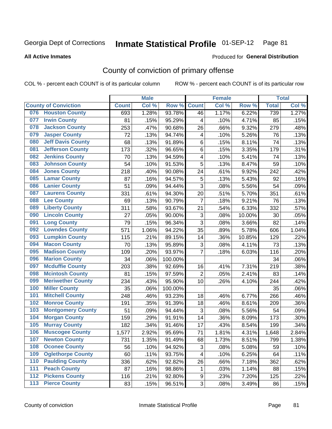**All Active Inmates**

#### Produced for **General Distribution**

### County of conviction of primary offense

|                                 |              | <b>Male</b> |         |                           | <b>Female</b> |        |              | <b>Total</b> |
|---------------------------------|--------------|-------------|---------|---------------------------|---------------|--------|--------------|--------------|
| <b>County of Conviction</b>     | <b>Count</b> | Col %       | Row %   | <b>Count</b>              | Col %         | Row %  | <b>Total</b> | Col %        |
| 076 Houston County              | 693          | 1.28%       | 93.78%  | 46                        | 1.17%         | 6.22%  | 739          | 1.27%        |
| <b>Irwin County</b><br>077      | 81           | .15%        | 95.29%  | 4                         | .10%          | 4.71%  | 85           | .15%         |
| <b>Jackson County</b><br>078    | 253          | .47%        | 90.68%  | 26                        | .66%          | 9.32%  | 279          | .48%         |
| <b>Jasper County</b><br>079     | 72           | .13%        | 94.74%  | 4                         | .10%          | 5.26%  | 76           | .13%         |
| <b>Jeff Davis County</b><br>080 | 68           | .13%        | 91.89%  | 6                         | .15%          | 8.11%  | 74           | .13%         |
| <b>Jefferson County</b><br>081  | 173          | .32%        | 96.65%  | 6                         | .15%          | 3.35%  | 179          | .31%         |
| <b>Jenkins County</b><br>082    | 70           | .13%        | 94.59%  | 4                         | .10%          | 5.41%  | 74           | .13%         |
| <b>Johnson County</b><br>083    | 54           | .10%        | 91.53%  | 5                         | .13%          | 8.47%  | 59           | .10%         |
| <b>Jones County</b><br>084      | 218          | .40%        | 90.08%  | 24                        | .61%          | 9.92%  | 242          | .42%         |
| <b>Lamar County</b><br>085      | 87           | .16%        | 94.57%  | 5                         | .13%          | 5.43%  | 92           | .16%         |
| <b>Lanier County</b><br>086     | 51           | .09%        | 94.44%  | 3                         | .08%          | 5.56%  | 54           | .09%         |
| <b>Laurens County</b><br>087    | 331          | .61%        | 94.30%  | 20                        | .51%          | 5.70%  | 351          | .61%         |
| 088<br><b>Lee County</b>        | 69           | .13%        | 90.79%  | $\overline{7}$            | .18%          | 9.21%  | 76           | .13%         |
| <b>Liberty County</b><br>089    | 311          | .58%        | 93.67%  | 21                        | .54%          | 6.33%  | 332          | .57%         |
| <b>Lincoln County</b><br>090    | 27           | .05%        | 90.00%  | $\ensuremath{\mathsf{3}}$ | .08%          | 10.00% | 30           | .05%         |
| <b>Long County</b><br>091       | 79           | .15%        | 96.34%  | 3                         | .08%          | 3.66%  | 82           | .14%         |
| <b>Lowndes County</b><br>092    | 571          | 1.06%       | 94.22%  | 35                        | .89%          | 5.78%  | 606          | 1.04%        |
| <b>Lumpkin County</b><br>093    | 115          | .21%        | 89.15%  | 14                        | .36%          | 10.85% | 129          | .22%         |
| <b>Macon County</b><br>094      | 70           | .13%        | 95.89%  | 3                         | .08%          | 4.11%  | 73           | .13%         |
| <b>Madison County</b><br>095    | 109          | .20%        | 93.97%  | $\overline{7}$            | .18%          | 6.03%  | 116          | .20%         |
| <b>Marion County</b><br>096     | 34           | .06%        | 100.00% |                           |               |        | 34           | .06%         |
| <b>Mcduffie County</b><br>097   | 203          | .38%        | 92.69%  | 16                        | .41%          | 7.31%  | 219          | .38%         |
| <b>Mcintosh County</b><br>098   | 81           | .15%        | 97.59%  | $\overline{2}$            | .05%          | 2.41%  | 83           | .14%         |
| <b>Meriwether County</b><br>099 | 234          | .43%        | 95.90%  | 10                        | .26%          | 4.10%  | 244          | .42%         |
| <b>Miller County</b><br>100     | 35           | .06%        | 100.00% |                           |               |        | 35           | .06%         |
| <b>Mitchell County</b><br>101   | 248          | .46%        | 93.23%  | 18                        | .46%          | 6.77%  | 266          | .46%         |
| <b>Monroe County</b><br>102     | 191          | .35%        | 91.39%  | 18                        | .46%          | 8.61%  | 209          | .36%         |
| 103<br><b>Montgomery County</b> | 51           | .09%        | 94.44%  | 3                         | .08%          | 5.56%  | 54           | .09%         |
| <b>Morgan County</b><br>104     | 159          | .29%        | 91.91%  | 14                        | .36%          | 8.09%  | 173          | .30%         |
| <b>Murray County</b><br>105     | 182          | .34%        | 91.46%  | 17                        | .43%          | 8.54%  | 199          | .34%         |
| <b>Muscogee County</b><br>106   | 1,577        | 2.92%       | 95.69%  | 71                        | 1.81%         | 4.31%  | 1,648        | 2.84%        |
| <b>Newton County</b><br>107     | 731          | 1.35%       | 91.49%  | 68                        | 1.73%         | 8.51%  | 799          | 1.38%        |
| <b>Oconee County</b><br>108     | 56           | .10%        | 94.92%  | 3                         | .08%          | 5.08%  | 59           | .10%         |
| <b>Oglethorpe County</b><br>109 | 60           | .11%        | 93.75%  | 4                         | .10%          | 6.25%  | 64           | .11%         |
| <b>Paulding County</b><br>110   | 336          | .62%        | 92.82%  | 26                        | .66%          | 7.18%  | 362          | .62%         |
| <b>Peach County</b><br>111      | 87           | .16%        | 98.86%  | 1                         | .03%          | 1.14%  | 88           | .15%         |
| <b>Pickens County</b><br>112    | 116          | .21%        | 92.80%  | 9                         | .23%          | 7.20%  | 125          | .22%         |
| <b>Pierce County</b><br>113     | 83           | .15%        | 96.51%  | 3                         | .08%          | 3.49%  | 86           | .15%         |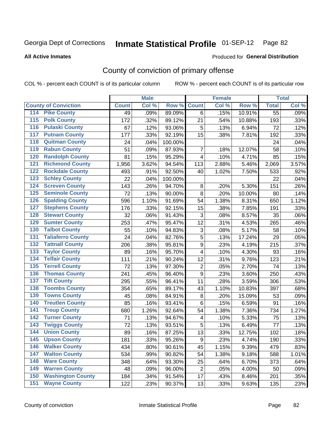Produced for **General Distribution**

#### **All Active Inmates**

### County of conviction of primary offense

|                                          |              | <b>Male</b> |         |                         | <b>Female</b> |        |              | <b>Total</b> |
|------------------------------------------|--------------|-------------|---------|-------------------------|---------------|--------|--------------|--------------|
| <b>County of Conviction</b>              | <b>Count</b> | Col %       | Row %   | <b>Count</b>            | Col %         | Row %  | <b>Total</b> | Col %        |
| 114 Pike County                          | 49           | .09%        | 89.09%  | 6                       | .15%          | 10.91% | 55           | .09%         |
| <b>Polk County</b><br>$\overline{115}$   | 172          | .32%        | 89.12%  | 21                      | .54%          | 10.88% | 193          | .33%         |
| <b>Pulaski County</b><br>116             | 67           | .12%        | 93.06%  | 5                       | .13%          | 6.94%  | 72           | .12%         |
| 117<br><b>Putnam County</b>              | 177          | .33%        | 92.19%  | 15                      | .38%          | 7.81%  | 192          | .33%         |
| <b>Quitman County</b><br>118             | 24           | .04%        | 100.00% |                         |               |        | 24           | .04%         |
| <b>Rabun County</b><br>119               | 51           | .09%        | 87.93%  | $\overline{7}$          | .18%          | 12.07% | 58           | .10%         |
| <b>Randolph County</b><br>120            | 81           | .15%        | 95.29%  | $\overline{4}$          | .10%          | 4.71%  | 85           | .15%         |
| <b>Richmond County</b><br>121            | 1,956        | 3.62%       | 94.54%  | 113                     | 2.88%         | 5.46%  | 2,069        | 3.57%        |
| <b>Rockdale County</b><br>122            | 493          | .91%        | 92.50%  | 40                      | 1.02%         | 7.50%  | 533          | .92%         |
| <b>Schley County</b><br>123              | 22           | .04%        | 100.00% |                         |               |        | 22           | .04%         |
| <b>Screven County</b><br>124             | 143          | .26%        | 94.70%  | 8                       | .20%          | 5.30%  | 151          | .26%         |
| <b>Seminole County</b><br>125            | 72           | .13%        | 90.00%  | 8                       | .20%          | 10.00% | 80           | .14%         |
| <b>Spalding County</b><br>126            | 596          | 1.10%       | 91.69%  | 54                      | 1.38%         | 8.31%  | 650          | 1.12%        |
| <b>Stephens County</b><br>127            | 176          | .33%        | 92.15%  | 15                      | .38%          | 7.85%  | 191          | .33%         |
| <b>Stewart County</b><br>128             | 32           | .06%        | 91.43%  | 3                       | .08%          | 8.57%  | 35           | .06%         |
| <b>Sumter County</b><br>129              | 253          | .47%        | 95.47%  | 12                      | .31%          | 4.53%  | 265          | .46%         |
| <b>Talbot County</b><br>130              | 55           | .10%        | 94.83%  | 3                       | .08%          | 5.17%  | 58           | .10%         |
| <b>Taliaferro County</b><br>131          | 24           | .04%        | 82.76%  | 5                       | .13%          | 17.24% | 29           | .05%         |
| <b>Tattnall County</b><br>132            | 206          | .38%        | 95.81%  | 9                       | .23%          | 4.19%  | 215          | .37%         |
| <b>Taylor County</b><br>133              | 89           | .16%        | 95.70%  | 4                       | .10%          | 4.30%  | 93           | .16%         |
| <b>Telfair County</b><br>134             | 111          | .21%        | 90.24%  | 12                      | .31%          | 9.76%  | 123          | .21%         |
| <b>Terrell County</b><br>135             | 72           | .13%        | 97.30%  | $\overline{2}$          | .05%          | 2.70%  | 74           | .13%         |
| <b>Thomas County</b><br>136              | 241          | .45%        | 96.40%  | 9                       | .23%          | 3.60%  | 250          | .43%         |
| <b>Tift County</b><br>137                | 295          | .55%        | 96.41%  | 11                      | .28%          | 3.59%  | 306          | .53%         |
| <b>Toombs County</b><br>138              | 354          | .65%        | 89.17%  | 43                      | 1.10%         | 10.83% | 397          | .68%         |
| <b>Towns County</b><br>139               | 45           | .08%        | 84.91%  | 8                       | .20%          | 15.09% | 53           | .09%         |
| <b>Treutlen County</b><br>140            | 85           | .16%        | 93.41%  | 6                       | .15%          | 6.59%  | 91           | .16%         |
| <b>Troup County</b><br>141               | 680          | 1.26%       | 92.64%  | 54                      | 1.38%         | 7.36%  | 734          | 1.27%        |
| <b>Turner County</b><br>142              | 71           | .13%        | 94.67%  | $\overline{\mathbf{4}}$ | .10%          | 5.33%  | 75           | .13%         |
| <b>Twiggs County</b><br>$\overline{143}$ | 72           | .13%        | 93.51%  | 5                       | .13%          | 6.49%  | 77           | .13%         |
| <b>Union County</b><br>144               | 89           | .16%        | 87.25%  | 13                      | .33%          | 12.75% | 102          | .18%         |
| 145<br><b>Upson County</b>               | 181          | .33%        | 95.26%  | 9                       | .23%          | 4.74%  | 190          | .33%         |
| <b>Walker County</b><br>146              | 434          | .80%        | 90.61%  | 45                      | 1.15%         | 9.39%  | 479          | .83%         |
| <b>Walton County</b><br>147              | 534          | .99%        | 90.82%  | 54                      | 1.38%         | 9.18%  | 588          | 1.01%        |
| <b>Ware County</b><br>148                | 348          | .64%        | 93.30%  | 25                      | .64%          | 6.70%  | 373          | .64%         |
| <b>Warren County</b><br>149              | 48           | .09%        | 96.00%  | $\overline{2}$          | .05%          | 4.00%  | 50           | .09%         |
| <b>Washington County</b><br>150          | 184          | .34%        | 91.54%  | 17                      | .43%          | 8.46%  | 201          | .35%         |
| <b>Wayne County</b><br>151               | 122          | .23%        | 90.37%  | 13                      | .33%          | 9.63%  | 135          | .23%         |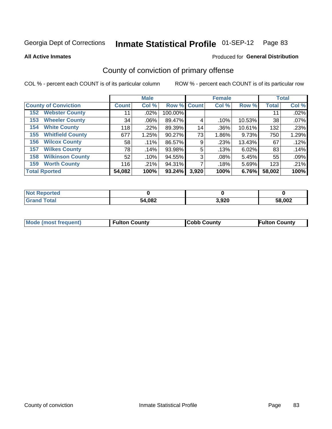**All Active Inmates**

#### Produced for **General Distribution**

### County of conviction of primary offense

|                                | <b>Male</b>        |         | <b>Female</b> |       |         | <b>Total</b> |              |       |
|--------------------------------|--------------------|---------|---------------|-------|---------|--------------|--------------|-------|
| <b>County of Conviction</b>    | Count <sup>1</sup> | Col %   | Row % Count   |       | Col %   | Row %        | <b>Total</b> | Col % |
| <b>Webster County</b><br>152   | 11                 | $.02\%$ | 100.00%       |       |         |              | 11           | .02%  |
| <b>Wheeler County</b><br>153   | 34                 | $.06\%$ | 89.47%        | 4     | .10%    | 10.53%       | 38           | .07%  |
| <b>White County</b><br>154     | 118                | .22%    | 89.39%        | 14    | .36%    | 10.61%       | 132          | .23%  |
| <b>Whitfield County</b><br>155 | 677                | 1.25%   | 90.27%        | 73    | 1.86%   | 9.73%        | 750          | 1.29% |
| <b>Wilcox County</b><br>156    | 58                 | .11%    | 86.57%        | 9     | .23%    | 13.43%       | 67           | .12%  |
| <b>Wilkes County</b><br>157    | 78                 | .14%    | 93.98%        | 5     | .13%    | 6.02%        | 83           | .14%  |
| <b>Wilkinson County</b><br>158 | 52                 | .10%    | 94.55%        | 3     | $.08\%$ | 5.45%        | 55           | .09%  |
| <b>Worth County</b><br>159     | 116                | .21%    | 94.31%        |       | .18%    | 5.69%        | 123          | .21%  |
| <b>Total Rported</b>           | 54,082             | 100%    | 93.24%        | 3,920 | 100%    | 6.76%        | 58,002       | 100%  |

| <b>Not Reported</b> |        |       |        |
|---------------------|--------|-------|--------|
| <b>Grand Total</b>  | 54,082 | 3,920 | 58,002 |

| Mode (most frequent) | <b>Fulton County</b> | <b>Cobb County</b> | <b>Fulton County</b> |
|----------------------|----------------------|--------------------|----------------------|
|                      |                      |                    |                      |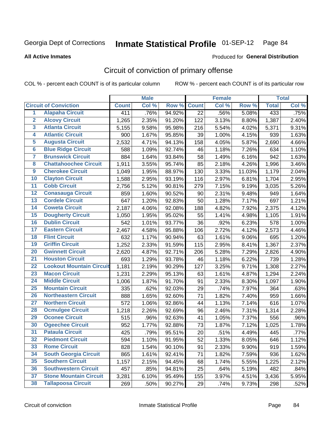#### **All Active Inmates**

## Produced for **General Distribution**

### Circuit of conviction of primary offense

|                         |                                 |              | <b>Male</b> |        |              | <b>Female</b> |        |              | <b>Total</b> |
|-------------------------|---------------------------------|--------------|-------------|--------|--------------|---------------|--------|--------------|--------------|
|                         | <b>Circuit of Conviction</b>    | <b>Count</b> | Col %       | Row %  | <b>Count</b> | Col%          | Row %  | <b>Total</b> | Col %        |
| 1                       | <b>Alapaha Circuit</b>          | 411          | .76%        | 94.92% | 22           | .56%          | 5.08%  | 433          | .75%         |
| $\overline{2}$          | <b>Alcovy Circuit</b>           | 1,265        | 2.35%       | 91.20% | 122          | 3.13%         | 8.80%  | 1,387        | 2.40%        |
| $\overline{\mathbf{3}}$ | <b>Atlanta Circuit</b>          | 5,155        | 9.58%       | 95.98% | 216          | 5.54%         | 4.02%  | 5,371        | 9.31%        |
| $\overline{\mathbf{4}}$ | <b>Atlantic Circuit</b>         | 900          | 1.67%       | 95.85% | 39           | 1.00%         | 4.15%  | 939          | 1.63%        |
| $\overline{5}$          | <b>Augusta Circuit</b>          | 2,532        | 4.71%       | 94.13% | 158          | 4.05%         | 5.87%  | 2,690        | 4.66%        |
| $6\phantom{a}$          | <b>Blue Ridge Circuit</b>       | 588          | 1.09%       | 92.74% | 46           | 1.18%         | 7.26%  | 634          | 1.10%        |
| 7                       | <b>Brunswick Circuit</b>        | 884          | 1.64%       | 93.84% | 58           | 1.49%         | 6.16%  | 942          | 1.63%        |
| 8                       | <b>Chattahoochee Circuit</b>    | 1,911        | 3.55%       | 95.74% | 85           | 2.18%         | 4.26%  | 1,996        | 3.46%        |
| $\boldsymbol{9}$        | <b>Cherokee Circuit</b>         | 1,049        | 1.95%       | 88.97% | 130          | 3.33%         | 11.03% | 1,179        | 2.04%        |
| 10                      | <b>Clayton Circuit</b>          | 1,588        | 2.95%       | 93.19% | 116          | 2.97%         | 6.81%  | 1,704        | 2.95%        |
| $\overline{11}$         | <b>Cobb Circuit</b>             | 2,756        | 5.12%       | 90.81% | 279          | 7.15%         | 9.19%  | 3,035        | 5.26%        |
| $\overline{12}$         | <b>Conasauga Circuit</b>        | 859          | 1.60%       | 90.52% | 90           | 2.31%         | 9.48%  | 949          | 1.64%        |
| $\overline{13}$         | <b>Cordele Circuit</b>          | 647          | 1.20%       | 92.83% | 50           | 1.28%         | 7.17%  | 697          | 1.21%        |
| $\overline{14}$         | <b>Coweta Circuit</b>           | 2,187        | 4.06%       | 92.08% | 188          | 4.82%         | 7.92%  | 2,375        | 4.12%        |
| 15                      | <b>Dougherty Circuit</b>        | 1,050        | 1.95%       | 95.02% | 55           | 1.41%         | 4.98%  | 1,105        | 1.91%        |
| 16                      | <b>Dublin Circuit</b>           | 542          | 1.01%       | 93.77% | 36           | .92%          | 6.23%  | 578          | 1.00%        |
| $\overline{17}$         | <b>Eastern Circuit</b>          | 2,467        | 4.58%       | 95.88% | 106          | 2.72%         | 4.12%  | 2,573        | 4.46%        |
| 18                      | <b>Flint Circuit</b>            | 632          | 1.17%       | 90.94% | 63           | 1.61%         | 9.06%  | 695          | 1.20%        |
| 19                      | <b>Griffin Circuit</b>          | 1,252        | 2.33%       | 91.59% | 115          | 2.95%         | 8.41%  | 1,367        | 2.37%        |
| 20                      | <b>Gwinnett Circuit</b>         | 2,620        | 4.87%       | 92.71% | 206          | 5.28%         | 7.29%  | 2,826        | 4.90%        |
| $\overline{21}$         | <b>Houston Circuit</b>          | 693          | 1.29%       | 93.78% | 46           | 1.18%         | 6.22%  | 739          | 1.28%        |
| $\overline{22}$         | <b>Lookout Mountain Circuit</b> | 1,181        | 2.19%       | 90.29% | 127          | 3.25%         | 9.71%  | 1,308        | 2.27%        |
| 23                      | <b>Macon Circuit</b>            | 1,231        | 2.29%       | 95.13% | 63           | 1.61%         | 4.87%  | 1,294        | 2.24%        |
| 24                      | <b>Middle Circuit</b>           | 1,006        | 1.87%       | 91.70% | 91           | 2.33%         | 8.30%  | 1,097        | 1.90%        |
| 25                      | <b>Mountain Circuit</b>         | 335          | .62%        | 92.03% | 29           | .74%          | 7.97%  | 364          | .63%         |
| 26                      | <b>Northeastern Circuit</b>     | 888          | 1.65%       | 92.60% | 71           | 1.82%         | 7.40%  | 959          | 1.66%        |
| $\overline{27}$         | <b>Northern Circuit</b>         | 572          | 1.06%       | 92.86% | 44           | 1.13%         | 7.14%  | 616          | 1.07%        |
| 28                      | <b>Ocmulgee Circuit</b>         | 1,218        | 2.26%       | 92.69% | 96           | 2.46%         | 7.31%  | 1,314        | 2.28%        |
| 29                      | <b>Oconee Circuit</b>           | 515          | .96%        | 92.63% | 41           | 1.05%         | 7.37%  | 556          | .96%         |
| 30                      | <b>Ogeechee Circuit</b>         | 952          | 1.77%       | 92.88% | 73           | 1.87%         | 7.12%  | 1,025        | 1.78%        |
| $\overline{31}$         | <b>Pataula Circuit</b>          | 425          | .79%        | 95.51% | 20           | .51%          | 4.49%  | 445          | .77%         |
| 32                      | <b>Piedmont Circuit</b>         | 594          | 1.10%       | 91.95% | 52           | 1.33%         | 8.05%  | 646          | 1.12%        |
| 33                      | <b>Rome Circuit</b>             | 828          | 1.54%       | 90.10% | 91           | 2.33%         | 9.90%  | 919          | 1.59%        |
| 34                      | <b>South Georgia Circuit</b>    | 865          | 1.61%       | 92.41% | 71           | 1.82%         | 7.59%  | 936          | 1.62%        |
| 35                      | <b>Southern Circuit</b>         | 1,157        | 2.15%       | 94.45% | 68           | 1.74%         | 5.55%  | 1,225        | 2.12%        |
| 36                      | <b>Southwestern Circuit</b>     | 457          | .85%        | 94.81% | 25           | .64%          | 5.19%  | 482          | .84%         |
| 37                      | <b>Stone Mountain Circuit</b>   | 3,281        | 6.10%       | 95.49% | 155          | 3.97%         | 4.51%  | 3,436        | 5.95%        |
| 38                      | <b>Tallapoosa Circuit</b>       | 269          | .50%        | 90.27% | 29           | .74%          | 9.73%  | 298          | .52%         |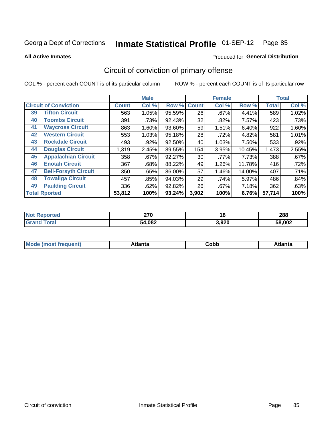Produced for **General Distribution**

#### **All Active Inmates**

# Circuit of conviction of primary offense

|    |                              |              | <b>Male</b> |        | <b>Female</b> |       |        | <b>Total</b> |       |
|----|------------------------------|--------------|-------------|--------|---------------|-------|--------|--------------|-------|
|    | <b>Circuit of Conviction</b> | <b>Count</b> | Col %       | Row %  | <b>Count</b>  | Col % | Row %  | <b>Total</b> | Col % |
| 39 | <b>Tifton Circuit</b>        | 563          | 1.05%       | 95.59% | 26            | .67%  | 4.41%  | 589          | 1.02% |
| 40 | <b>Toombs Circuit</b>        | 391          | .73%        | 92.43% | 32            | .82%  | 7.57%  | 423          | .73%  |
| 41 | <b>Waycross Circuit</b>      | 863          | 1.60%       | 93.60% | 59            | 1.51% | 6.40%  | 922          | 1.60% |
| 42 | <b>Western Circuit</b>       | 553          | 1.03%       | 95.18% | 28            | .72%  | 4.82%  | 581          | 1.01% |
| 43 | <b>Rockdale Circuit</b>      | 493          | .92%        | 92.50% | 40            | 1.03% | 7.50%  | 533          | .92%  |
| 44 | <b>Douglas Circuit</b>       | 1,319        | 2.45%       | 89.55% | 154           | 3.95% | 10.45% | 1,473        | 2.55% |
| 45 | <b>Appalachian Circuit</b>   | 358          | $.67\%$     | 92.27% | 30            | .77%  | 7.73%  | 388          | .67%  |
| 46 | <b>Enotah Circuit</b>        | 367          | .68%        | 88.22% | 49            | 1.26% | 11.78% | 416          | .72%  |
| 47 | <b>Bell-Forsyth Circuit</b>  | 350          | .65%        | 86.00% | 57            | 1.46% | 14.00% | 407          | .71%  |
| 48 | <b>Towaliga Circuit</b>      | 457          | .85%        | 94.03% | 29            | .74%  | 5.97%  | 486          | .84%  |
| 49 | <b>Paulding Circuit</b>      | 336          | .62%        | 92.82% | 26            | .67%  | 7.18%  | 362          | .63%  |
|    | <b>Total Rported</b>         | 53,812       | 100%        | 93.24% | 3,902         | 100%  | 6.76%  | 57,714       | 100%  |

| uн | מדה<br>41 U<br>$\sim$ | 1 Q   | 288           |
|----|-----------------------|-------|---------------|
|    | 54,082<br>54.         | 3,920 | $\degree$ 002 |

| M<br>- - -<br>.<br>.<br>⊂opp<br>нс |
|------------------------------------|
|------------------------------------|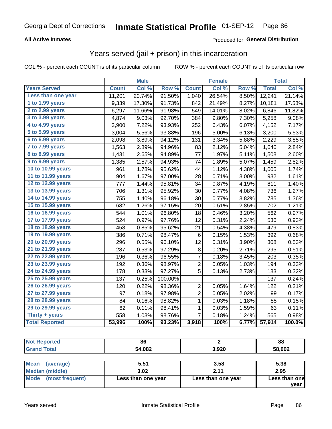#### **All Active Inmates**

#### Produced for **General Distribution**

#### Years served (jail + prison) in this incarceration

|                        |              | <b>Male</b> |         |                | <b>Female</b> |       |              | <b>Total</b> |
|------------------------|--------------|-------------|---------|----------------|---------------|-------|--------------|--------------|
| <b>Years Served</b>    | <b>Count</b> | Col %       | Row %   | <b>Count</b>   | Col %         | Row % | <b>Total</b> | Col %        |
| Less than one year     | 11,201       | 20.74%      | 91.50%  | 1,040          | 26.54%        | 8.50% | 12,241       | 21.14%       |
| 1 to 1.99 years        | 9,339        | 17.30%      | 91.73%  | 842            | 21.49%        | 8.27% | 10,181       | 17.58%       |
| 2 to 2.99 years        | 6,297        | 11.66%      | 91.98%  | 549            | 14.01%        | 8.02% | 6,846        | 11.82%       |
| 3 to 3.99 years        | 4,874        | 9.03%       | 92.70%  | 384            | 9.80%         | 7.30% | 5,258        | 9.08%        |
| 4 to 4.99 years        | 3,900        | 7.22%       | 93.93%  | 252            | 6.43%         | 6.07% | 4,152        | 7.17%        |
| 5 to 5.99 years        | 3,004        | 5.56%       | 93.88%  | 196            | 5.00%         | 6.13% | 3,200        | 5.53%        |
| 6 to 6.99 years        | 2,098        | 3.89%       | 94.12%  | 131            | 3.34%         | 5.88% | 2,229        | 3.85%        |
| 7 to 7.99 years        | 1,563        | 2.89%       | 94.96%  | 83             | 2.12%         | 5.04% | 1,646        | 2.84%        |
| <b>8 to 8.99 years</b> | 1,431        | 2.65%       | 94.89%  | 77             | 1.97%         | 5.11% | 1,508        | 2.60%        |
| 9 to 9.99 years        | 1,385        | 2.57%       | 94.93%  | 74             | 1.89%         | 5.07% | 1,459        | 2.52%        |
| 10 to 10.99 years      | 961          | 1.78%       | 95.62%  | 44             | 1.12%         | 4.38% | 1,005        | 1.74%        |
| 11 to 11.99 years      | 904          | 1.67%       | 97.00%  | 28             | 0.71%         | 3.00% | 932          | 1.61%        |
| 12 to 12.99 years      | 777          | 1.44%       | 95.81%  | 34             | 0.87%         | 4.19% | 811          | 1.40%        |
| 13 to 13.99 years      | 706          | 1.31%       | 95.92%  | 30             | 0.77%         | 4.08% | 736          | 1.27%        |
| 14 to 14.99 years      | 755          | 1.40%       | 96.18%  | 30             | 0.77%         | 3.82% | 785          | 1.36%        |
| 15 to 15.99 years      | 682          | 1.26%       | 97.15%  | 20             | 0.51%         | 2.85% | 702          | 1.21%        |
| 16 to 16.99 years      | 544          | 1.01%       | 96.80%  | 18             | 0.46%         | 3.20% | 562          | 0.97%        |
| 17 to 17.99 years      | 524          | 0.97%       | 97.76%  | 12             | 0.31%         | 2.24% | 536          | 0.93%        |
| 18 to 18.99 years      | 458          | 0.85%       | 95.62%  | 21             | 0.54%         | 4.38% | 479          | 0.83%        |
| 19 to 19.99 years      | 386          | 0.71%       | 98.47%  | $\,6$          | 0.15%         | 1.53% | 392          | 0.68%        |
| 20 to 20.99 years      | 296          | 0.55%       | 96.10%  | 12             | 0.31%         | 3.90% | 308          | 0.53%        |
| 21 to 21.99 years      | 287          | 0.53%       | 97.29%  | 8              | 0.20%         | 2.71% | 295          | 0.51%        |
| 22 to 22.99 years      | 196          | 0.36%       | 96.55%  | 7              | 0.18%         | 3.45% | 203          | 0.35%        |
| 23 to 23.99 years      | 192          | 0.36%       | 98.97%  | $\overline{c}$ | 0.05%         | 1.03% | 194          | 0.33%        |
| 24 to 24.99 years      | 178          | 0.33%       | 97.27%  | $\overline{5}$ | 0.13%         | 2.73% | 183          | 0.32%        |
| 25 to 25.99 years      | 137          | 0.25%       | 100.00% |                |               |       | 137          | 0.24%        |
| 26 to 26.99 years      | 120          | 0.22%       | 98.36%  | $\overline{c}$ | 0.05%         | 1.64% | 122          | 0.21%        |
| 27 to 27.99 years      | 97           | 0.18%       | 97.98%  | $\overline{2}$ | 0.05%         | 2.02% | 99           | 0.17%        |
| 28 to 28.99 years      | 84           | 0.16%       | 98.82%  | $\mathbf 1$    | 0.03%         | 1.18% | 85           | 0.15%        |
| 29 to 29.99 years      | 62           | 0.11%       | 98.41%  | $\mathbf{1}$   | 0.03%         | 1.59% | 63           | 0.11%        |
| Thirty + years         | 558          | 1.03%       | 98.76%  | $\overline{7}$ | 0.18%         | 1.24% | 565          | 0.98%        |
| <b>Total Reported</b>  | 53,996       | 100%        | 93.23%  | 3,918          | 100%          | 6.77% | 57,914       | 100.0%       |

| <b>Not Reported</b>      | 86                 |                    | 88            |  |  |
|--------------------------|--------------------|--------------------|---------------|--|--|
| <b>Grand Total</b>       | 54,082             | 3,920              | 58,002        |  |  |
|                          |                    |                    |               |  |  |
| <b>Mean</b><br>(average) | 5.51               | 3.58               | 5.38          |  |  |
| <b>Median (middle)</b>   | 3.02               | 2.11               | 2.95          |  |  |
| Mode<br>(most frequent)  | Less than one year | Less than one year | Less than one |  |  |
|                          |                    |                    | vear          |  |  |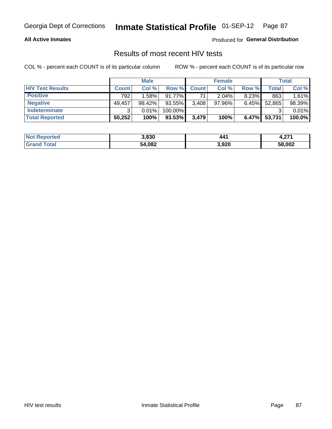#### **All Active Inmates**

Produced for **General Distribution**

### Results of most recent HIV tests

|                         | <b>Male</b>  |        |           |              | <b>Female</b> | Total    |        |        |
|-------------------------|--------------|--------|-----------|--------------|---------------|----------|--------|--------|
| <b>HIV Test Results</b> | <b>Count</b> | Col%   | Row %I    | <b>Count</b> | Col %         | Row %    | Total  | Col %  |
| <b>Positive</b>         | 792          | 1.58%  | $91.77\%$ | 71           | $2.04\%$      | $8.23\%$ | 863    | 1.61%  |
| <b>Negative</b>         | 49,457       | 98.42% | 93.55%    | 3,408        | $97.96\%$     | 6.45%    | 52,865 | 98.39% |
| <b>Indeterminate</b>    | ີ            | 0.01%  | 100.00%   |              |               |          |        | 0.01%  |
| <b>Total Reported</b>   | 50,252       | 100%   | $93.53\%$ | 3,479        | 100%          | $6.47\%$ | 53,731 | 100.0% |

| <b>Not Reported</b> | 3,830  | 441   | - 274<br>7.ZI L |
|---------------------|--------|-------|-----------------|
| Total               | 54,082 | 3,920 | 58,002          |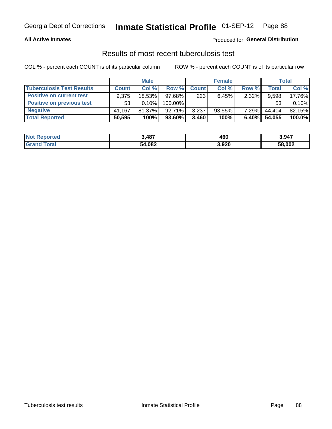#### **All Active Inmates**

#### Produced for **General Distribution**

#### Results of most recent tuberculosis test

|                                  | <b>Male</b>  |           |           |              | <b>Female</b> | Total    |              |        |
|----------------------------------|--------------|-----------|-----------|--------------|---------------|----------|--------------|--------|
| <b>Tuberculosis Test Results</b> | <b>Count</b> | Col%      | Row %I    | <b>Count</b> | Col%          | Row %    | <b>Total</b> | Col %  |
| <b>Positive on current test</b>  | 9.375        | $18.53\%$ | $97.68\%$ | 223          | 6.45%         | $2.32\%$ | 9,598        | 17.76% |
| <b>Positive on previous test</b> | 53'          | 0.10%     | 100.00%   |              |               |          | 53           | 0.10%  |
| <b>Negative</b>                  | 41.167       | $81.37\%$ | $92.71\%$ | 3,237        | $93.55\%$     | $7.29\%$ | 44.404       | 82.15% |
| <b>Total Reported</b>            | 50,595       | 100%      | 93.60%    | 3.460        | 100%          | $6.40\%$ | 54,055       | 100.0% |

| <b>Not Reported</b> | 3,487  | 460   | 3,947  |
|---------------------|--------|-------|--------|
| Total<br>Grand      | 54,082 | 3,920 | 58,002 |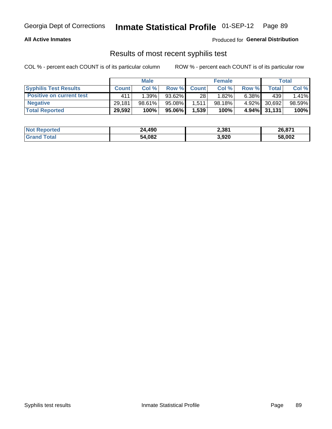#### **All Active Inmates**

Produced for **General Distribution**

#### Results of most recent syphilis test

|                                 | <b>Male</b>  |           |           | <b>Female</b>   |           |          | Total  |        |
|---------------------------------|--------------|-----------|-----------|-----------------|-----------|----------|--------|--------|
| <b>Syphilis Test Results</b>    | <b>Count</b> | Col%      | Row %     | <b>Count</b>    | Col %     | Row %    | Total  | Col %  |
| <b>Positive on current test</b> | 411          | $1.39\%$  | $93.62\%$ | 28 <sub>1</sub> | 1.82%     | $6.38\%$ | 439    | 1.41%  |
| <b>Negative</b>                 | 29.181       | $98.61\%$ | 95.08%    | $1,511 +$       | $98.18\%$ | 4.92%    | 30,692 | 98.59% |
| <b>Total Reported</b>           | 29,592       | 100%      | $95.06\%$ | 1,539           | 100%      | $4.94\%$ | 31,131 | 100%   |

| <b>Not Reported</b> | 24,490 | 2,381 | 26,871 |
|---------------------|--------|-------|--------|
| <b>Grand Total</b>  | 54,082 | 3,920 | 58,002 |